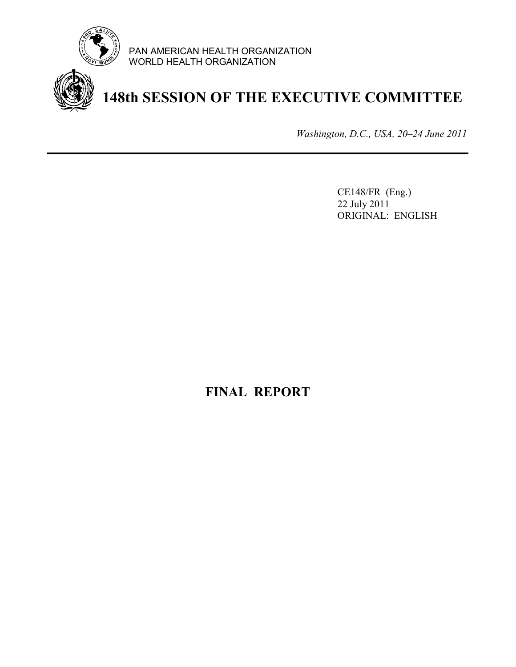

PAN AMERICAN HEALTH ORGANIZATION WORLD HEALTH ORGANIZATION



**148th SESSION OF THE EXECUTIVE COMMITTEE** 

*Washington, D.C., USA, 20–24 June 2011*

CE148/FR (Eng.) 22 July 2011 ORIGINAL: ENGLISH

# **FINAL REPORT**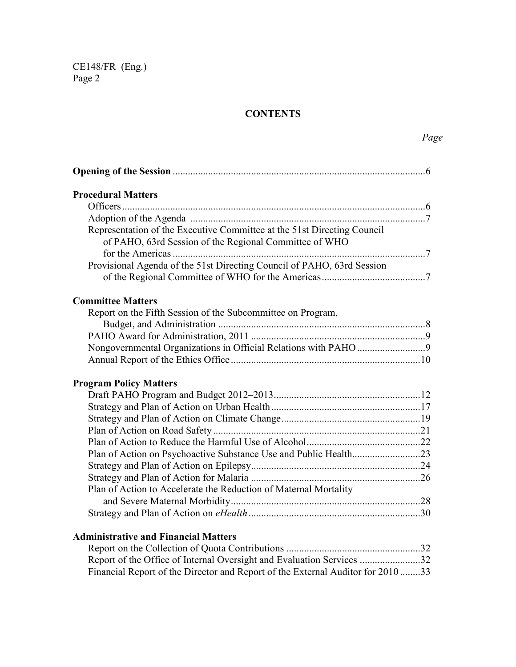## **CONTENTS**

*Page* 

| <b>Procedural Matters</b>                                                                                                         |  |
|-----------------------------------------------------------------------------------------------------------------------------------|--|
|                                                                                                                                   |  |
|                                                                                                                                   |  |
| Representation of the Executive Committee at the 51st Directing Council<br>of PAHO, 63rd Session of the Regional Committee of WHO |  |
|                                                                                                                                   |  |
| Provisional Agenda of the 51st Directing Council of PAHO, 63rd Session                                                            |  |
| <b>Committee Matters</b>                                                                                                          |  |
| Report on the Fifth Session of the Subcommittee on Program,                                                                       |  |
|                                                                                                                                   |  |
|                                                                                                                                   |  |
| Nongovernmental Organizations in Official Relations with PAHO 9                                                                   |  |
|                                                                                                                                   |  |
| <b>Program Policy Matters</b>                                                                                                     |  |
|                                                                                                                                   |  |
|                                                                                                                                   |  |
|                                                                                                                                   |  |
|                                                                                                                                   |  |
|                                                                                                                                   |  |
|                                                                                                                                   |  |
|                                                                                                                                   |  |
|                                                                                                                                   |  |
| Plan of Action to Accelerate the Reduction of Maternal Mortality                                                                  |  |
|                                                                                                                                   |  |
|                                                                                                                                   |  |
| <b>Administrative and Financial Matters</b>                                                                                       |  |
|                                                                                                                                   |  |
| Report of the Office of Internal Oversight and Evaluation Services 32                                                             |  |

Financial Report of the Director and Report of the External Auditor for 2010 ........ 33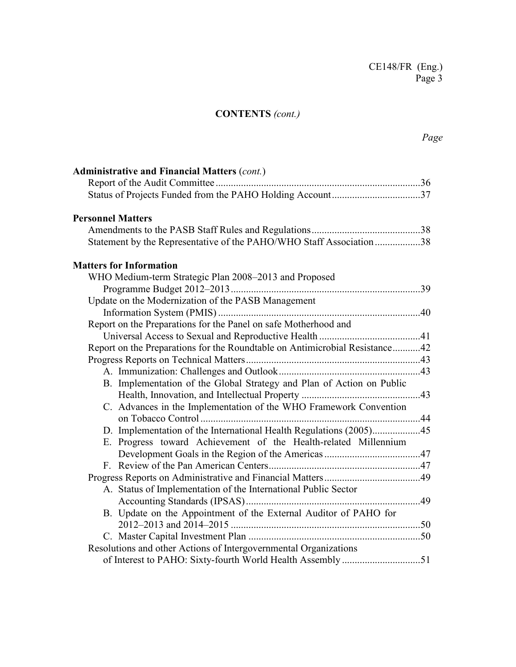# **CONTENTS** *(cont.)*

| <b>Administrative and Financial Matters (cont.)</b>                         |  |
|-----------------------------------------------------------------------------|--|
|                                                                             |  |
|                                                                             |  |
| <b>Personnel Matters</b>                                                    |  |
|                                                                             |  |
| Statement by the Representative of the PAHO/WHO Staff Association 38        |  |
| <b>Matters for Information</b>                                              |  |
| WHO Medium-term Strategic Plan 2008-2013 and Proposed                       |  |
|                                                                             |  |
| Update on the Modernization of the PASB Management                          |  |
|                                                                             |  |
| Report on the Preparations for the Panel on safe Motherhood and             |  |
|                                                                             |  |
| Report on the Preparations for the Roundtable on Antimicrobial Resistance42 |  |
|                                                                             |  |
|                                                                             |  |
| B. Implementation of the Global Strategy and Plan of Action on Public       |  |
|                                                                             |  |
| C. Advances in the Implementation of the WHO Framework Convention           |  |
|                                                                             |  |
|                                                                             |  |
| E. Progress toward Achievement of the Health-related Millennium             |  |
|                                                                             |  |
|                                                                             |  |
|                                                                             |  |
| A. Status of Implementation of the International Public Sector              |  |
|                                                                             |  |
| B. Update on the Appointment of the External Auditor of PAHO for            |  |
|                                                                             |  |
|                                                                             |  |
| Resolutions and other Actions of Intergovernmental Organizations            |  |
| of Interest to PAHO: Sixty-fourth World Health Assembly 51                  |  |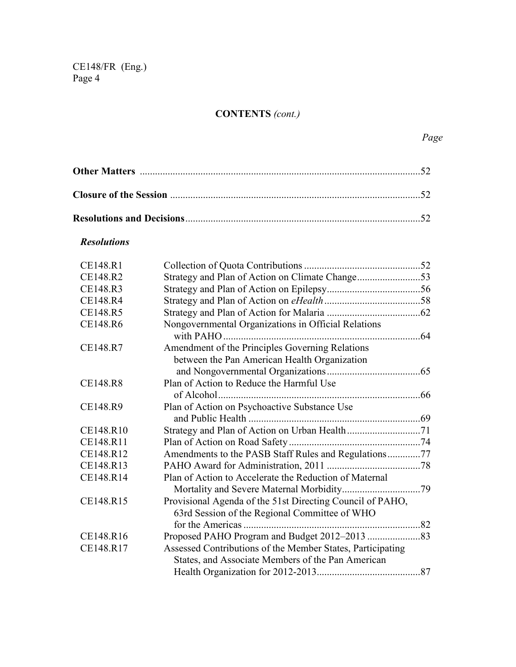# **CONTENTS** *(cont.)*

## *Resolutions*

| CE148.R1        |                                                            |  |  |
|-----------------|------------------------------------------------------------|--|--|
| CE148.R2        |                                                            |  |  |
| CE148.R3        |                                                            |  |  |
| <b>CE148.R4</b> |                                                            |  |  |
| CE148.R5        |                                                            |  |  |
| CE148.R6        | Nongovernmental Organizations in Official Relations        |  |  |
|                 |                                                            |  |  |
| CE148.R7        | Amendment of the Principles Governing Relations            |  |  |
|                 | between the Pan American Health Organization               |  |  |
|                 |                                                            |  |  |
| CE148.R8        | Plan of Action to Reduce the Harmful Use                   |  |  |
|                 |                                                            |  |  |
| CE148.R9        | Plan of Action on Psychoactive Substance Use               |  |  |
|                 |                                                            |  |  |
| CE148.R10       |                                                            |  |  |
| CE148.R11       |                                                            |  |  |
| CE148.R12       | Amendments to the PASB Staff Rules and Regulations77       |  |  |
| CE148.R13       |                                                            |  |  |
| CE148.R14       | Plan of Action to Accelerate the Reduction of Maternal     |  |  |
|                 |                                                            |  |  |
| CE148.R15       | Provisional Agenda of the 51st Directing Council of PAHO,  |  |  |
|                 | 63rd Session of the Regional Committee of WHO              |  |  |
|                 |                                                            |  |  |
| CE148.R16       |                                                            |  |  |
| CE148.R17       | Assessed Contributions of the Member States, Participating |  |  |
|                 | States, and Associate Members of the Pan American          |  |  |
|                 |                                                            |  |  |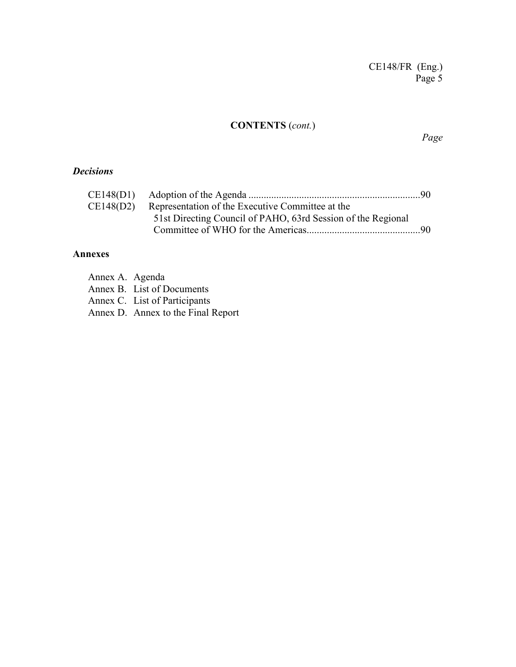## **CONTENTS** (*cont.*)

*Page* 

### *Decisions*

| CE148(D2) | Representation of the Executive Committee at the             |  |
|-----------|--------------------------------------------------------------|--|
|           | 51st Directing Council of PAHO, 63rd Session of the Regional |  |
|           |                                                              |  |

#### **Annexes**

| Annex A. Agenda |                               |
|-----------------|-------------------------------|
|                 | Annex B. List of Documents    |
|                 | Annex C. List of Participants |

Annex D. Annex to the Final Report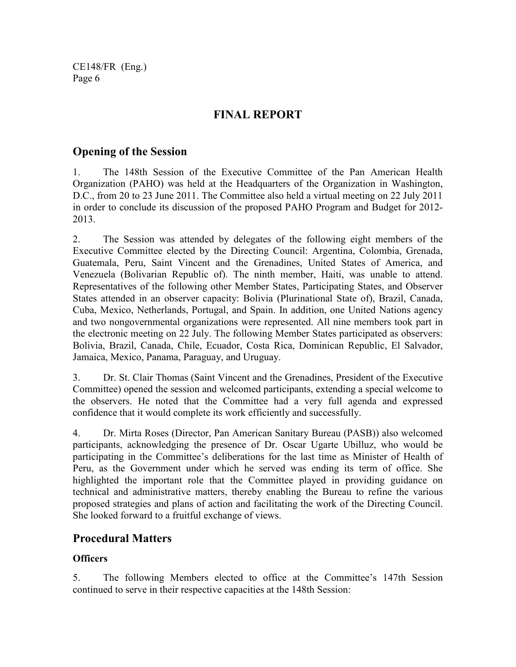# **FINAL REPORT**

## **Opening of the Session**

1. The 148th Session of the Executive Committee of the Pan American Health Organization (PAHO) was held at the Headquarters of the Organization in Washington, D.C., from 20 to 23 June 2011. The Committee also held a virtual meeting on 22 July 2011 in order to conclude its discussion of the proposed PAHO Program and Budget for 2012- 2013.

2. The Session was attended by delegates of the following eight members of the Executive Committee elected by the Directing Council: Argentina, Colombia, Grenada, Guatemala, Peru, Saint Vincent and the Grenadines, United States of America, and Venezuela (Bolivarian Republic of). The ninth member, Haiti, was unable to attend. Representatives of the following other Member States, Participating States, and Observer States attended in an observer capacity: Bolivia (Plurinational State of), Brazil, Canada, Cuba, Mexico, Netherlands, Portugal, and Spain. In addition, one United Nations agency and two nongovernmental organizations were represented. All nine members took part in the electronic meeting on 22 July. The following Member States participated as observers: Bolivia, Brazil, Canada, Chile, Ecuador, Costa Rica, Dominican Republic, El Salvador, Jamaica, Mexico, Panama, Paraguay, and Uruguay.

3. Dr. St. Clair Thomas (Saint Vincent and the Grenadines, President of the Executive Committee) opened the session and welcomed participants, extending a special welcome to the observers. He noted that the Committee had a very full agenda and expressed confidence that it would complete its work efficiently and successfully.

4. Dr. Mirta Roses (Director, Pan American Sanitary Bureau (PASB)) also welcomed participants, acknowledging the presence of Dr. Oscar Ugarte Ubilluz, who would be participating in the Committee's deliberations for the last time as Minister of Health of Peru, as the Government under which he served was ending its term of office. She highlighted the important role that the Committee played in providing guidance on technical and administrative matters, thereby enabling the Bureau to refine the various proposed strategies and plans of action and facilitating the work of the Directing Council. She looked forward to a fruitful exchange of views.

## **Procedural Matters**

## **Officers**

5. The following Members elected to office at the Committee's 147th Session continued to serve in their respective capacities at the 148th Session: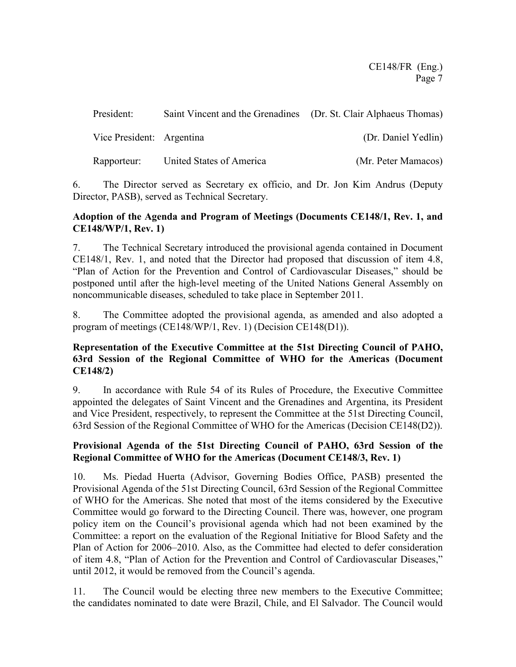| President:                | Saint Vincent and the Grenadines (Dr. St. Clair Alphaeus Thomas) |                     |
|---------------------------|------------------------------------------------------------------|---------------------|
| Vice President: Argentina |                                                                  | (Dr. Daniel Yedlin) |
| Rapporteur:               | United States of America                                         | (Mr. Peter Mamacos) |

6. The Director served as Secretary ex officio, and Dr. Jon Kim Andrus (Deputy Director, PASB), served as Technical Secretary.

#### **Adoption of the Agenda and Program of Meetings (Documents CE148/1, Rev. 1, and CE148/WP/1, Rev. 1)**

7. The Technical Secretary introduced the provisional agenda contained in Document CE148/1, Rev. 1, and noted that the Director had proposed that discussion of item 4.8, "Plan of Action for the Prevention and Control of Cardiovascular Diseases," should be postponed until after the high-level meeting of the United Nations General Assembly on noncommunicable diseases, scheduled to take place in September 2011.

8. The Committee adopted the provisional agenda, as amended and also adopted a program of meetings (CE148/WP/1, Rev. 1) (Decision CE148(D1)).

## **Representation of the Executive Committee at the 51st Directing Council of PAHO, 63rd Session of the Regional Committee of WHO for the Americas (Document CE148/2)**

9. In accordance with Rule 54 of its Rules of Procedure, the Executive Committee appointed the delegates of Saint Vincent and the Grenadines and Argentina, its President and Vice President, respectively, to represent the Committee at the 51st Directing Council, 63rd Session of the Regional Committee of WHO for the Americas (Decision CE148(D2)).

## **Provisional Agenda of the 51st Directing Council of PAHO, 63rd Session of the Regional Committee of WHO for the Americas (Document CE148/3, Rev. 1)**

10. Ms. Piedad Huerta (Advisor, Governing Bodies Office, PASB) presented the Provisional Agenda of the 51st Directing Council, 63rd Session of the Regional Committee of WHO for the Americas. She noted that most of the items considered by the Executive Committee would go forward to the Directing Council. There was, however, one program policy item on the Council's provisional agenda which had not been examined by the Committee: a report on the evaluation of the Regional Initiative for Blood Safety and the Plan of Action for 2006–2010. Also, as the Committee had elected to defer consideration of item 4.8, "Plan of Action for the Prevention and Control of Cardiovascular Diseases," until 2012, it would be removed from the Council's agenda.

11. The Council would be electing three new members to the Executive Committee; the candidates nominated to date were Brazil, Chile, and El Salvador. The Council would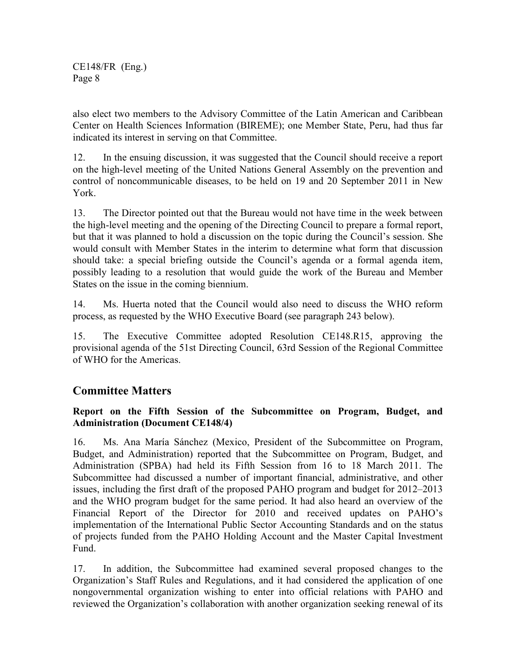also elect two members to the Advisory Committee of the Latin American and Caribbean Center on Health Sciences Information (BIREME); one Member State, Peru, had thus far indicated its interest in serving on that Committee.

12. In the ensuing discussion, it was suggested that the Council should receive a report on the high-level meeting of the United Nations General Assembly on the prevention and control of noncommunicable diseases, to be held on 19 and 20 September 2011 in New York.

13. The Director pointed out that the Bureau would not have time in the week between the high-level meeting and the opening of the Directing Council to prepare a formal report, but that it was planned to hold a discussion on the topic during the Council's session. She would consult with Member States in the interim to determine what form that discussion should take: a special briefing outside the Council's agenda or a formal agenda item, possibly leading to a resolution that would guide the work of the Bureau and Member States on the issue in the coming biennium.

14. Ms. Huerta noted that the Council would also need to discuss the WHO reform process, as requested by the WHO Executive Board (see paragraph 243 below).

15. The Executive Committee adopted Resolution CE148.R15, approving the provisional agenda of the 51st Directing Council, 63rd Session of the Regional Committee of WHO for the Americas.

## **Committee Matters**

### **Report on the Fifth Session of the Subcommittee on Program, Budget, and Administration (Document CE148/4)**

16. Ms. Ana María Sánchez (Mexico, President of the Subcommittee on Program, Budget, and Administration) reported that the Subcommittee on Program, Budget, and Administration (SPBA) had held its Fifth Session from 16 to 18 March 2011. The Subcommittee had discussed a number of important financial, administrative, and other issues, including the first draft of the proposed PAHO program and budget for 2012–2013 and the WHO program budget for the same period. It had also heard an overview of the Financial Report of the Director for 2010 and received updates on PAHO's implementation of the International Public Sector Accounting Standards and on the status of projects funded from the PAHO Holding Account and the Master Capital Investment Fund.

17. In addition, the Subcommittee had examined several proposed changes to the Organization's Staff Rules and Regulations, and it had considered the application of one nongovernmental organization wishing to enter into official relations with PAHO and reviewed the Organization's collaboration with another organization seeking renewal of its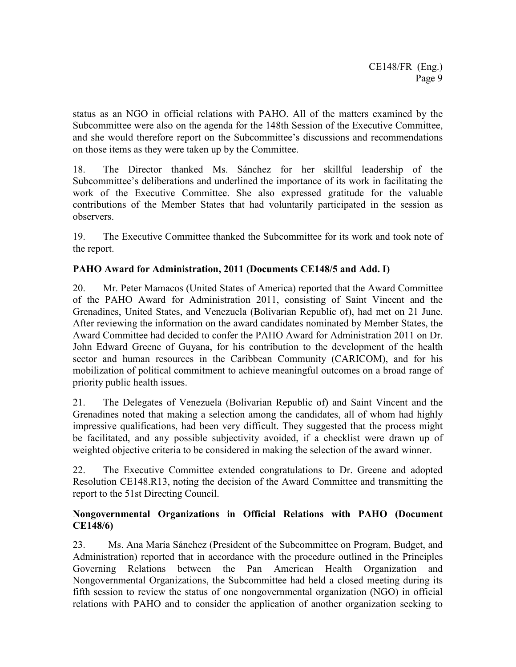status as an NGO in official relations with PAHO. All of the matters examined by the Subcommittee were also on the agenda for the 148th Session of the Executive Committee, and she would therefore report on the Subcommittee's discussions and recommendations on those items as they were taken up by the Committee.

18. The Director thanked Ms. Sánchez for her skillful leadership of the Subcommittee's deliberations and underlined the importance of its work in facilitating the work of the Executive Committee. She also expressed gratitude for the valuable contributions of the Member States that had voluntarily participated in the session as observers.

19. The Executive Committee thanked the Subcommittee for its work and took note of the report.

## **PAHO Award for Administration, 2011 (Documents CE148/5 and Add. I)**

20. Mr. Peter Mamacos (United States of America) reported that the Award Committee of the PAHO Award for Administration 2011, consisting of Saint Vincent and the Grenadines, United States, and Venezuela (Bolivarian Republic of), had met on 21 June. After reviewing the information on the award candidates nominated by Member States, the Award Committee had decided to confer the PAHO Award for Administration 2011 on Dr. John Edward Greene of Guyana, for his contribution to the development of the health sector and human resources in the Caribbean Community (CARICOM), and for his mobilization of political commitment to achieve meaningful outcomes on a broad range of priority public health issues.

21. The Delegates of Venezuela (Bolivarian Republic of) and Saint Vincent and the Grenadines noted that making a selection among the candidates, all of whom had highly impressive qualifications, had been very difficult. They suggested that the process might be facilitated, and any possible subjectivity avoided, if a checklist were drawn up of weighted objective criteria to be considered in making the selection of the award winner.

22. The Executive Committee extended congratulations to Dr. Greene and adopted Resolution CE148.R13, noting the decision of the Award Committee and transmitting the report to the 51st Directing Council.

### **Nongovernmental Organizations in Official Relations with PAHO (Document CE148/6)**

23. Ms. Ana María Sánchez (President of the Subcommittee on Program, Budget, and Administration) reported that in accordance with the procedure outlined in the Principles Governing Relations between the Pan American Health Organization and Nongovernmental Organizations, the Subcommittee had held a closed meeting during its fifth session to review the status of one nongovernmental organization (NGO) in official relations with PAHO and to consider the application of another organization seeking to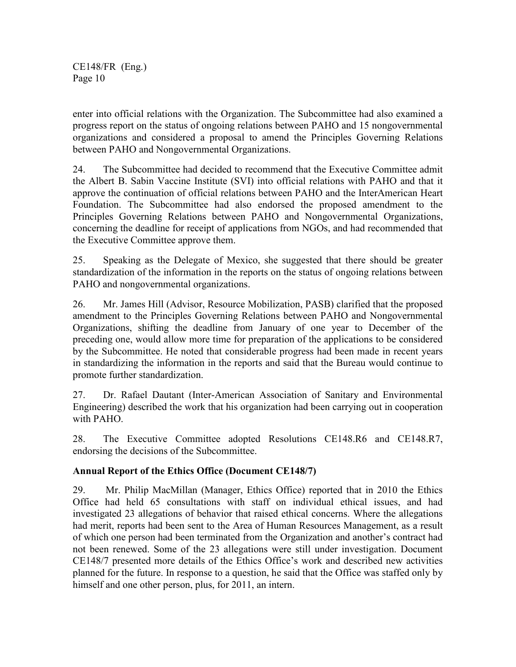enter into official relations with the Organization. The Subcommittee had also examined a progress report on the status of ongoing relations between PAHO and 15 nongovernmental organizations and considered a proposal to amend the Principles Governing Relations between PAHO and Nongovernmental Organizations.

24. The Subcommittee had decided to recommend that the Executive Committee admit the Albert B. Sabin Vaccine Institute (SVI) into official relations with PAHO and that it approve the continuation of official relations between PAHO and the InterAmerican Heart Foundation. The Subcommittee had also endorsed the proposed amendment to the Principles Governing Relations between PAHO and Nongovernmental Organizations, concerning the deadline for receipt of applications from NGOs, and had recommended that the Executive Committee approve them.

25. Speaking as the Delegate of Mexico, she suggested that there should be greater standardization of the information in the reports on the status of ongoing relations between PAHO and nongovernmental organizations.

26. Mr. James Hill (Advisor, Resource Mobilization, PASB) clarified that the proposed amendment to the Principles Governing Relations between PAHO and Nongovernmental Organizations, shifting the deadline from January of one year to December of the preceding one, would allow more time for preparation of the applications to be considered by the Subcommittee. He noted that considerable progress had been made in recent years in standardizing the information in the reports and said that the Bureau would continue to promote further standardization.

27. Dr. Rafael Dautant (Inter-American Association of Sanitary and Environmental Engineering) described the work that his organization had been carrying out in cooperation with PAHO.

28. The Executive Committee adopted Resolutions CE148.R6 and CE148.R7, endorsing the decisions of the Subcommittee.

## **Annual Report of the Ethics Office (Document CE148/7)**

29. Mr. Philip MacMillan (Manager, Ethics Office) reported that in 2010 the Ethics Office had held 65 consultations with staff on individual ethical issues, and had investigated 23 allegations of behavior that raised ethical concerns. Where the allegations had merit, reports had been sent to the Area of Human Resources Management, as a result of which one person had been terminated from the Organization and another's contract had not been renewed. Some of the 23 allegations were still under investigation. Document CE148/7 presented more details of the Ethics Office's work and described new activities planned for the future. In response to a question, he said that the Office was staffed only by himself and one other person, plus, for 2011, an intern.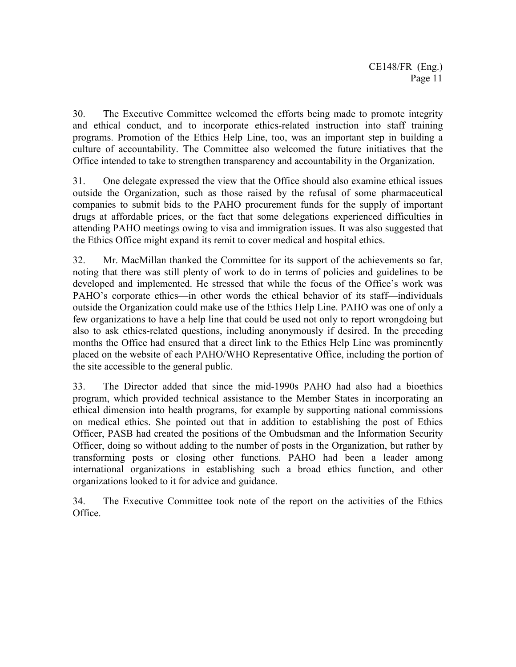30. The Executive Committee welcomed the efforts being made to promote integrity and ethical conduct, and to incorporate ethics-related instruction into staff training programs. Promotion of the Ethics Help Line, too, was an important step in building a culture of accountability. The Committee also welcomed the future initiatives that the Office intended to take to strengthen transparency and accountability in the Organization.

31. One delegate expressed the view that the Office should also examine ethical issues outside the Organization, such as those raised by the refusal of some pharmaceutical companies to submit bids to the PAHO procurement funds for the supply of important drugs at affordable prices, or the fact that some delegations experienced difficulties in attending PAHO meetings owing to visa and immigration issues. It was also suggested that the Ethics Office might expand its remit to cover medical and hospital ethics.

32. Mr. MacMillan thanked the Committee for its support of the achievements so far, noting that there was still plenty of work to do in terms of policies and guidelines to be developed and implemented. He stressed that while the focus of the Office's work was PAHO's corporate ethics—in other words the ethical behavior of its staff—individuals outside the Organization could make use of the Ethics Help Line. PAHO was one of only a few organizations to have a help line that could be used not only to report wrongdoing but also to ask ethics-related questions, including anonymously if desired. In the preceding months the Office had ensured that a direct link to the Ethics Help Line was prominently placed on the website of each PAHO/WHO Representative Office, including the portion of the site accessible to the general public.

33. The Director added that since the mid-1990s PAHO had also had a bioethics program, which provided technical assistance to the Member States in incorporating an ethical dimension into health programs, for example by supporting national commissions on medical ethics. She pointed out that in addition to establishing the post of Ethics Officer, PASB had created the positions of the Ombudsman and the Information Security Officer, doing so without adding to the number of posts in the Organization, but rather by transforming posts or closing other functions. PAHO had been a leader among international organizations in establishing such a broad ethics function, and other organizations looked to it for advice and guidance.

34. The Executive Committee took note of the report on the activities of the Ethics Office.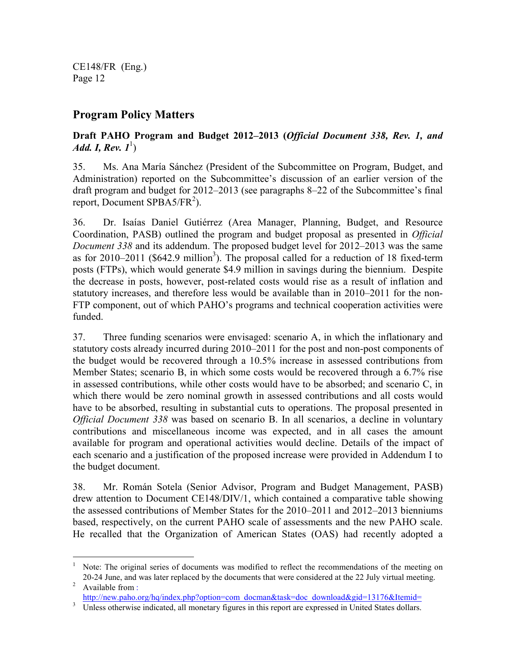## **Program Policy Matters**

## **Draft PAHO Program and Budget 2012–2013 (***Official Document 338, Rev. 1, and Add. I, Rev.*  $1^1$ )

35. Ms. Ana María Sánchez (President of the Subcommittee on Program, Budget, and Administration) reported on the Subcommittee's discussion of an earlier version of the draft program and budget for 2012–2013 (see paragraphs 8–22 of the Subcommittee's final report, Document SPBA5/FR<sup>2</sup>).

36. Dr. Isaías Daniel Gutiérrez (Area Manager, Planning, Budget, and Resource Coordination, PASB) outlined the program and budget proposal as presented in *Official Document 338* and its addendum. The proposed budget level for 2012–2013 was the same as for  $2010-2011$  (\$642.9 million<sup>3</sup>). The proposal called for a reduction of 18 fixed-term posts (FTPs), which would generate \$4.9 million in savings during the biennium. Despite the decrease in posts, however, post-related costs would rise as a result of inflation and statutory increases, and therefore less would be available than in 2010–2011 for the non-FTP component, out of which PAHO's programs and technical cooperation activities were funded.

37. Three funding scenarios were envisaged: scenario A, in which the inflationary and statutory costs already incurred during 2010–2011 for the post and non-post components of the budget would be recovered through a 10.5% increase in assessed contributions from Member States; scenario B, in which some costs would be recovered through a 6.7% rise in assessed contributions, while other costs would have to be absorbed; and scenario C, in which there would be zero nominal growth in assessed contributions and all costs would have to be absorbed, resulting in substantial cuts to operations. The proposal presented in *Official Document 338* was based on scenario B. In all scenarios, a decline in voluntary contributions and miscellaneous income was expected, and in all cases the amount available for program and operational activities would decline. Details of the impact of each scenario and a justification of the proposed increase were provided in Addendum I to the budget document.

38. Mr. Román Sotela (Senior Advisor, Program and Budget Management, PASB) drew attention to Document CE148/DIV/1, which contained a comparative table showing the assessed contributions of Member States for the 2010–2011 and 2012–2013 bienniums based, respectively, on the current PAHO scale of assessments and the new PAHO scale. He recalled that the Organization of American States (OAS) had recently adopted a

 $\overline{a}$ <sup>1</sup> Note: The original series of documents was modified to reflect the recommendations of the meeting on 20-24 June, and was later replaced by the documents that were considered at the 22 July virtual meeting.

<sup>&</sup>lt;sup>2</sup> Available from : http://new.paho.org/hq/index.php?option=com\_docman&task=doc\_download&gid=13176&Itemid=

<sup>3</sup> Unless otherwise indicated, all monetary figures in this report are expressed in United States dollars.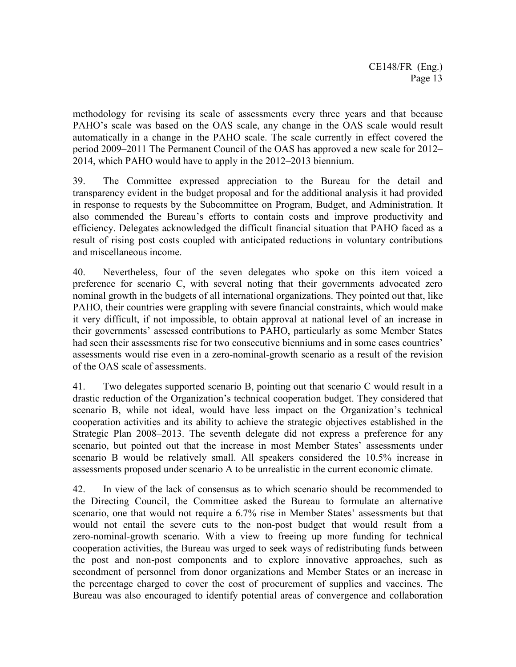methodology for revising its scale of assessments every three years and that because PAHO's scale was based on the OAS scale, any change in the OAS scale would result automatically in a change in the PAHO scale. The scale currently in effect covered the period 2009–2011 The Permanent Council of the OAS has approved a new scale for 2012– 2014, which PAHO would have to apply in the 2012–2013 biennium.

39. The Committee expressed appreciation to the Bureau for the detail and transparency evident in the budget proposal and for the additional analysis it had provided in response to requests by the Subcommittee on Program, Budget, and Administration. It also commended the Bureau's efforts to contain costs and improve productivity and efficiency. Delegates acknowledged the difficult financial situation that PAHO faced as a result of rising post costs coupled with anticipated reductions in voluntary contributions and miscellaneous income.

40. Nevertheless, four of the seven delegates who spoke on this item voiced a preference for scenario C, with several noting that their governments advocated zero nominal growth in the budgets of all international organizations. They pointed out that, like PAHO, their countries were grappling with severe financial constraints, which would make it very difficult, if not impossible, to obtain approval at national level of an increase in their governments' assessed contributions to PAHO, particularly as some Member States had seen their assessments rise for two consecutive bienniums and in some cases countries' assessments would rise even in a zero-nominal-growth scenario as a result of the revision of the OAS scale of assessments.

41. Two delegates supported scenario B, pointing out that scenario C would result in a drastic reduction of the Organization's technical cooperation budget. They considered that scenario B, while not ideal, would have less impact on the Organization's technical cooperation activities and its ability to achieve the strategic objectives established in the Strategic Plan 2008–2013. The seventh delegate did not express a preference for any scenario, but pointed out that the increase in most Member States' assessments under scenario B would be relatively small. All speakers considered the 10.5% increase in assessments proposed under scenario A to be unrealistic in the current economic climate.

42. In view of the lack of consensus as to which scenario should be recommended to the Directing Council, the Committee asked the Bureau to formulate an alternative scenario, one that would not require a 6.7% rise in Member States' assessments but that would not entail the severe cuts to the non-post budget that would result from a zero-nominal-growth scenario. With a view to freeing up more funding for technical cooperation activities, the Bureau was urged to seek ways of redistributing funds between the post and non-post components and to explore innovative approaches, such as secondment of personnel from donor organizations and Member States or an increase in the percentage charged to cover the cost of procurement of supplies and vaccines. The Bureau was also encouraged to identify potential areas of convergence and collaboration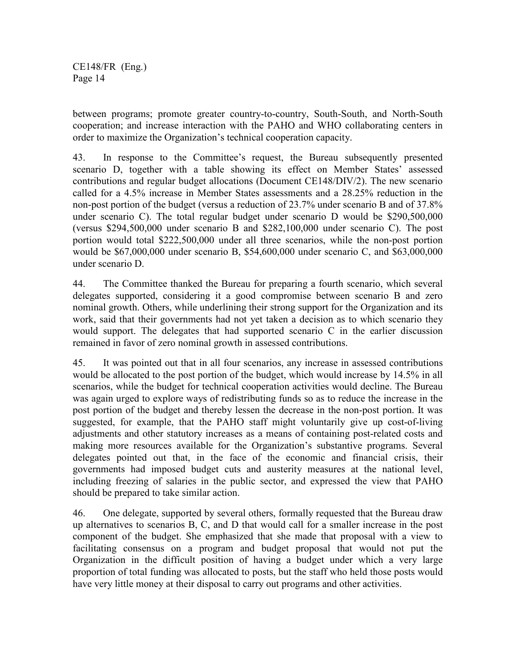between programs; promote greater country-to-country, South-South, and North-South cooperation; and increase interaction with the PAHO and WHO collaborating centers in order to maximize the Organization's technical cooperation capacity.

43. In response to the Committee's request, the Bureau subsequently presented scenario D, together with a table showing its effect on Member States' assessed contributions and regular budget allocations (Document CE148/DIV/2). The new scenario called for a 4.5% increase in Member States assessments and a 28.25% reduction in the non-post portion of the budget (versus a reduction of 23.7% under scenario B and of 37.8% under scenario C). The total regular budget under scenario D would be \$290,500,000 (versus \$294,500,000 under scenario B and \$282,100,000 under scenario C). The post portion would total \$222,500,000 under all three scenarios, while the non-post portion would be \$67,000,000 under scenario B, \$54,600,000 under scenario C, and \$63,000,000 under scenario D.

44. The Committee thanked the Bureau for preparing a fourth scenario, which several delegates supported, considering it a good compromise between scenario B and zero nominal growth. Others, while underlining their strong support for the Organization and its work, said that their governments had not yet taken a decision as to which scenario they would support. The delegates that had supported scenario C in the earlier discussion remained in favor of zero nominal growth in assessed contributions.

45. It was pointed out that in all four scenarios, any increase in assessed contributions would be allocated to the post portion of the budget, which would increase by 14.5% in all scenarios, while the budget for technical cooperation activities would decline. The Bureau was again urged to explore ways of redistributing funds so as to reduce the increase in the post portion of the budget and thereby lessen the decrease in the non-post portion. It was suggested, for example, that the PAHO staff might voluntarily give up cost-of-living adjustments and other statutory increases as a means of containing post-related costs and making more resources available for the Organization's substantive programs. Several delegates pointed out that, in the face of the economic and financial crisis, their governments had imposed budget cuts and austerity measures at the national level, including freezing of salaries in the public sector, and expressed the view that PAHO should be prepared to take similar action.

46. One delegate, supported by several others, formally requested that the Bureau draw up alternatives to scenarios B, C, and D that would call for a smaller increase in the post component of the budget. She emphasized that she made that proposal with a view to facilitating consensus on a program and budget proposal that would not put the Organization in the difficult position of having a budget under which a very large proportion of total funding was allocated to posts, but the staff who held those posts would have very little money at their disposal to carry out programs and other activities.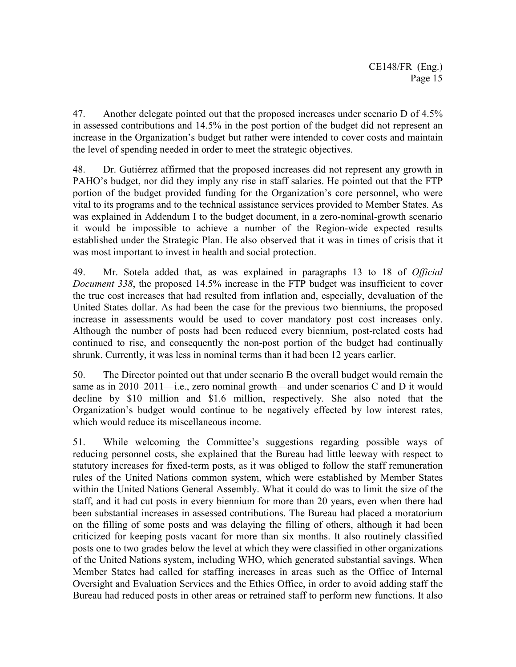47. Another delegate pointed out that the proposed increases under scenario D of 4.5% in assessed contributions and 14.5% in the post portion of the budget did not represent an increase in the Organization's budget but rather were intended to cover costs and maintain the level of spending needed in order to meet the strategic objectives.

48. Dr. Gutiérrez affirmed that the proposed increases did not represent any growth in PAHO's budget, nor did they imply any rise in staff salaries. He pointed out that the FTP portion of the budget provided funding for the Organization's core personnel, who were vital to its programs and to the technical assistance services provided to Member States. As was explained in Addendum I to the budget document, in a zero-nominal-growth scenario it would be impossible to achieve a number of the Region-wide expected results established under the Strategic Plan. He also observed that it was in times of crisis that it was most important to invest in health and social protection.

49. Mr. Sotela added that, as was explained in paragraphs 13 to 18 of *Official Document 338*, the proposed 14.5% increase in the FTP budget was insufficient to cover the true cost increases that had resulted from inflation and, especially, devaluation of the United States dollar. As had been the case for the previous two bienniums, the proposed increase in assessments would be used to cover mandatory post cost increases only. Although the number of posts had been reduced every biennium, post-related costs had continued to rise, and consequently the non-post portion of the budget had continually shrunk. Currently, it was less in nominal terms than it had been 12 years earlier.

50. The Director pointed out that under scenario B the overall budget would remain the same as in 2010–2011—i.e., zero nominal growth—and under scenarios C and D it would decline by \$10 million and \$1.6 million, respectively. She also noted that the Organization's budget would continue to be negatively effected by low interest rates, which would reduce its miscellaneous income.

51. While welcoming the Committee's suggestions regarding possible ways of reducing personnel costs, she explained that the Bureau had little leeway with respect to statutory increases for fixed-term posts, as it was obliged to follow the staff remuneration rules of the United Nations common system, which were established by Member States within the United Nations General Assembly. What it could do was to limit the size of the staff, and it had cut posts in every biennium for more than 20 years, even when there had been substantial increases in assessed contributions. The Bureau had placed a moratorium on the filling of some posts and was delaying the filling of others, although it had been criticized for keeping posts vacant for more than six months. It also routinely classified posts one to two grades below the level at which they were classified in other organizations of the United Nations system, including WHO, which generated substantial savings. When Member States had called for staffing increases in areas such as the Office of Internal Oversight and Evaluation Services and the Ethics Office, in order to avoid adding staff the Bureau had reduced posts in other areas or retrained staff to perform new functions. It also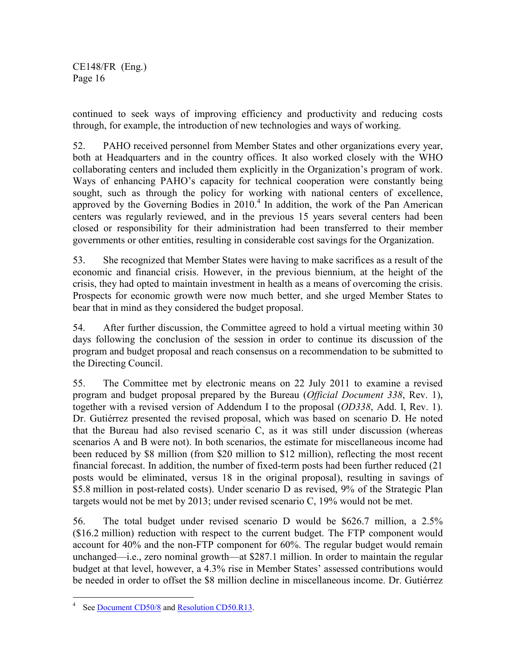continued to seek ways of improving efficiency and productivity and reducing costs through, for example, the introduction of new technologies and ways of working.

52. PAHO received personnel from Member States and other organizations every year, both at Headquarters and in the country offices. It also worked closely with the WHO collaborating centers and included them explicitly in the Organization's program of work. Ways of enhancing PAHO's capacity for technical cooperation were constantly being sought, such as through the policy for working with national centers of excellence, approved by the Governing Bodies in  $2010<sup>4</sup>$  In addition, the work of the Pan American centers was regularly reviewed, and in the previous 15 years several centers had been closed or responsibility for their administration had been transferred to their member governments or other entities, resulting in considerable cost savings for the Organization.

53. She recognized that Member States were having to make sacrifices as a result of the economic and financial crisis. However, in the previous biennium, at the height of the crisis, they had opted to maintain investment in health as a means of overcoming the crisis. Prospects for economic growth were now much better, and she urged Member States to bear that in mind as they considered the budget proposal.

54. After further discussion, the Committee agreed to hold a virtual meeting within 30 days following the conclusion of the session in order to continue its discussion of the program and budget proposal and reach consensus on a recommendation to be submitted to the Directing Council.

55. The Committee met by electronic means on 22 July 2011 to examine a revised program and budget proposal prepared by the Bureau (*Official Document 338*, Rev. 1), together with a revised version of Addendum I to the proposal (*OD338*, Add. I, Rev. 1). Dr. Gutiérrez presented the revised proposal, which was based on scenario D. He noted that the Bureau had also revised scenario C, as it was still under discussion (whereas scenarios A and B were not). In both scenarios, the estimate for miscellaneous income had been reduced by \$8 million (from \$20 million to \$12 million), reflecting the most recent financial forecast. In addition, the number of fixed-term posts had been further reduced (21 posts would be eliminated, versus 18 in the original proposal), resulting in savings of \$5.8 million in post-related costs). Under scenario D as revised, 9% of the Strategic Plan targets would not be met by 2013; under revised scenario C, 19% would not be met.

56. The total budget under revised scenario D would be \$626.7 million, a 2.5% (\$16.2 million) reduction with respect to the current budget. The FTP component would account for 40% and the non-FTP component for 60%. The regular budget would remain unchanged—i.e., zero nominal growth—at \$287.1 million. In order to maintain the regular budget at that level, however, a 4.3% rise in Member States' assessed contributions would be needed in order to offset the \$8 million decline in miscellaneous income. Dr. Gutiérrez

 $\overline{a}$ 

<sup>4</sup> See Document CD50/8 and Resolution CD50.R13.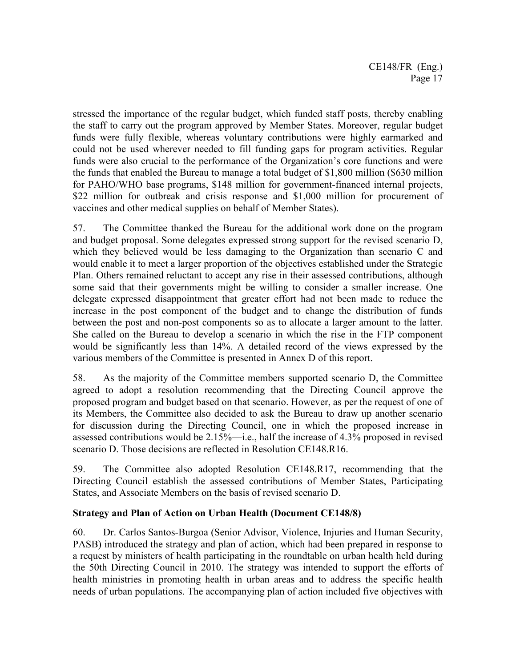stressed the importance of the regular budget, which funded staff posts, thereby enabling the staff to carry out the program approved by Member States. Moreover, regular budget funds were fully flexible, whereas voluntary contributions were highly earmarked and could not be used wherever needed to fill funding gaps for program activities. Regular funds were also crucial to the performance of the Organization's core functions and were the funds that enabled the Bureau to manage a total budget of \$1,800 million (\$630 million for PAHO/WHO base programs, \$148 million for government-financed internal projects, \$22 million for outbreak and crisis response and \$1,000 million for procurement of vaccines and other medical supplies on behalf of Member States).

57. The Committee thanked the Bureau for the additional work done on the program and budget proposal. Some delegates expressed strong support for the revised scenario D, which they believed would be less damaging to the Organization than scenario C and would enable it to meet a larger proportion of the objectives established under the Strategic Plan. Others remained reluctant to accept any rise in their assessed contributions, although some said that their governments might be willing to consider a smaller increase. One delegate expressed disappointment that greater effort had not been made to reduce the increase in the post component of the budget and to change the distribution of funds between the post and non-post components so as to allocate a larger amount to the latter. She called on the Bureau to develop a scenario in which the rise in the FTP component would be significantly less than 14%. A detailed record of the views expressed by the various members of the Committee is presented in Annex D of this report.

58. As the majority of the Committee members supported scenario D, the Committee agreed to adopt a resolution recommending that the Directing Council approve the proposed program and budget based on that scenario. However, as per the request of one of its Members, the Committee also decided to ask the Bureau to draw up another scenario for discussion during the Directing Council, one in which the proposed increase in assessed contributions would be 2.15%—i.e., half the increase of 4.3% proposed in revised scenario D. Those decisions are reflected in Resolution CE148.R16.

59. The Committee also adopted Resolution CE148.R17, recommending that the Directing Council establish the assessed contributions of Member States, Participating States, and Associate Members on the basis of revised scenario D.

### **Strategy and Plan of Action on Urban Health (Document CE148/8)**

60. Dr. Carlos Santos-Burgoa (Senior Advisor, Violence, Injuries and Human Security, PASB) introduced the strategy and plan of action, which had been prepared in response to a request by ministers of health participating in the roundtable on urban health held during the 50th Directing Council in 2010. The strategy was intended to support the efforts of health ministries in promoting health in urban areas and to address the specific health needs of urban populations. The accompanying plan of action included five objectives with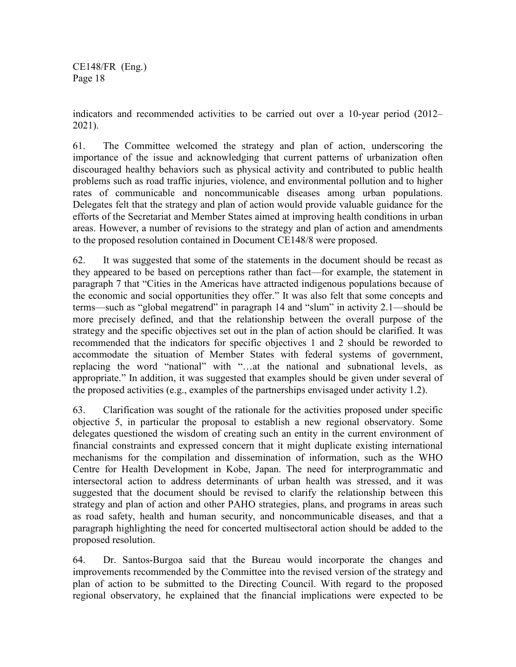indicators and recommended activities to be carried out over a 10-year period (2012– 2021).

61. The Committee welcomed the strategy and plan of action, underscoring the importance of the issue and acknowledging that current patterns of urbanization often discouraged healthy behaviors such as physical activity and contributed to public health problems such as road traffic injuries, violence, and environmental pollution and to higher rates of communicable and noncommunicable diseases among urban populations. Delegates felt that the strategy and plan of action would provide valuable guidance for the efforts of the Secretariat and Member States aimed at improving health conditions in urban areas. However, a number of revisions to the strategy and plan of action and amendments to the proposed resolution contained in Document CE148/8 were proposed.

62. It was suggested that some of the statements in the document should be recast as they appeared to be based on perceptions rather than fact—for example, the statement in paragraph 7 that "Cities in the Americas have attracted indigenous populations because of the economic and social opportunities they offer." It was also felt that some concepts and terms—such as "global megatrend" in paragraph 14 and "slum" in activity 2.1—should be more precisely defined, and that the relationship between the overall purpose of the strategy and the specific objectives set out in the plan of action should be clarified. It was recommended that the indicators for specific objectives 1 and 2 should be reworded to accommodate the situation of Member States with federal systems of government, replacing the word "national" with "…at the national and subnational levels, as appropriate." In addition, it was suggested that examples should be given under several of the proposed activities (e.g., examples of the partnerships envisaged under activity 1.2).

63. Clarification was sought of the rationale for the activities proposed under specific objective 5, in particular the proposal to establish a new regional observatory. Some delegates questioned the wisdom of creating such an entity in the current environment of financial constraints and expressed concern that it might duplicate existing international mechanisms for the compilation and dissemination of information, such as the WHO Centre for Health Development in Kobe, Japan. The need for interprogrammatic and intersectoral action to address determinants of urban health was stressed, and it was suggested that the document should be revised to clarify the relationship between this strategy and plan of action and other PAHO strategies, plans, and programs in areas such as road safety, health and human security, and noncommunicable diseases, and that a paragraph highlighting the need for concerted multisectoral action should be added to the proposed resolution.

64. Dr. Santos-Burgoa said that the Bureau would incorporate the changes and improvements recommended by the Committee into the revised version of the strategy and plan of action to be submitted to the Directing Council. With regard to the proposed regional observatory, he explained that the financial implications were expected to be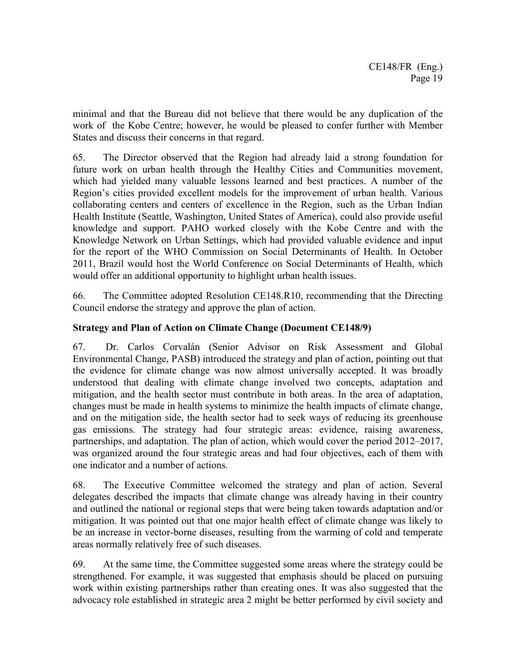minimal and that the Bureau did not believe that there would be any duplication of the work of the Kobe Centre; however, he would be pleased to confer further with Member States and discuss their concerns in that regard.

65. The Director observed that the Region had already laid a strong foundation for future work on urban health through the Healthy Cities and Communities movement, which had yielded many valuable lessons learned and best practices. A number of the Region's cities provided excellent models for the improvement of urban health. Various collaborating centers and centers of excellence in the Region, such as the Urban Indian Health Institute (Seattle, Washington, United States of America), could also provide useful knowledge and support. PAHO worked closely with the Kobe Centre and with the Knowledge Network on Urban Settings, which had provided valuable evidence and input for the report of the WHO Commission on Social Determinants of Health. In October 2011, Brazil would host the World Conference on Social Determinants of Health, which would offer an additional opportunity to highlight urban health issues.

66. The Committee adopted Resolution CE148.R10, recommending that the Directing Council endorse the strategy and approve the plan of action.

### **Strategy and Plan of Action on Climate Change (Document CE148/9)**

67. Dr. Carlos Corvalán (Senior Advisor on Risk Assessment and Global Environmental Change, PASB) introduced the strategy and plan of action, pointing out that the evidence for climate change was now almost universally accepted. It was broadly understood that dealing with climate change involved two concepts, adaptation and mitigation, and the health sector must contribute in both areas. In the area of adaptation, changes must be made in health systems to minimize the health impacts of climate change, and on the mitigation side, the health sector had to seek ways of reducing its greenhouse gas emissions. The strategy had four strategic areas: evidence, raising awareness, partnerships, and adaptation. The plan of action, which would cover the period 2012–2017, was organized around the four strategic areas and had four objectives, each of them with one indicator and a number of actions.

68. The Executive Committee welcomed the strategy and plan of action. Several delegates described the impacts that climate change was already having in their country and outlined the national or regional steps that were being taken towards adaptation and/or mitigation. It was pointed out that one major health effect of climate change was likely to be an increase in vector-borne diseases, resulting from the warming of cold and temperate areas normally relatively free of such diseases.

69. At the same time, the Committee suggested some areas where the strategy could be strengthened. For example, it was suggested that emphasis should be placed on pursuing work within existing partnerships rather than creating ones. It was also suggested that the advocacy role established in strategic area 2 might be better performed by civil society and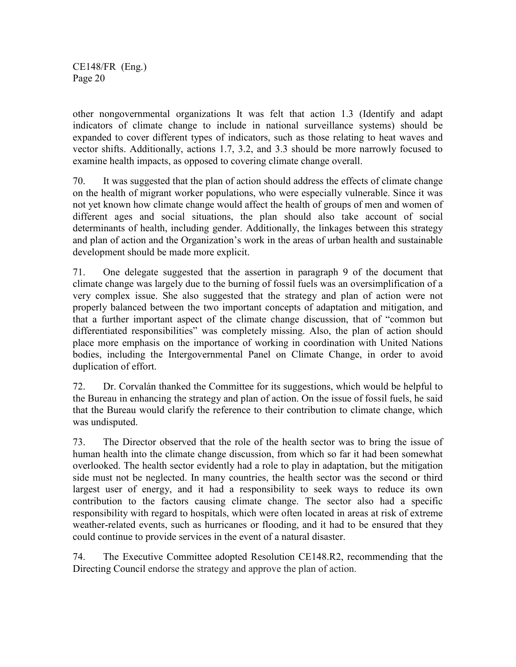other nongovernmental organizations It was felt that action 1.3 (Identify and adapt indicators of climate change to include in national surveillance systems) should be expanded to cover different types of indicators, such as those relating to heat waves and vector shifts. Additionally, actions 1.7, 3.2, and 3.3 should be more narrowly focused to examine health impacts, as opposed to covering climate change overall.

70. It was suggested that the plan of action should address the effects of climate change on the health of migrant worker populations, who were especially vulnerable. Since it was not yet known how climate change would affect the health of groups of men and women of different ages and social situations, the plan should also take account of social determinants of health, including gender. Additionally, the linkages between this strategy and plan of action and the Organization's work in the areas of urban health and sustainable development should be made more explicit.

71. One delegate suggested that the assertion in paragraph 9 of the document that climate change was largely due to the burning of fossil fuels was an oversimplification of a very complex issue. She also suggested that the strategy and plan of action were not properly balanced between the two important concepts of adaptation and mitigation, and that a further important aspect of the climate change discussion, that of "common but differentiated responsibilities" was completely missing. Also, the plan of action should place more emphasis on the importance of working in coordination with United Nations bodies, including the Intergovernmental Panel on Climate Change, in order to avoid duplication of effort.

72. Dr. Corvalán thanked the Committee for its suggestions, which would be helpful to the Bureau in enhancing the strategy and plan of action. On the issue of fossil fuels, he said that the Bureau would clarify the reference to their contribution to climate change, which was undisputed.

73. The Director observed that the role of the health sector was to bring the issue of human health into the climate change discussion, from which so far it had been somewhat overlooked. The health sector evidently had a role to play in adaptation, but the mitigation side must not be neglected. In many countries, the health sector was the second or third largest user of energy, and it had a responsibility to seek ways to reduce its own contribution to the factors causing climate change. The sector also had a specific responsibility with regard to hospitals, which were often located in areas at risk of extreme weather-related events, such as hurricanes or flooding, and it had to be ensured that they could continue to provide services in the event of a natural disaster.

74. The Executive Committee adopted Resolution CE148.R2, recommending that the Directing Council endorse the strategy and approve the plan of action.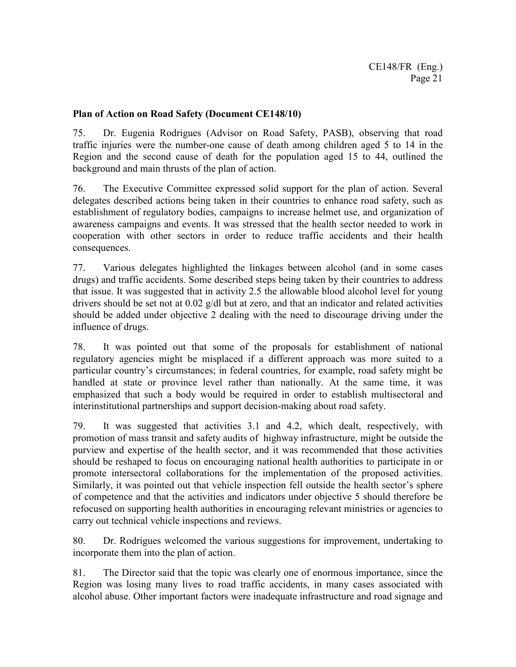#### **Plan of Action on Road Safety (Document CE148/10)**

75. Dr. Eugenia Rodrigues (Advisor on Road Safety, PASB), observing that road traffic injuries were the number-one cause of death among children aged 5 to 14 in the Region and the second cause of death for the population aged 15 to 44, outlined the background and main thrusts of the plan of action.

76. The Executive Committee expressed solid support for the plan of action. Several delegates described actions being taken in their countries to enhance road safety, such as establishment of regulatory bodies, campaigns to increase helmet use, and organization of awareness campaigns and events. It was stressed that the health sector needed to work in cooperation with other sectors in order to reduce traffic accidents and their health consequences.

77. Various delegates highlighted the linkages between alcohol (and in some cases drugs) and traffic accidents. Some described steps being taken by their countries to address that issue. It was suggested that in activity 2.5 the allowable blood alcohol level for young drivers should be set not at 0.02 g/dl but at zero, and that an indicator and related activities should be added under objective 2 dealing with the need to discourage driving under the influence of drugs.

78. It was pointed out that some of the proposals for establishment of national regulatory agencies might be misplaced if a different approach was more suited to a particular country's circumstances; in federal countries, for example, road safety might be handled at state or province level rather than nationally. At the same time, it was emphasized that such a body would be required in order to establish multisectoral and interinstitutional partnerships and support decision-making about road safety.

79. It was suggested that activities 3.1 and 4.2, which dealt, respectively, with promotion of mass transit and safety audits of highway infrastructure, might be outside the purview and expertise of the health sector, and it was recommended that those activities should be reshaped to focus on encouraging national health authorities to participate in or promote intersectoral collaborations for the implementation of the proposed activities. Similarly, it was pointed out that vehicle inspection fell outside the health sector's sphere of competence and that the activities and indicators under objective 5 should therefore be refocused on supporting health authorities in encouraging relevant ministries or agencies to carry out technical vehicle inspections and reviews.

80. Dr. Rodrigues welcomed the various suggestions for improvement, undertaking to incorporate them into the plan of action.

81. The Director said that the topic was clearly one of enormous importance, since the Region was losing many lives to road traffic accidents, in many cases associated with alcohol abuse. Other important factors were inadequate infrastructure and road signage and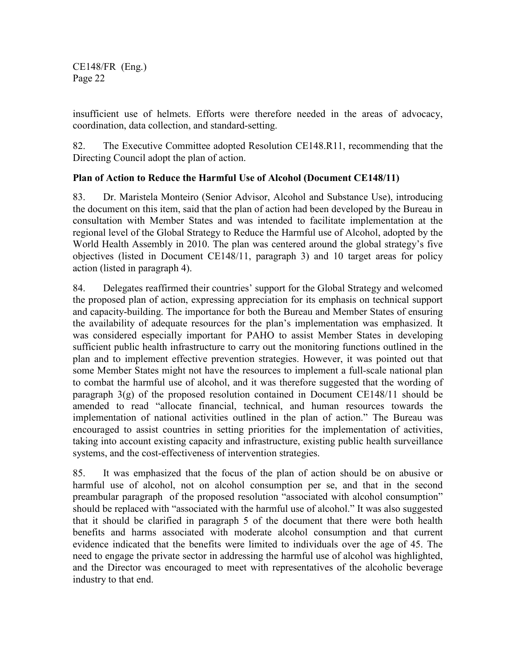insufficient use of helmets. Efforts were therefore needed in the areas of advocacy, coordination, data collection, and standard-setting.

82. The Executive Committee adopted Resolution CE148.R11, recommending that the Directing Council adopt the plan of action.

## **Plan of Action to Reduce the Harmful Use of Alcohol (Document CE148/11)**

83. Dr. Maristela Monteiro (Senior Advisor, Alcohol and Substance Use), introducing the document on this item, said that the plan of action had been developed by the Bureau in consultation with Member States and was intended to facilitate implementation at the regional level of the Global Strategy to Reduce the Harmful use of Alcohol, adopted by the World Health Assembly in 2010. The plan was centered around the global strategy's five objectives (listed in Document CE148/11, paragraph 3) and 10 target areas for policy action (listed in paragraph 4).

84. Delegates reaffirmed their countries' support for the Global Strategy and welcomed the proposed plan of action, expressing appreciation for its emphasis on technical support and capacity-building. The importance for both the Bureau and Member States of ensuring the availability of adequate resources for the plan's implementation was emphasized. It was considered especially important for PAHO to assist Member States in developing sufficient public health infrastructure to carry out the monitoring functions outlined in the plan and to implement effective prevention strategies. However, it was pointed out that some Member States might not have the resources to implement a full-scale national plan to combat the harmful use of alcohol, and it was therefore suggested that the wording of paragraph 3(g) of the proposed resolution contained in Document CE148/11 should be amended to read "allocate financial, technical, and human resources towards the implementation of national activities outlined in the plan of action." The Bureau was encouraged to assist countries in setting priorities for the implementation of activities, taking into account existing capacity and infrastructure, existing public health surveillance systems, and the cost-effectiveness of intervention strategies.

85. It was emphasized that the focus of the plan of action should be on abusive or harmful use of alcohol, not on alcohol consumption per se, and that in the second preambular paragraph of the proposed resolution "associated with alcohol consumption" should be replaced with "associated with the harmful use of alcohol." It was also suggested that it should be clarified in paragraph 5 of the document that there were both health benefits and harms associated with moderate alcohol consumption and that current evidence indicated that the benefits were limited to individuals over the age of 45. The need to engage the private sector in addressing the harmful use of alcohol was highlighted, and the Director was encouraged to meet with representatives of the alcoholic beverage industry to that end.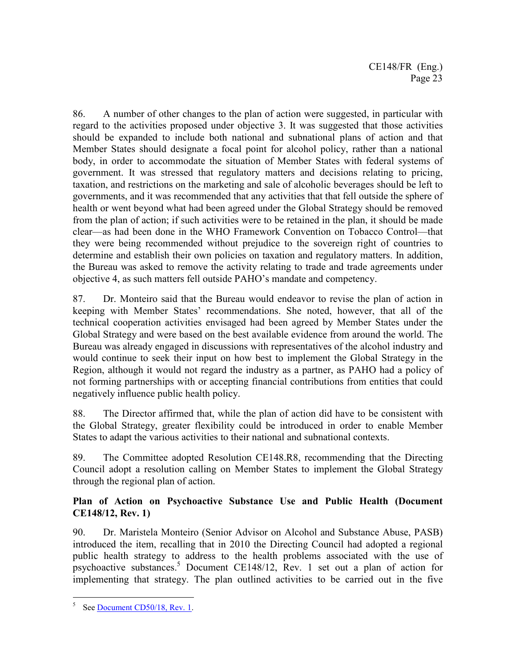86. A number of other changes to the plan of action were suggested, in particular with regard to the activities proposed under objective 3. It was suggested that those activities should be expanded to include both national and subnational plans of action and that Member States should designate a focal point for alcohol policy, rather than a national body, in order to accommodate the situation of Member States with federal systems of government. It was stressed that regulatory matters and decisions relating to pricing, taxation, and restrictions on the marketing and sale of alcoholic beverages should be left to governments, and it was recommended that any activities that that fell outside the sphere of health or went beyond what had been agreed under the Global Strategy should be removed from the plan of action; if such activities were to be retained in the plan, it should be made clear—as had been done in the WHO Framework Convention on Tobacco Control—that they were being recommended without prejudice to the sovereign right of countries to determine and establish their own policies on taxation and regulatory matters. In addition, the Bureau was asked to remove the activity relating to trade and trade agreements under objective 4, as such matters fell outside PAHO's mandate and competency.

87. Dr. Monteiro said that the Bureau would endeavor to revise the plan of action in keeping with Member States' recommendations. She noted, however, that all of the technical cooperation activities envisaged had been agreed by Member States under the Global Strategy and were based on the best available evidence from around the world. The Bureau was already engaged in discussions with representatives of the alcohol industry and would continue to seek their input on how best to implement the Global Strategy in the Region, although it would not regard the industry as a partner, as PAHO had a policy of not forming partnerships with or accepting financial contributions from entities that could negatively influence public health policy.

88. The Director affirmed that, while the plan of action did have to be consistent with the Global Strategy, greater flexibility could be introduced in order to enable Member States to adapt the various activities to their national and subnational contexts.

89. The Committee adopted Resolution CE148.R8, recommending that the Directing Council adopt a resolution calling on Member States to implement the Global Strategy through the regional plan of action.

## **Plan of Action on Psychoactive Substance Use and Public Health (Document CE148/12, Rev. 1)**

90. Dr. Maristela Monteiro (Senior Advisor on Alcohol and Substance Abuse, PASB) introduced the item, recalling that in 2010 the Directing Council had adopted a regional public health strategy to address to the health problems associated with the use of psychoactive substances.<sup>5</sup> Document CE148/12, Rev. 1 set out a plan of action for implementing that strategy. The plan outlined activities to be carried out in the five

 $\overline{a}$ 

<sup>5</sup> See Document CD50/18, Rev. 1.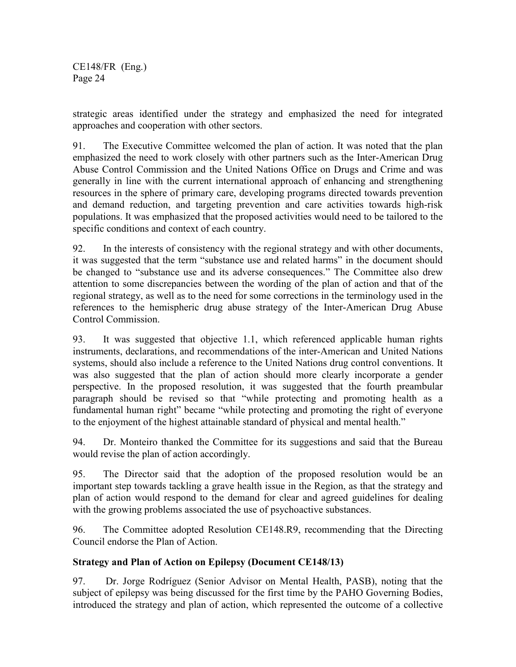strategic areas identified under the strategy and emphasized the need for integrated approaches and cooperation with other sectors.

91. The Executive Committee welcomed the plan of action. It was noted that the plan emphasized the need to work closely with other partners such as the Inter-American Drug Abuse Control Commission and the United Nations Office on Drugs and Crime and was generally in line with the current international approach of enhancing and strengthening resources in the sphere of primary care, developing programs directed towards prevention and demand reduction, and targeting prevention and care activities towards high-risk populations. It was emphasized that the proposed activities would need to be tailored to the specific conditions and context of each country.

92. In the interests of consistency with the regional strategy and with other documents, it was suggested that the term "substance use and related harms" in the document should be changed to "substance use and its adverse consequences." The Committee also drew attention to some discrepancies between the wording of the plan of action and that of the regional strategy, as well as to the need for some corrections in the terminology used in the references to the hemispheric drug abuse strategy of the Inter-American Drug Abuse Control Commission.

93. It was suggested that objective 1.1, which referenced applicable human rights instruments, declarations, and recommendations of the inter-American and United Nations systems, should also include a reference to the United Nations drug control conventions. It was also suggested that the plan of action should more clearly incorporate a gender perspective. In the proposed resolution, it was suggested that the fourth preambular paragraph should be revised so that "while protecting and promoting health as a fundamental human right" became "while protecting and promoting the right of everyone to the enjoyment of the highest attainable standard of physical and mental health."

94. Dr. Monteiro thanked the Committee for its suggestions and said that the Bureau would revise the plan of action accordingly.

95. The Director said that the adoption of the proposed resolution would be an important step towards tackling a grave health issue in the Region, as that the strategy and plan of action would respond to the demand for clear and agreed guidelines for dealing with the growing problems associated the use of psychoactive substances.

96. The Committee adopted Resolution CE148.R9, recommending that the Directing Council endorse the Plan of Action.

## **Strategy and Plan of Action on Epilepsy (Document CE148/13)**

97. Dr. Jorge Rodríguez (Senior Advisor on Mental Health, PASB), noting that the subject of epilepsy was being discussed for the first time by the PAHO Governing Bodies, introduced the strategy and plan of action, which represented the outcome of a collective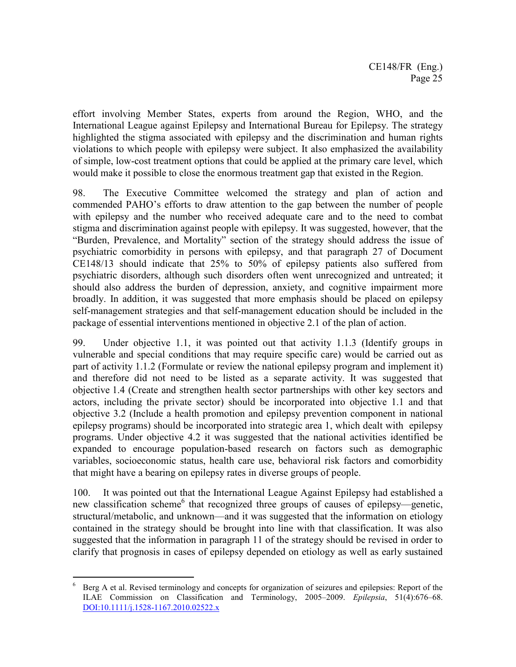effort involving Member States, experts from around the Region, WHO, and the International League against Epilepsy and International Bureau for Epilepsy. The strategy highlighted the stigma associated with epilepsy and the discrimination and human rights violations to which people with epilepsy were subject. It also emphasized the availability of simple, low-cost treatment options that could be applied at the primary care level, which would make it possible to close the enormous treatment gap that existed in the Region.

98. The Executive Committee welcomed the strategy and plan of action and commended PAHO's efforts to draw attention to the gap between the number of people with epilepsy and the number who received adequate care and to the need to combat stigma and discrimination against people with epilepsy. It was suggested, however, that the "Burden, Prevalence, and Mortality" section of the strategy should address the issue of psychiatric comorbidity in persons with epilepsy, and that paragraph 27 of Document CE148/13 should indicate that 25% to 50% of epilepsy patients also suffered from psychiatric disorders, although such disorders often went unrecognized and untreated; it should also address the burden of depression, anxiety, and cognitive impairment more broadly. In addition, it was suggested that more emphasis should be placed on epilepsy self-management strategies and that self-management education should be included in the package of essential interventions mentioned in objective 2.1 of the plan of action.

99. Under objective 1.1, it was pointed out that activity 1.1.3 (Identify groups in vulnerable and special conditions that may require specific care) would be carried out as part of activity 1.1.2 (Formulate or review the national epilepsy program and implement it) and therefore did not need to be listed as a separate activity. It was suggested that objective 1.4 (Create and strengthen health sector partnerships with other key sectors and actors, including the private sector) should be incorporated into objective 1.1 and that objective 3.2 (Include a health promotion and epilepsy prevention component in national epilepsy programs) should be incorporated into strategic area 1, which dealt with epilepsy programs. Under objective 4.2 it was suggested that the national activities identified be expanded to encourage population-based research on factors such as demographic variables, socioeconomic status, health care use, behavioral risk factors and comorbidity that might have a bearing on epilepsy rates in diverse groups of people.

100. It was pointed out that the International League Against Epilepsy had established a new classification scheme<sup>6</sup> that recognized three groups of causes of epilepsy-genetic, structural/metabolic, and unknown—and it was suggested that the information on etiology contained in the strategy should be brought into line with that classification. It was also suggested that the information in paragraph 11 of the strategy should be revised in order to clarify that prognosis in cases of epilepsy depended on etiology as well as early sustained

 $\overline{a}$ 

<sup>6</sup> Berg A et al. Revised terminology and concepts for organization of seizures and epilepsies: Report of the ILAE Commission on Classification and Terminology, 2005–2009. *Epilepsia*, 51(4):676–68. DOI:10.1111/j.1528-1167.2010.02522.x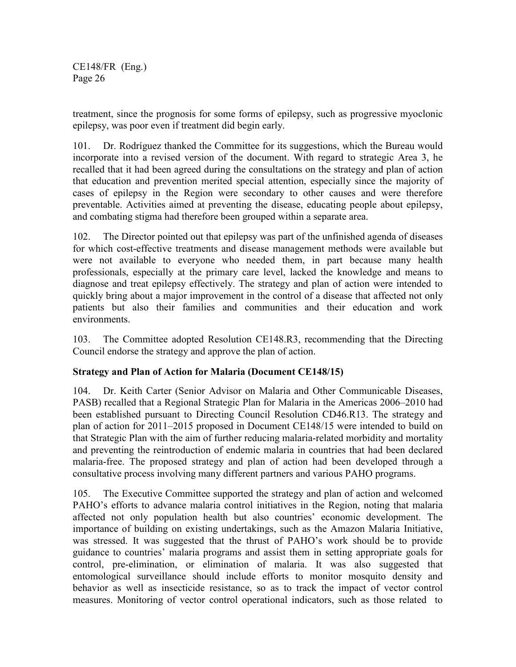treatment, since the prognosis for some forms of epilepsy, such as progressive myoclonic epilepsy, was poor even if treatment did begin early.

101. Dr. Rodríguez thanked the Committee for its suggestions, which the Bureau would incorporate into a revised version of the document. With regard to strategic Area 3, he recalled that it had been agreed during the consultations on the strategy and plan of action that education and prevention merited special attention, especially since the majority of cases of epilepsy in the Region were secondary to other causes and were therefore preventable. Activities aimed at preventing the disease, educating people about epilepsy, and combating stigma had therefore been grouped within a separate area.

102. The Director pointed out that epilepsy was part of the unfinished agenda of diseases for which cost-effective treatments and disease management methods were available but were not available to everyone who needed them, in part because many health professionals, especially at the primary care level, lacked the knowledge and means to diagnose and treat epilepsy effectively. The strategy and plan of action were intended to quickly bring about a major improvement in the control of a disease that affected not only patients but also their families and communities and their education and work environments.

103. The Committee adopted Resolution CE148.R3, recommending that the Directing Council endorse the strategy and approve the plan of action.

### **Strategy and Plan of Action for Malaria (Document CE148/15)**

104. Dr. Keith Carter (Senior Advisor on Malaria and Other Communicable Diseases, PASB) recalled that a Regional Strategic Plan for Malaria in the Americas 2006–2010 had been established pursuant to Directing Council Resolution CD46.R13. The strategy and plan of action for 2011–2015 proposed in Document CE148/15 were intended to build on that Strategic Plan with the aim of further reducing malaria-related morbidity and mortality and preventing the reintroduction of endemic malaria in countries that had been declared malaria-free. The proposed strategy and plan of action had been developed through a consultative process involving many different partners and various PAHO programs.

105. The Executive Committee supported the strategy and plan of action and welcomed PAHO's efforts to advance malaria control initiatives in the Region, noting that malaria affected not only population health but also countries' economic development. The importance of building on existing undertakings, such as the Amazon Malaria Initiative, was stressed. It was suggested that the thrust of PAHO's work should be to provide guidance to countries' malaria programs and assist them in setting appropriate goals for control, pre-elimination, or elimination of malaria. It was also suggested that entomological surveillance should include efforts to monitor mosquito density and behavior as well as insecticide resistance, so as to track the impact of vector control measures. Monitoring of vector control operational indicators, such as those related to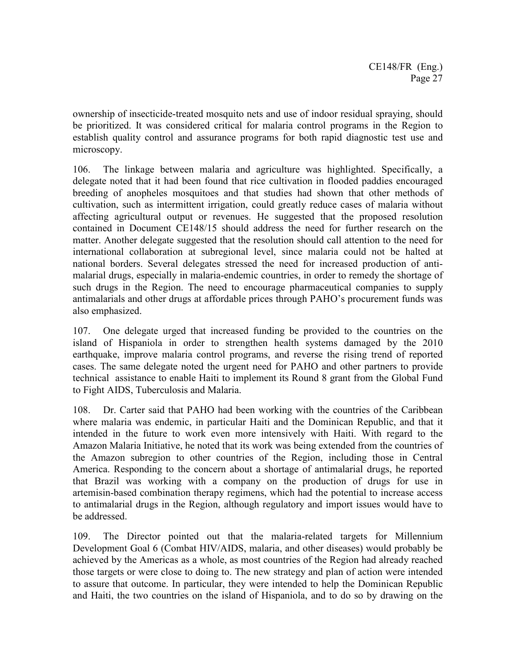ownership of insecticide-treated mosquito nets and use of indoor residual spraying, should be prioritized. It was considered critical for malaria control programs in the Region to establish quality control and assurance programs for both rapid diagnostic test use and microscopy.

106. The linkage between malaria and agriculture was highlighted. Specifically, a delegate noted that it had been found that rice cultivation in flooded paddies encouraged breeding of anopheles mosquitoes and that studies had shown that other methods of cultivation, such as intermittent irrigation, could greatly reduce cases of malaria without affecting agricultural output or revenues. He suggested that the proposed resolution contained in Document CE148/15 should address the need for further research on the matter. Another delegate suggested that the resolution should call attention to the need for international collaboration at subregional level, since malaria could not be halted at national borders. Several delegates stressed the need for increased production of antimalarial drugs, especially in malaria-endemic countries, in order to remedy the shortage of such drugs in the Region. The need to encourage pharmaceutical companies to supply antimalarials and other drugs at affordable prices through PAHO's procurement funds was also emphasized.

107. One delegate urged that increased funding be provided to the countries on the island of Hispaniola in order to strengthen health systems damaged by the 2010 earthquake, improve malaria control programs, and reverse the rising trend of reported cases. The same delegate noted the urgent need for PAHO and other partners to provide technical assistance to enable Haiti to implement its Round 8 grant from the Global Fund to Fight AIDS, Tuberculosis and Malaria.

108. Dr. Carter said that PAHO had been working with the countries of the Caribbean where malaria was endemic, in particular Haiti and the Dominican Republic, and that it intended in the future to work even more intensively with Haiti. With regard to the Amazon Malaria Initiative, he noted that its work was being extended from the countries of the Amazon subregion to other countries of the Region, including those in Central America. Responding to the concern about a shortage of antimalarial drugs, he reported that Brazil was working with a company on the production of drugs for use in artemisin-based combination therapy regimens, which had the potential to increase access to antimalarial drugs in the Region, although regulatory and import issues would have to be addressed.

109. The Director pointed out that the malaria-related targets for Millennium Development Goal 6 (Combat HIV/AIDS, malaria, and other diseases) would probably be achieved by the Americas as a whole, as most countries of the Region had already reached those targets or were close to doing to. The new strategy and plan of action were intended to assure that outcome. In particular, they were intended to help the Dominican Republic and Haiti, the two countries on the island of Hispaniola, and to do so by drawing on the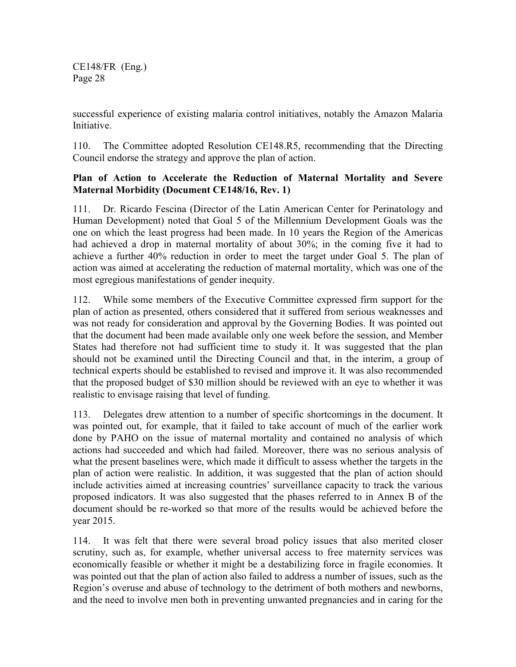successful experience of existing malaria control initiatives, notably the Amazon Malaria **Initiative** 

110. The Committee adopted Resolution CE148.R5, recommending that the Directing Council endorse the strategy and approve the plan of action.

#### **Plan of Action to Accelerate the Reduction of Maternal Mortality and Severe Maternal Morbidity (Document CE148/16, Rev. 1)**

111. Dr. Ricardo Fescina (Director of the Latin American Center for Perinatology and Human Development) noted that Goal 5 of the Millennium Development Goals was the one on which the least progress had been made. In 10 years the Region of the Americas had achieved a drop in maternal mortality of about 30%; in the coming five it had to achieve a further 40% reduction in order to meet the target under Goal 5. The plan of action was aimed at accelerating the reduction of maternal mortality, which was one of the most egregious manifestations of gender inequity.

112. While some members of the Executive Committee expressed firm support for the plan of action as presented, others considered that it suffered from serious weaknesses and was not ready for consideration and approval by the Governing Bodies. It was pointed out that the document had been made available only one week before the session, and Member States had therefore not had sufficient time to study it. It was suggested that the plan should not be examined until the Directing Council and that, in the interim, a group of technical experts should be established to revised and improve it. It was also recommended that the proposed budget of \$30 million should be reviewed with an eye to whether it was realistic to envisage raising that level of funding.

113. Delegates drew attention to a number of specific shortcomings in the document. It was pointed out, for example, that it failed to take account of much of the earlier work done by PAHO on the issue of maternal mortality and contained no analysis of which actions had succeeded and which had failed. Moreover, there was no serious analysis of what the present baselines were, which made it difficult to assess whether the targets in the plan of action were realistic. In addition, it was suggested that the plan of action should include activities aimed at increasing countries' surveillance capacity to track the various proposed indicators. It was also suggested that the phases referred to in Annex B of the document should be re-worked so that more of the results would be achieved before the year 2015.

114. It was felt that there were several broad policy issues that also merited closer scrutiny, such as, for example, whether universal access to free maternity services was economically feasible or whether it might be a destabilizing force in fragile economies. It was pointed out that the plan of action also failed to address a number of issues, such as the Region's overuse and abuse of technology to the detriment of both mothers and newborns, and the need to involve men both in preventing unwanted pregnancies and in caring for the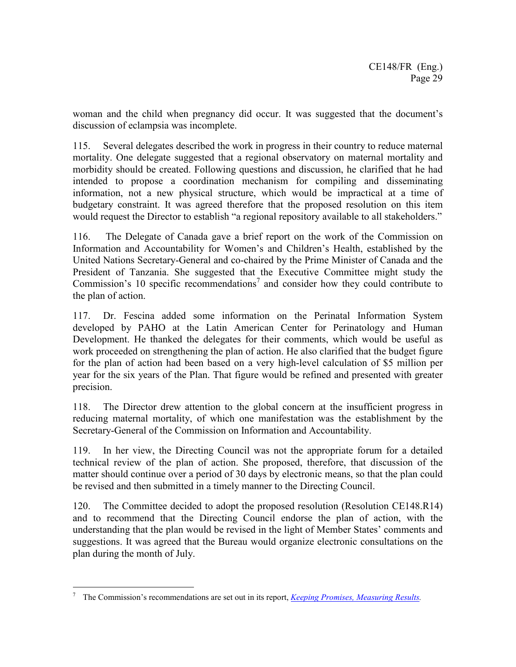woman and the child when pregnancy did occur. It was suggested that the document's discussion of eclampsia was incomplete.

115. Several delegates described the work in progress in their country to reduce maternal mortality. One delegate suggested that a regional observatory on maternal mortality and morbidity should be created. Following questions and discussion, he clarified that he had intended to propose a coordination mechanism for compiling and disseminating information, not a new physical structure, which would be impractical at a time of budgetary constraint. It was agreed therefore that the proposed resolution on this item would request the Director to establish "a regional repository available to all stakeholders."

116. The Delegate of Canada gave a brief report on the work of the Commission on Information and Accountability for Women's and Children's Health, established by the United Nations Secretary-General and co-chaired by the Prime Minister of Canada and the President of Tanzania. She suggested that the Executive Committee might study the Commission's 10 specific recommendations<sup>7</sup> and consider how they could contribute to the plan of action.

117. Dr. Fescina added some information on the Perinatal Information System developed by PAHO at the Latin American Center for Perinatology and Human Development. He thanked the delegates for their comments, which would be useful as work proceeded on strengthening the plan of action. He also clarified that the budget figure for the plan of action had been based on a very high-level calculation of \$5 million per year for the six years of the Plan. That figure would be refined and presented with greater precision.

118. The Director drew attention to the global concern at the insufficient progress in reducing maternal mortality, of which one manifestation was the establishment by the Secretary-General of the Commission on Information and Accountability.

119. In her view, the Directing Council was not the appropriate forum for a detailed technical review of the plan of action. She proposed, therefore, that discussion of the matter should continue over a period of 30 days by electronic means, so that the plan could be revised and then submitted in a timely manner to the Directing Council.

120. The Committee decided to adopt the proposed resolution (Resolution CE148.R14) and to recommend that the Directing Council endorse the plan of action, with the understanding that the plan would be revised in the light of Member States' comments and suggestions. It was agreed that the Bureau would organize electronic consultations on the plan during the month of July.

 $\overline{a}$ 7 The Commission's recommendations are set out in its report, *Keeping Promises, Measuring Results.*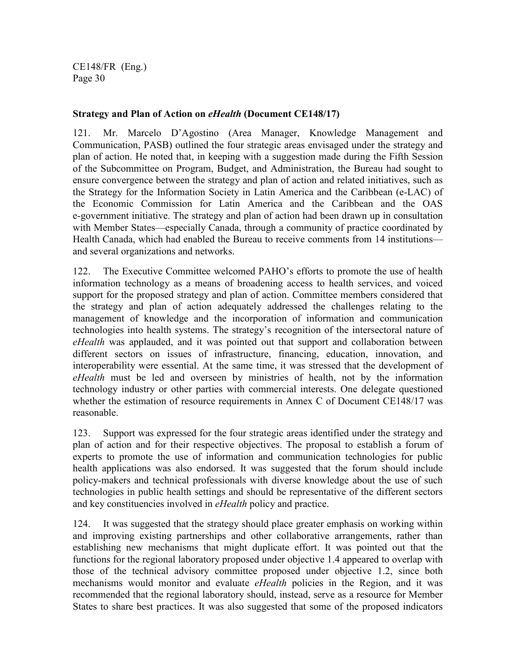#### **Strategy and Plan of Action on** *eHealth* **(Document CE148/17)**

121. Mr. Marcelo D'Agostino (Area Manager, Knowledge Management and Communication, PASB) outlined the four strategic areas envisaged under the strategy and plan of action. He noted that, in keeping with a suggestion made during the Fifth Session of the Subcommittee on Program, Budget, and Administration, the Bureau had sought to ensure convergence between the strategy and plan of action and related initiatives, such as the Strategy for the Information Society in Latin America and the Caribbean (e-LAC) of the Economic Commission for Latin America and the Caribbean and the OAS e-government initiative. The strategy and plan of action had been drawn up in consultation with Member States—especially Canada, through a community of practice coordinated by Health Canada, which had enabled the Bureau to receive comments from 14 institutions and several organizations and networks.

122. The Executive Committee welcomed PAHO's efforts to promote the use of health information technology as a means of broadening access to health services, and voiced support for the proposed strategy and plan of action. Committee members considered that the strategy and plan of action adequately addressed the challenges relating to the management of knowledge and the incorporation of information and communication technologies into health systems. The strategy's recognition of the intersectoral nature of *eHealth* was applauded, and it was pointed out that support and collaboration between different sectors on issues of infrastructure, financing, education, innovation, and interoperability were essential. At the same time, it was stressed that the development of *eHealth* must be led and overseen by ministries of health, not by the information technology industry or other parties with commercial interests. One delegate questioned whether the estimation of resource requirements in Annex C of Document CE148/17 was reasonable.

123. Support was expressed for the four strategic areas identified under the strategy and plan of action and for their respective objectives. The proposal to establish a forum of experts to promote the use of information and communication technologies for public health applications was also endorsed. It was suggested that the forum should include policy-makers and technical professionals with diverse knowledge about the use of such technologies in public health settings and should be representative of the different sectors and key constituencies involved in *eHealth* policy and practice.

124. It was suggested that the strategy should place greater emphasis on working within and improving existing partnerships and other collaborative arrangements, rather than establishing new mechanisms that might duplicate effort. It was pointed out that the functions for the regional laboratory proposed under objective 1.4 appeared to overlap with those of the technical advisory committee proposed under objective 1.2, since both mechanisms would monitor and evaluate *eHealth* policies in the Region, and it was recommended that the regional laboratory should, instead, serve as a resource for Member States to share best practices. It was also suggested that some of the proposed indicators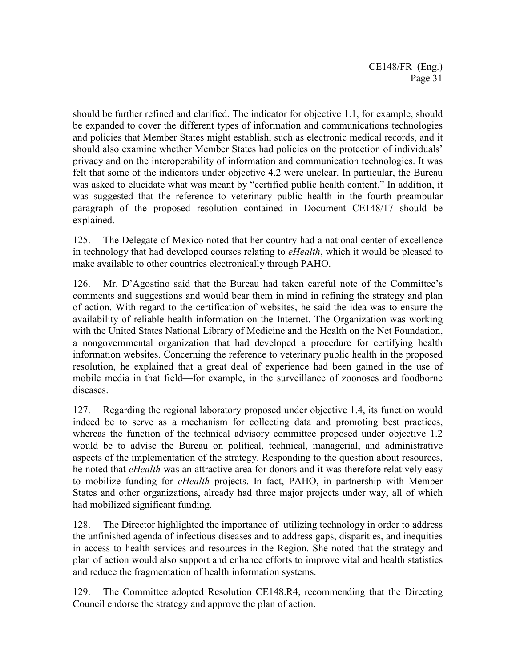should be further refined and clarified. The indicator for objective 1.1, for example, should be expanded to cover the different types of information and communications technologies and policies that Member States might establish, such as electronic medical records, and it should also examine whether Member States had policies on the protection of individuals' privacy and on the interoperability of information and communication technologies. It was felt that some of the indicators under objective 4.2 were unclear. In particular, the Bureau was asked to elucidate what was meant by "certified public health content." In addition, it was suggested that the reference to veterinary public health in the fourth preambular paragraph of the proposed resolution contained in Document CE148/17 should be explained.

125. The Delegate of Mexico noted that her country had a national center of excellence in technology that had developed courses relating to *eHealth*, which it would be pleased to make available to other countries electronically through PAHO.

126. Mr. D'Agostino said that the Bureau had taken careful note of the Committee's comments and suggestions and would bear them in mind in refining the strategy and plan of action. With regard to the certification of websites, he said the idea was to ensure the availability of reliable health information on the Internet. The Organization was working with the United States National Library of Medicine and the Health on the Net Foundation, a nongovernmental organization that had developed a procedure for certifying health information websites. Concerning the reference to veterinary public health in the proposed resolution, he explained that a great deal of experience had been gained in the use of mobile media in that field—for example, in the surveillance of zoonoses and foodborne diseases.

127. Regarding the regional laboratory proposed under objective 1.4, its function would indeed be to serve as a mechanism for collecting data and promoting best practices, whereas the function of the technical advisory committee proposed under objective 1.2 would be to advise the Bureau on political, technical, managerial, and administrative aspects of the implementation of the strategy. Responding to the question about resources, he noted that *eHealth* was an attractive area for donors and it was therefore relatively easy to mobilize funding for *eHealth* projects. In fact, PAHO, in partnership with Member States and other organizations, already had three major projects under way, all of which had mobilized significant funding.

128. The Director highlighted the importance of utilizing technology in order to address the unfinished agenda of infectious diseases and to address gaps, disparities, and inequities in access to health services and resources in the Region. She noted that the strategy and plan of action would also support and enhance efforts to improve vital and health statistics and reduce the fragmentation of health information systems.

129. The Committee adopted Resolution CE148.R4, recommending that the Directing Council endorse the strategy and approve the plan of action.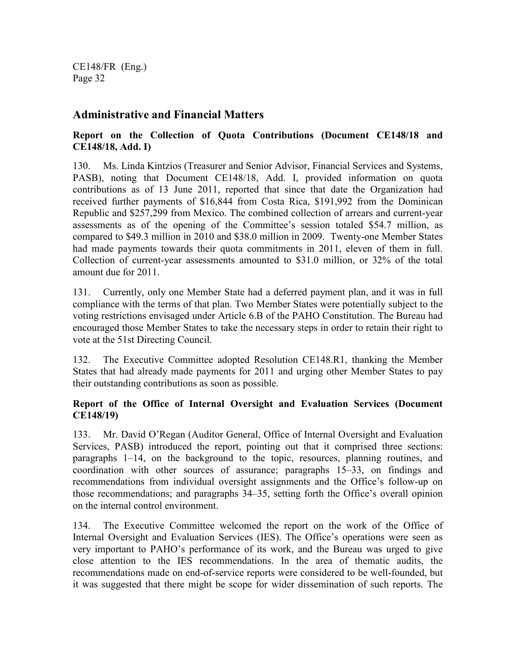## **Administrative and Financial Matters**

## **Report on the Collection of Quota Contributions (Document CE148/18 and CE148/18, Add. I)**

130. Ms. Linda Kintzios (Treasurer and Senior Advisor, Financial Services and Systems, PASB), noting that Document CE148/18, Add. I, provided information on quota contributions as of 13 June 2011, reported that since that date the Organization had received further payments of \$16,844 from Costa Rica, \$191,992 from the Dominican Republic and \$257,299 from Mexico. The combined collection of arrears and current-year assessments as of the opening of the Committee's session totaled \$54.7 million, as compared to \$49.3 million in 2010 and \$38.0 million in 2009. Twenty-one Member States had made payments towards their quota commitments in 2011, eleven of them in full. Collection of current-year assessments amounted to \$31.0 million, or 32% of the total amount due for 2011.

131. Currently, only one Member State had a deferred payment plan, and it was in full compliance with the terms of that plan. Two Member States were potentially subject to the voting restrictions envisaged under Article 6.B of the PAHO Constitution. The Bureau had encouraged those Member States to take the necessary steps in order to retain their right to vote at the 51st Directing Council.

132. The Executive Committee adopted Resolution CE148.R1, thanking the Member States that had already made payments for 2011 and urging other Member States to pay their outstanding contributions as soon as possible.

### **Report of the Office of Internal Oversight and Evaluation Services (Document CE148/19)**

133. Mr. David O'Regan (Auditor General, Office of Internal Oversight and Evaluation Services, PASB) introduced the report, pointing out that it comprised three sections: paragraphs 1–14, on the background to the topic, resources, planning routines, and coordination with other sources of assurance; paragraphs 15–33, on findings and recommendations from individual oversight assignments and the Office's follow-up on those recommendations; and paragraphs 34–35, setting forth the Office's overall opinion on the internal control environment.

134. The Executive Committee welcomed the report on the work of the Office of Internal Oversight and Evaluation Services (IES). The Office's operations were seen as very important to PAHO's performance of its work, and the Bureau was urged to give close attention to the IES recommendations. In the area of thematic audits, the recommendations made on end-of-service reports were considered to be well-founded, but it was suggested that there might be scope for wider dissemination of such reports. The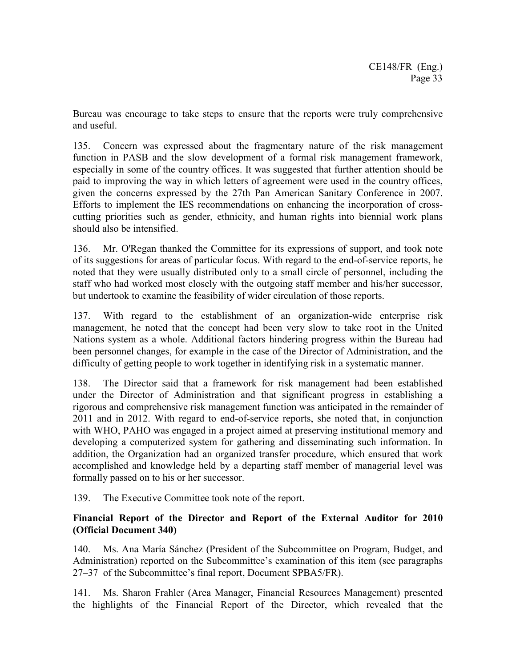Bureau was encourage to take steps to ensure that the reports were truly comprehensive and useful.

135. Concern was expressed about the fragmentary nature of the risk management function in PASB and the slow development of a formal risk management framework, especially in some of the country offices. It was suggested that further attention should be paid to improving the way in which letters of agreement were used in the country offices, given the concerns expressed by the 27th Pan American Sanitary Conference in 2007. Efforts to implement the IES recommendations on enhancing the incorporation of crosscutting priorities such as gender, ethnicity, and human rights into biennial work plans should also be intensified.

136. Mr. O'Regan thanked the Committee for its expressions of support, and took note of its suggestions for areas of particular focus. With regard to the end-of-service reports, he noted that they were usually distributed only to a small circle of personnel, including the staff who had worked most closely with the outgoing staff member and his/her successor, but undertook to examine the feasibility of wider circulation of those reports.

137. With regard to the establishment of an organization-wide enterprise risk management, he noted that the concept had been very slow to take root in the United Nations system as a whole. Additional factors hindering progress within the Bureau had been personnel changes, for example in the case of the Director of Administration, and the difficulty of getting people to work together in identifying risk in a systematic manner.

138. The Director said that a framework for risk management had been established under the Director of Administration and that significant progress in establishing a rigorous and comprehensive risk management function was anticipated in the remainder of 2011 and in 2012. With regard to end-of-service reports, she noted that, in conjunction with WHO, PAHO was engaged in a project aimed at preserving institutional memory and developing a computerized system for gathering and disseminating such information. In addition, the Organization had an organized transfer procedure, which ensured that work accomplished and knowledge held by a departing staff member of managerial level was formally passed on to his or her successor.

139. The Executive Committee took note of the report.

#### **Financial Report of the Director and Report of the External Auditor for 2010 (Official Document 340)**

140. Ms. Ana María Sánchez (President of the Subcommittee on Program, Budget, and Administration) reported on the Subcommittee's examination of this item (see paragraphs 27–37 of the Subcommittee's final report, Document SPBA5/FR).

141. Ms. Sharon Frahler (Area Manager, Financial Resources Management) presented the highlights of the Financial Report of the Director, which revealed that the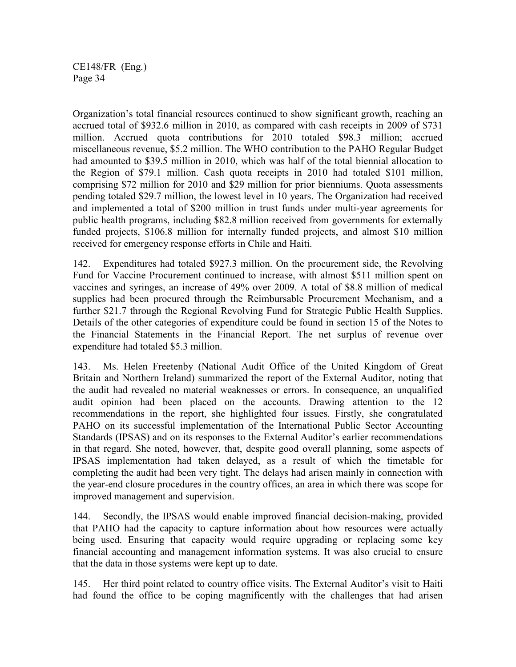Organization's total financial resources continued to show significant growth, reaching an accrued total of \$932.6 million in 2010, as compared with cash receipts in 2009 of \$731 million. Accrued quota contributions for 2010 totaled \$98.3 million; accrued miscellaneous revenue, \$5.2 million. The WHO contribution to the PAHO Regular Budget had amounted to \$39.5 million in 2010, which was half of the total biennial allocation to the Region of \$79.1 million. Cash quota receipts in 2010 had totaled \$101 million, comprising \$72 million for 2010 and \$29 million for prior bienniums. Quota assessments pending totaled \$29.7 million, the lowest level in 10 years. The Organization had received and implemented a total of \$200 million in trust funds under multi-year agreements for public health programs, including \$82.8 million received from governments for externally funded projects, \$106.8 million for internally funded projects, and almost \$10 million received for emergency response efforts in Chile and Haiti.

142. Expenditures had totaled \$927.3 million. On the procurement side, the Revolving Fund for Vaccine Procurement continued to increase, with almost \$511 million spent on vaccines and syringes, an increase of 49% over 2009. A total of \$8.8 million of medical supplies had been procured through the Reimbursable Procurement Mechanism, and a further \$21.7 through the Regional Revolving Fund for Strategic Public Health Supplies. Details of the other categories of expenditure could be found in section 15 of the Notes to the Financial Statements in the Financial Report. The net surplus of revenue over expenditure had totaled \$5.3 million.

143. Ms. Helen Freetenby (National Audit Office of the United Kingdom of Great Britain and Northern Ireland) summarized the report of the External Auditor, noting that the audit had revealed no material weaknesses or errors. In consequence, an unqualified audit opinion had been placed on the accounts. Drawing attention to the 12 recommendations in the report, she highlighted four issues. Firstly, she congratulated PAHO on its successful implementation of the International Public Sector Accounting Standards (IPSAS) and on its responses to the External Auditor's earlier recommendations in that regard. She noted, however, that, despite good overall planning, some aspects of IPSAS implementation had taken delayed, as a result of which the timetable for completing the audit had been very tight. The delays had arisen mainly in connection with the year-end closure procedures in the country offices, an area in which there was scope for improved management and supervision.

144. Secondly, the IPSAS would enable improved financial decision-making, provided that PAHO had the capacity to capture information about how resources were actually being used. Ensuring that capacity would require upgrading or replacing some key financial accounting and management information systems. It was also crucial to ensure that the data in those systems were kept up to date.

145. Her third point related to country office visits. The External Auditor's visit to Haiti had found the office to be coping magnificently with the challenges that had arisen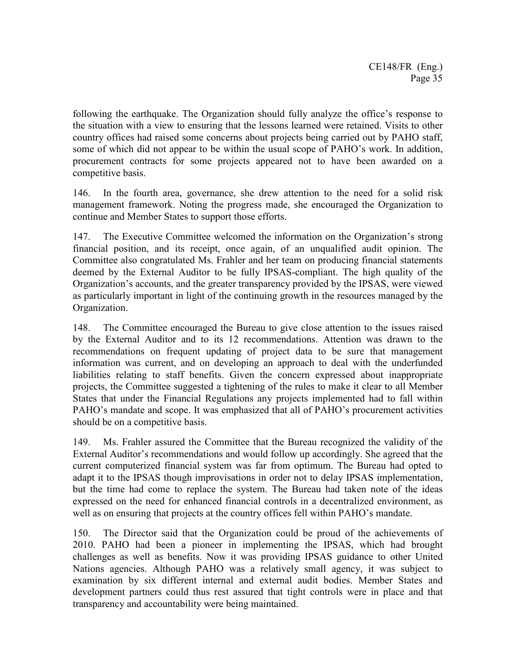following the earthquake. The Organization should fully analyze the office's response to the situation with a view to ensuring that the lessons learned were retained. Visits to other country offices had raised some concerns about projects being carried out by PAHO staff, some of which did not appear to be within the usual scope of PAHO's work. In addition, procurement contracts for some projects appeared not to have been awarded on a competitive basis.

146. In the fourth area, governance, she drew attention to the need for a solid risk management framework. Noting the progress made, she encouraged the Organization to continue and Member States to support those efforts.

147. The Executive Committee welcomed the information on the Organization's strong financial position, and its receipt, once again, of an unqualified audit opinion. The Committee also congratulated Ms. Frahler and her team on producing financial statements deemed by the External Auditor to be fully IPSAS-compliant. The high quality of the Organization's accounts, and the greater transparency provided by the IPSAS, were viewed as particularly important in light of the continuing growth in the resources managed by the Organization.

148. The Committee encouraged the Bureau to give close attention to the issues raised by the External Auditor and to its 12 recommendations. Attention was drawn to the recommendations on frequent updating of project data to be sure that management information was current, and on developing an approach to deal with the underfunded liabilities relating to staff benefits. Given the concern expressed about inappropriate projects, the Committee suggested a tightening of the rules to make it clear to all Member States that under the Financial Regulations any projects implemented had to fall within PAHO's mandate and scope. It was emphasized that all of PAHO's procurement activities should be on a competitive basis.

149. Ms. Frahler assured the Committee that the Bureau recognized the validity of the External Auditor's recommendations and would follow up accordingly. She agreed that the current computerized financial system was far from optimum. The Bureau had opted to adapt it to the IPSAS though improvisations in order not to delay IPSAS implementation, but the time had come to replace the system. The Bureau had taken note of the ideas expressed on the need for enhanced financial controls in a decentralized environment, as well as on ensuring that projects at the country offices fell within PAHO's mandate.

150. The Director said that the Organization could be proud of the achievements of 2010. PAHO had been a pioneer in implementing the IPSAS, which had brought challenges as well as benefits. Now it was providing IPSAS guidance to other United Nations agencies. Although PAHO was a relatively small agency, it was subject to examination by six different internal and external audit bodies. Member States and development partners could thus rest assured that tight controls were in place and that transparency and accountability were being maintained.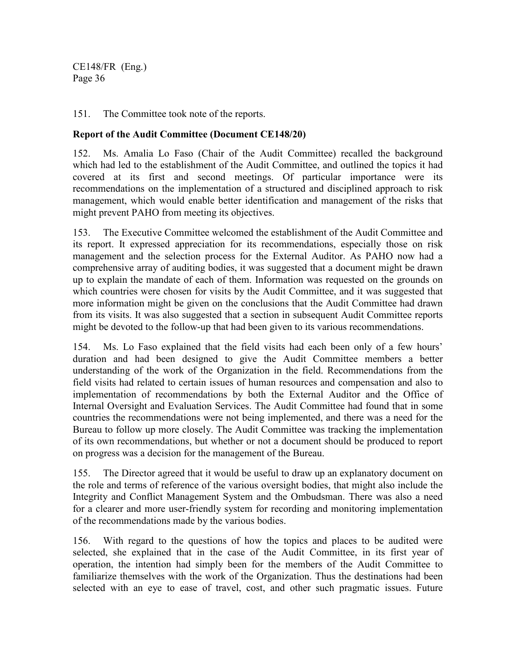151. The Committee took note of the reports.

#### **Report of the Audit Committee (Document CE148/20)**

152. Ms. Amalia Lo Faso (Chair of the Audit Committee) recalled the background which had led to the establishment of the Audit Committee, and outlined the topics it had covered at its first and second meetings. Of particular importance were its recommendations on the implementation of a structured and disciplined approach to risk management, which would enable better identification and management of the risks that might prevent PAHO from meeting its objectives.

153. The Executive Committee welcomed the establishment of the Audit Committee and its report. It expressed appreciation for its recommendations, especially those on risk management and the selection process for the External Auditor. As PAHO now had a comprehensive array of auditing bodies, it was suggested that a document might be drawn up to explain the mandate of each of them. Information was requested on the grounds on which countries were chosen for visits by the Audit Committee, and it was suggested that more information might be given on the conclusions that the Audit Committee had drawn from its visits. It was also suggested that a section in subsequent Audit Committee reports might be devoted to the follow-up that had been given to its various recommendations.

154. Ms. Lo Faso explained that the field visits had each been only of a few hours' duration and had been designed to give the Audit Committee members a better understanding of the work of the Organization in the field. Recommendations from the field visits had related to certain issues of human resources and compensation and also to implementation of recommendations by both the External Auditor and the Office of Internal Oversight and Evaluation Services. The Audit Committee had found that in some countries the recommendations were not being implemented, and there was a need for the Bureau to follow up more closely. The Audit Committee was tracking the implementation of its own recommendations, but whether or not a document should be produced to report on progress was a decision for the management of the Bureau.

155. The Director agreed that it would be useful to draw up an explanatory document on the role and terms of reference of the various oversight bodies, that might also include the Integrity and Conflict Management System and the Ombudsman. There was also a need for a clearer and more user-friendly system for recording and monitoring implementation of the recommendations made by the various bodies.

156. With regard to the questions of how the topics and places to be audited were selected, she explained that in the case of the Audit Committee, in its first year of operation, the intention had simply been for the members of the Audit Committee to familiarize themselves with the work of the Organization. Thus the destinations had been selected with an eye to ease of travel, cost, and other such pragmatic issues. Future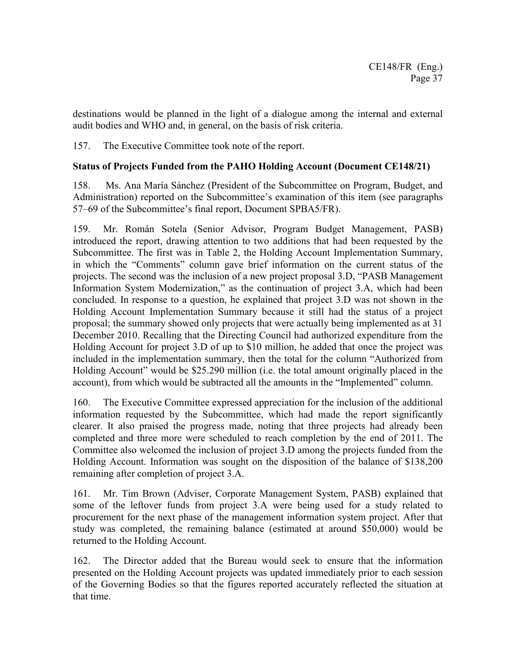destinations would be planned in the light of a dialogue among the internal and external audit bodies and WHO and, in general, on the basis of risk criteria.

157. The Executive Committee took note of the report.

## **Status of Projects Funded from the PAHO Holding Account (Document CE148/21)**

158. Ms. Ana María Sánchez (President of the Subcommittee on Program, Budget, and Administration) reported on the Subcommittee's examination of this item (see paragraphs 57–69 of the Subcommittee's final report, Document SPBA5/FR).

159. Mr. Román Sotela (Senior Advisor, Program Budget Management, PASB) introduced the report, drawing attention to two additions that had been requested by the Subcommittee. The first was in Table 2, the Holding Account Implementation Summary, in which the "Comments" column gave brief information on the current status of the projects. The second was the inclusion of a new project proposal 3.D, "PASB Management Information System Modernization," as the continuation of project 3.A, which had been concluded. In response to a question, he explained that project 3.D was not shown in the Holding Account Implementation Summary because it still had the status of a project proposal; the summary showed only projects that were actually being implemented as at 31 December 2010. Recalling that the Directing Council had authorized expenditure from the Holding Account for project 3.D of up to \$10 million, he added that once the project was included in the implementation summary, then the total for the column "Authorized from Holding Account" would be \$25.290 million (i.e. the total amount originally placed in the account), from which would be subtracted all the amounts in the "Implemented" column.

160. The Executive Committee expressed appreciation for the inclusion of the additional information requested by the Subcommittee, which had made the report significantly clearer. It also praised the progress made, noting that three projects had already been completed and three more were scheduled to reach completion by the end of 2011. The Committee also welcomed the inclusion of project 3.D among the projects funded from the Holding Account. Information was sought on the disposition of the balance of \$138,200 remaining after completion of project 3.A.

161. Mr. Tim Brown (Adviser, Corporate Management System, PASB) explained that some of the leftover funds from project 3.A were being used for a study related to procurement for the next phase of the management information system project. After that study was completed, the remaining balance (estimated at around \$50,000) would be returned to the Holding Account.

162. The Director added that the Bureau would seek to ensure that the information presented on the Holding Account projects was updated immediately prior to each session of the Governing Bodies so that the figures reported accurately reflected the situation at that time.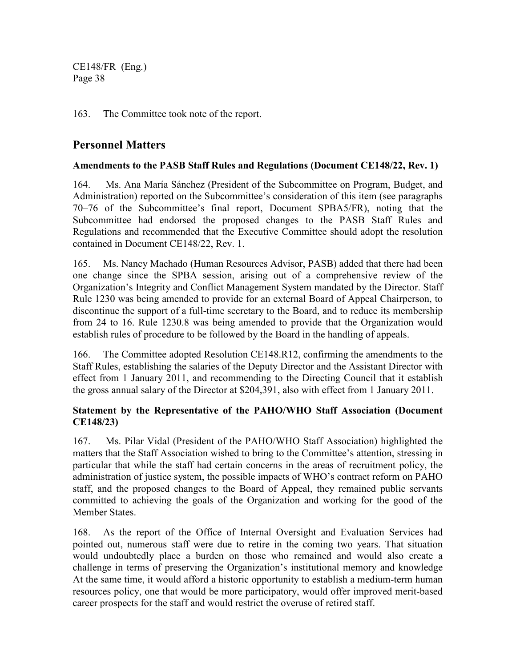163. The Committee took note of the report.

# **Personnel Matters**

## **Amendments to the PASB Staff Rules and Regulations (Document CE148/22, Rev. 1)**

164. Ms. Ana María Sánchez (President of the Subcommittee on Program, Budget, and Administration) reported on the Subcommittee's consideration of this item (see paragraphs 70–76 of the Subcommittee's final report, Document SPBA5/FR), noting that the Subcommittee had endorsed the proposed changes to the PASB Staff Rules and Regulations and recommended that the Executive Committee should adopt the resolution contained in Document CE148/22, Rev. 1.

165. Ms. Nancy Machado (Human Resources Advisor, PASB) added that there had been one change since the SPBA session, arising out of a comprehensive review of the Organization's Integrity and Conflict Management System mandated by the Director. Staff Rule 1230 was being amended to provide for an external Board of Appeal Chairperson, to discontinue the support of a full-time secretary to the Board, and to reduce its membership from 24 to 16. Rule 1230.8 was being amended to provide that the Organization would establish rules of procedure to be followed by the Board in the handling of appeals.

166. The Committee adopted Resolution CE148.R12, confirming the amendments to the Staff Rules, establishing the salaries of the Deputy Director and the Assistant Director with effect from 1 January 2011, and recommending to the Directing Council that it establish the gross annual salary of the Director at \$204,391, also with effect from 1 January 2011.

## **Statement by the Representative of the PAHO/WHO Staff Association (Document CE148/23)**

167. Ms. Pilar Vidal (President of the PAHO/WHO Staff Association) highlighted the matters that the Staff Association wished to bring to the Committee's attention, stressing in particular that while the staff had certain concerns in the areas of recruitment policy, the administration of justice system, the possible impacts of WHO's contract reform on PAHO staff, and the proposed changes to the Board of Appeal, they remained public servants committed to achieving the goals of the Organization and working for the good of the Member States.

168. As the report of the Office of Internal Oversight and Evaluation Services had pointed out, numerous staff were due to retire in the coming two years. That situation would undoubtedly place a burden on those who remained and would also create a challenge in terms of preserving the Organization's institutional memory and knowledge At the same time, it would afford a historic opportunity to establish a medium-term human resources policy, one that would be more participatory, would offer improved merit-based career prospects for the staff and would restrict the overuse of retired staff.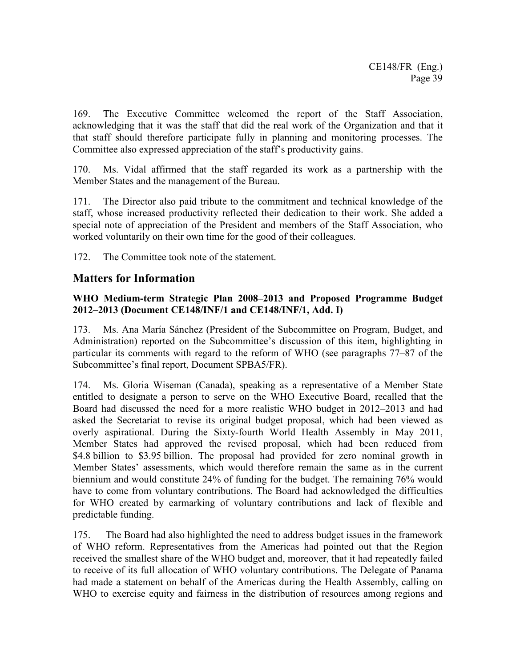169. The Executive Committee welcomed the report of the Staff Association, acknowledging that it was the staff that did the real work of the Organization and that it that staff should therefore participate fully in planning and monitoring processes. The Committee also expressed appreciation of the staff's productivity gains.

170. Ms. Vidal affirmed that the staff regarded its work as a partnership with the Member States and the management of the Bureau.

171. The Director also paid tribute to the commitment and technical knowledge of the staff, whose increased productivity reflected their dedication to their work. She added a special note of appreciation of the President and members of the Staff Association, who worked voluntarily on their own time for the good of their colleagues.

172. The Committee took note of the statement.

# **Matters for Information**

### **WHO Medium-term Strategic Plan 2008–2013 and Proposed Programme Budget 2012–2013 (Document CE148/INF/1 and CE148/INF/1, Add. I)**

173. Ms. Ana María Sánchez (President of the Subcommittee on Program, Budget, and Administration) reported on the Subcommittee's discussion of this item, highlighting in particular its comments with regard to the reform of WHO (see paragraphs 77–87 of the Subcommittee's final report, Document SPBA5/FR).

174. Ms. Gloria Wiseman (Canada), speaking as a representative of a Member State entitled to designate a person to serve on the WHO Executive Board, recalled that the Board had discussed the need for a more realistic WHO budget in 2012–2013 and had asked the Secretariat to revise its original budget proposal, which had been viewed as overly aspirational. During the Sixty-fourth World Health Assembly in May 2011, Member States had approved the revised proposal, which had been reduced from \$4.8 billion to \$3.95 billion. The proposal had provided for zero nominal growth in Member States' assessments, which would therefore remain the same as in the current biennium and would constitute 24% of funding for the budget. The remaining 76% would have to come from voluntary contributions. The Board had acknowledged the difficulties for WHO created by earmarking of voluntary contributions and lack of flexible and predictable funding.

175. The Board had also highlighted the need to address budget issues in the framework of WHO reform. Representatives from the Americas had pointed out that the Region received the smallest share of the WHO budget and, moreover, that it had repeatedly failed to receive of its full allocation of WHO voluntary contributions. The Delegate of Panama had made a statement on behalf of the Americas during the Health Assembly, calling on WHO to exercise equity and fairness in the distribution of resources among regions and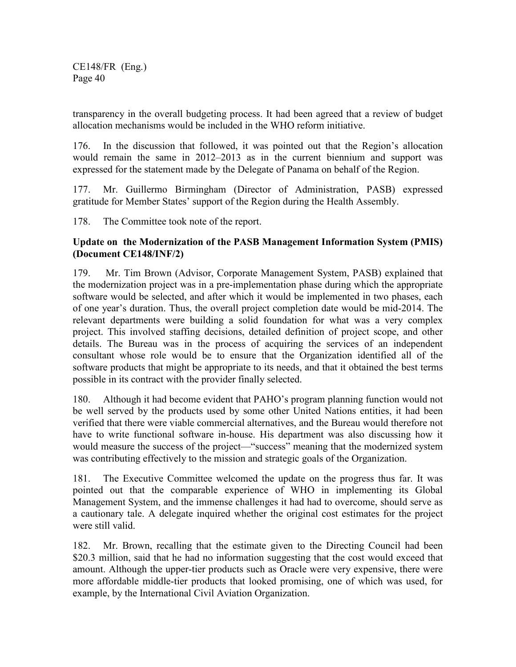transparency in the overall budgeting process. It had been agreed that a review of budget allocation mechanisms would be included in the WHO reform initiative.

176. In the discussion that followed, it was pointed out that the Region's allocation would remain the same in 2012–2013 as in the current biennium and support was expressed for the statement made by the Delegate of Panama on behalf of the Region.

177. Mr. Guillermo Birmingham (Director of Administration, PASB) expressed gratitude for Member States' support of the Region during the Health Assembly.

178. The Committee took note of the report.

## **Update on the Modernization of the PASB Management Information System (PMIS) (Document CE148/INF/2)**

179. Mr. Tim Brown (Advisor, Corporate Management System, PASB) explained that the modernization project was in a pre-implementation phase during which the appropriate software would be selected, and after which it would be implemented in two phases, each of one year's duration. Thus, the overall project completion date would be mid-2014. The relevant departments were building a solid foundation for what was a very complex project. This involved staffing decisions, detailed definition of project scope, and other details. The Bureau was in the process of acquiring the services of an independent consultant whose role would be to ensure that the Organization identified all of the software products that might be appropriate to its needs, and that it obtained the best terms possible in its contract with the provider finally selected.

180. Although it had become evident that PAHO's program planning function would not be well served by the products used by some other United Nations entities, it had been verified that there were viable commercial alternatives, and the Bureau would therefore not have to write functional software in-house. His department was also discussing how it would measure the success of the project—"success" meaning that the modernized system was contributing effectively to the mission and strategic goals of the Organization.

181. The Executive Committee welcomed the update on the progress thus far. It was pointed out that the comparable experience of WHO in implementing its Global Management System, and the immense challenges it had had to overcome, should serve as a cautionary tale. A delegate inquired whether the original cost estimates for the project were still valid.

182. Mr. Brown, recalling that the estimate given to the Directing Council had been \$20.3 million, said that he had no information suggesting that the cost would exceed that amount. Although the upper-tier products such as Oracle were very expensive, there were more affordable middle-tier products that looked promising, one of which was used, for example, by the International Civil Aviation Organization.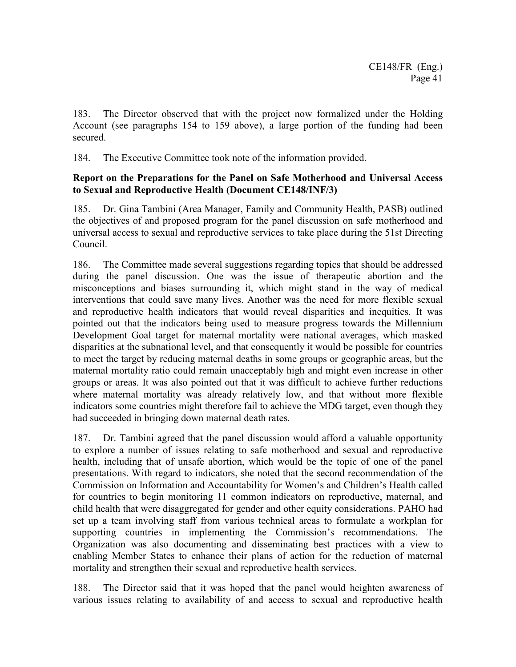183. The Director observed that with the project now formalized under the Holding Account (see paragraphs 154 to 159 above), a large portion of the funding had been secured.

184. The Executive Committee took note of the information provided.

## **Report on the Preparations for the Panel on Safe Motherhood and Universal Access to Sexual and Reproductive Health (Document CE148/INF/3)**

185. Dr. Gina Tambini (Area Manager, Family and Community Health, PASB) outlined the objectives of and proposed program for the panel discussion on safe motherhood and universal access to sexual and reproductive services to take place during the 51st Directing Council.

186. The Committee made several suggestions regarding topics that should be addressed during the panel discussion. One was the issue of therapeutic abortion and the misconceptions and biases surrounding it, which might stand in the way of medical interventions that could save many lives. Another was the need for more flexible sexual and reproductive health indicators that would reveal disparities and inequities. It was pointed out that the indicators being used to measure progress towards the Millennium Development Goal target for maternal mortality were national averages, which masked disparities at the subnational level, and that consequently it would be possible for countries to meet the target by reducing maternal deaths in some groups or geographic areas, but the maternal mortality ratio could remain unacceptably high and might even increase in other groups or areas. It was also pointed out that it was difficult to achieve further reductions where maternal mortality was already relatively low, and that without more flexible indicators some countries might therefore fail to achieve the MDG target, even though they had succeeded in bringing down maternal death rates.

187. Dr. Tambini agreed that the panel discussion would afford a valuable opportunity to explore a number of issues relating to safe motherhood and sexual and reproductive health, including that of unsafe abortion, which would be the topic of one of the panel presentations. With regard to indicators, she noted that the second recommendation of the Commission on Information and Accountability for Women's and Children's Health called for countries to begin monitoring 11 common indicators on reproductive, maternal, and child health that were disaggregated for gender and other equity considerations. PAHO had set up a team involving staff from various technical areas to formulate a workplan for supporting countries in implementing the Commission's recommendations. The Organization was also documenting and disseminating best practices with a view to enabling Member States to enhance their plans of action for the reduction of maternal mortality and strengthen their sexual and reproductive health services.

188. The Director said that it was hoped that the panel would heighten awareness of various issues relating to availability of and access to sexual and reproductive health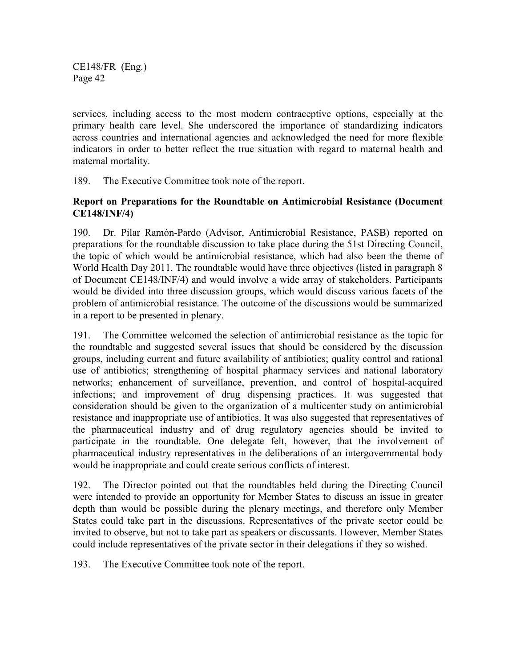services, including access to the most modern contraceptive options, especially at the primary health care level. She underscored the importance of standardizing indicators across countries and international agencies and acknowledged the need for more flexible indicators in order to better reflect the true situation with regard to maternal health and maternal mortality.

189. The Executive Committee took note of the report.

## **Report on Preparations for the Roundtable on Antimicrobial Resistance (Document CE148/INF/4)**

190. Dr. Pilar Ramón-Pardo (Advisor, Antimicrobial Resistance, PASB) reported on preparations for the roundtable discussion to take place during the 51st Directing Council, the topic of which would be antimicrobial resistance, which had also been the theme of World Health Day 2011. The roundtable would have three objectives (listed in paragraph 8 of Document CE148/INF/4) and would involve a wide array of stakeholders. Participants would be divided into three discussion groups, which would discuss various facets of the problem of antimicrobial resistance. The outcome of the discussions would be summarized in a report to be presented in plenary.

191. The Committee welcomed the selection of antimicrobial resistance as the topic for the roundtable and suggested several issues that should be considered by the discussion groups, including current and future availability of antibiotics; quality control and rational use of antibiotics; strengthening of hospital pharmacy services and national laboratory networks; enhancement of surveillance, prevention, and control of hospital-acquired infections; and improvement of drug dispensing practices. It was suggested that consideration should be given to the organization of a multicenter study on antimicrobial resistance and inappropriate use of antibiotics. It was also suggested that representatives of the pharmaceutical industry and of drug regulatory agencies should be invited to participate in the roundtable. One delegate felt, however, that the involvement of pharmaceutical industry representatives in the deliberations of an intergovernmental body would be inappropriate and could create serious conflicts of interest.

192. The Director pointed out that the roundtables held during the Directing Council were intended to provide an opportunity for Member States to discuss an issue in greater depth than would be possible during the plenary meetings, and therefore only Member States could take part in the discussions. Representatives of the private sector could be invited to observe, but not to take part as speakers or discussants. However, Member States could include representatives of the private sector in their delegations if they so wished.

193. The Executive Committee took note of the report.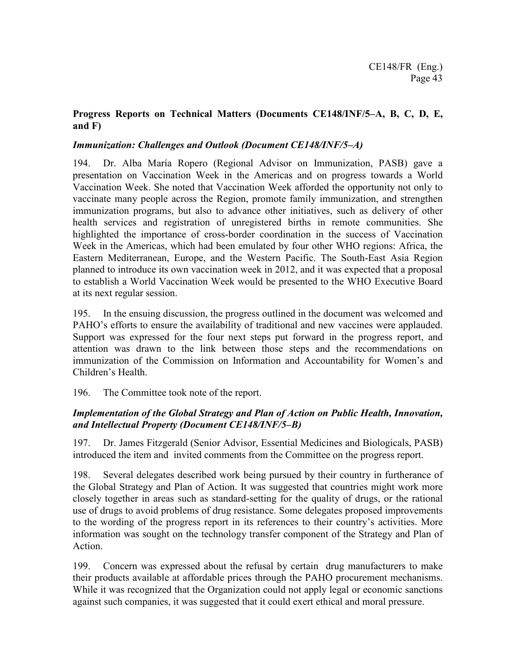## **Progress Reports on Technical Matters (Documents CE148/INF/5–A, B, C, D, E, and F)**

## *Immunization: Challenges and Outlook (Document CE148/INF/5–A)*

194. Dr. Alba María Ropero (Regional Advisor on Immunization, PASB) gave a presentation on Vaccination Week in the Americas and on progress towards a World Vaccination Week. She noted that Vaccination Week afforded the opportunity not only to vaccinate many people across the Region, promote family immunization, and strengthen immunization programs, but also to advance other initiatives, such as delivery of other health services and registration of unregistered births in remote communities. She highlighted the importance of cross-border coordination in the success of Vaccination Week in the Americas, which had been emulated by four other WHO regions: Africa, the Eastern Mediterranean, Europe, and the Western Pacific. The South-East Asia Region planned to introduce its own vaccination week in 2012, and it was expected that a proposal to establish a World Vaccination Week would be presented to the WHO Executive Board at its next regular session.

195. In the ensuing discussion, the progress outlined in the document was welcomed and PAHO's efforts to ensure the availability of traditional and new vaccines were applauded. Support was expressed for the four next steps put forward in the progress report, and attention was drawn to the link between those steps and the recommendations on immunization of the Commission on Information and Accountability for Women's and Children's Health.

196. The Committee took note of the report.

## *Implementation of the Global Strategy and Plan of Action on Public Health, Innovation, and Intellectual Property (Document CE148/INF/5–B)*

197. Dr. James Fitzgerald (Senior Advisor, Essential Medicines and Biologicals, PASB) introduced the item and invited comments from the Committee on the progress report.

198. Several delegates described work being pursued by their country in furtherance of the Global Strategy and Plan of Action. It was suggested that countries might work more closely together in areas such as standard-setting for the quality of drugs, or the rational use of drugs to avoid problems of drug resistance. Some delegates proposed improvements to the wording of the progress report in its references to their country's activities. More information was sought on the technology transfer component of the Strategy and Plan of Action.

199. Concern was expressed about the refusal by certain drug manufacturers to make their products available at affordable prices through the PAHO procurement mechanisms. While it was recognized that the Organization could not apply legal or economic sanctions against such companies, it was suggested that it could exert ethical and moral pressure.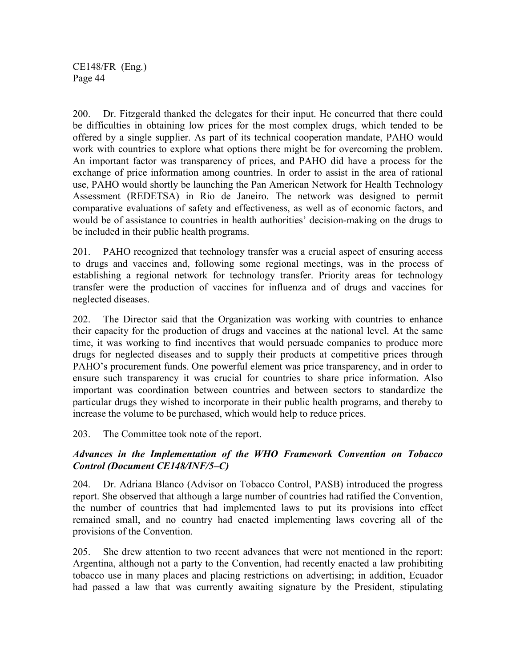200. Dr. Fitzgerald thanked the delegates for their input. He concurred that there could be difficulties in obtaining low prices for the most complex drugs, which tended to be offered by a single supplier. As part of its technical cooperation mandate, PAHO would work with countries to explore what options there might be for overcoming the problem. An important factor was transparency of prices, and PAHO did have a process for the exchange of price information among countries. In order to assist in the area of rational use, PAHO would shortly be launching the Pan American Network for Health Technology Assessment (REDETSA) in Rio de Janeiro. The network was designed to permit comparative evaluations of safety and effectiveness, as well as of economic factors, and would be of assistance to countries in health authorities' decision-making on the drugs to be included in their public health programs.

201. PAHO recognized that technology transfer was a crucial aspect of ensuring access to drugs and vaccines and, following some regional meetings, was in the process of establishing a regional network for technology transfer. Priority areas for technology transfer were the production of vaccines for influenza and of drugs and vaccines for neglected diseases.

202. The Director said that the Organization was working with countries to enhance their capacity for the production of drugs and vaccines at the national level. At the same time, it was working to find incentives that would persuade companies to produce more drugs for neglected diseases and to supply their products at competitive prices through PAHO's procurement funds. One powerful element was price transparency, and in order to ensure such transparency it was crucial for countries to share price information. Also important was coordination between countries and between sectors to standardize the particular drugs they wished to incorporate in their public health programs, and thereby to increase the volume to be purchased, which would help to reduce prices.

203. The Committee took note of the report.

## *Advances in the Implementation of the WHO Framework Convention on Tobacco Control (Document CE148/INF/5–C)*

204. Dr. Adriana Blanco (Advisor on Tobacco Control, PASB) introduced the progress report. She observed that although a large number of countries had ratified the Convention, the number of countries that had implemented laws to put its provisions into effect remained small, and no country had enacted implementing laws covering all of the provisions of the Convention.

205. She drew attention to two recent advances that were not mentioned in the report: Argentina, although not a party to the Convention, had recently enacted a law prohibiting tobacco use in many places and placing restrictions on advertising; in addition, Ecuador had passed a law that was currently awaiting signature by the President, stipulating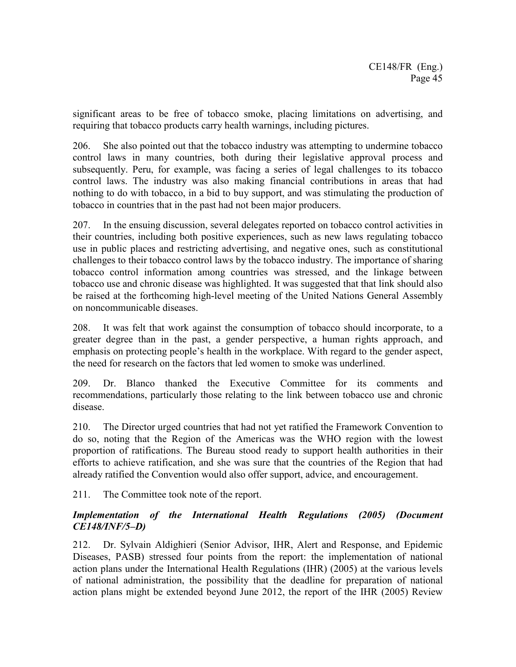significant areas to be free of tobacco smoke, placing limitations on advertising, and requiring that tobacco products carry health warnings, including pictures.

206. She also pointed out that the tobacco industry was attempting to undermine tobacco control laws in many countries, both during their legislative approval process and subsequently. Peru, for example, was facing a series of legal challenges to its tobacco control laws. The industry was also making financial contributions in areas that had nothing to do with tobacco, in a bid to buy support, and was stimulating the production of tobacco in countries that in the past had not been major producers.

207. In the ensuing discussion, several delegates reported on tobacco control activities in their countries, including both positive experiences, such as new laws regulating tobacco use in public places and restricting advertising, and negative ones, such as constitutional challenges to their tobacco control laws by the tobacco industry. The importance of sharing tobacco control information among countries was stressed, and the linkage between tobacco use and chronic disease was highlighted. It was suggested that that link should also be raised at the forthcoming high-level meeting of the United Nations General Assembly on noncommunicable diseases.

208. It was felt that work against the consumption of tobacco should incorporate, to a greater degree than in the past, a gender perspective, a human rights approach, and emphasis on protecting people's health in the workplace. With regard to the gender aspect, the need for research on the factors that led women to smoke was underlined.

209. Dr. Blanco thanked the Executive Committee for its comments and recommendations, particularly those relating to the link between tobacco use and chronic disease.

210. The Director urged countries that had not yet ratified the Framework Convention to do so, noting that the Region of the Americas was the WHO region with the lowest proportion of ratifications. The Bureau stood ready to support health authorities in their efforts to achieve ratification, and she was sure that the countries of the Region that had already ratified the Convention would also offer support, advice, and encouragement.

211. The Committee took note of the report.

## *Implementation of the International Health Regulations (2005) (Document CE148/INF/5–D)*

212. Dr. Sylvain Aldighieri (Senior Advisor, IHR, Alert and Response, and Epidemic Diseases, PASB) stressed four points from the report: the implementation of national action plans under the International Health Regulations (IHR) (2005) at the various levels of national administration, the possibility that the deadline for preparation of national action plans might be extended beyond June 2012, the report of the IHR (2005) Review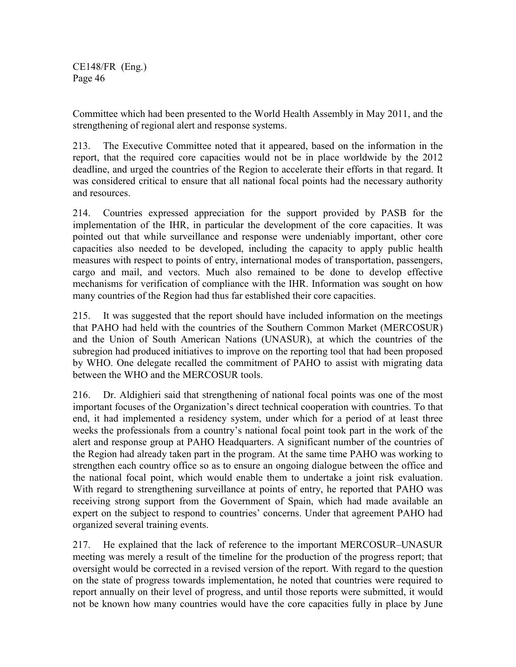Committee which had been presented to the World Health Assembly in May 2011, and the strengthening of regional alert and response systems.

213. The Executive Committee noted that it appeared, based on the information in the report, that the required core capacities would not be in place worldwide by the 2012 deadline, and urged the countries of the Region to accelerate their efforts in that regard. It was considered critical to ensure that all national focal points had the necessary authority and resources.

214. Countries expressed appreciation for the support provided by PASB for the implementation of the IHR, in particular the development of the core capacities. It was pointed out that while surveillance and response were undeniably important, other core capacities also needed to be developed, including the capacity to apply public health measures with respect to points of entry, international modes of transportation, passengers, cargo and mail, and vectors. Much also remained to be done to develop effective mechanisms for verification of compliance with the IHR. Information was sought on how many countries of the Region had thus far established their core capacities.

215. It was suggested that the report should have included information on the meetings that PAHO had held with the countries of the Southern Common Market (MERCOSUR) and the Union of South American Nations (UNASUR), at which the countries of the subregion had produced initiatives to improve on the reporting tool that had been proposed by WHO. One delegate recalled the commitment of PAHO to assist with migrating data between the WHO and the MERCOSUR tools.

216. Dr. Aldighieri said that strengthening of national focal points was one of the most important focuses of the Organization's direct technical cooperation with countries. To that end, it had implemented a residency system, under which for a period of at least three weeks the professionals from a country's national focal point took part in the work of the alert and response group at PAHO Headquarters. A significant number of the countries of the Region had already taken part in the program. At the same time PAHO was working to strengthen each country office so as to ensure an ongoing dialogue between the office and the national focal point, which would enable them to undertake a joint risk evaluation. With regard to strengthening surveillance at points of entry, he reported that PAHO was receiving strong support from the Government of Spain, which had made available an expert on the subject to respond to countries' concerns. Under that agreement PAHO had organized several training events.

217. He explained that the lack of reference to the important MERCOSUR–UNASUR meeting was merely a result of the timeline for the production of the progress report; that oversight would be corrected in a revised version of the report. With regard to the question on the state of progress towards implementation, he noted that countries were required to report annually on their level of progress, and until those reports were submitted, it would not be known how many countries would have the core capacities fully in place by June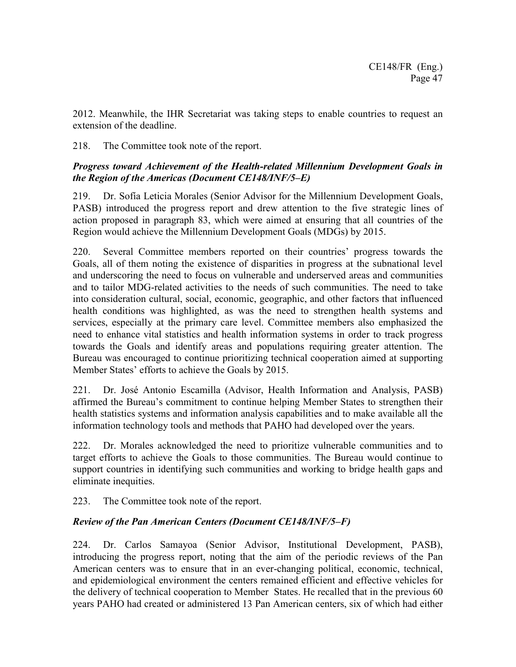2012. Meanwhile, the IHR Secretariat was taking steps to enable countries to request an extension of the deadline.

218. The Committee took note of the report.

# *Progress toward Achievement of the Health-related Millennium Development Goals in the Region of the Americas (Document CE148/INF/5–E)*

219. Dr. Sofía Leticia Morales (Senior Advisor for the Millennium Development Goals, PASB) introduced the progress report and drew attention to the five strategic lines of action proposed in paragraph 83, which were aimed at ensuring that all countries of the Region would achieve the Millennium Development Goals (MDGs) by 2015.

220. Several Committee members reported on their countries' progress towards the Goals, all of them noting the existence of disparities in progress at the subnational level and underscoring the need to focus on vulnerable and underserved areas and communities and to tailor MDG-related activities to the needs of such communities. The need to take into consideration cultural, social, economic, geographic, and other factors that influenced health conditions was highlighted, as was the need to strengthen health systems and services, especially at the primary care level. Committee members also emphasized the need to enhance vital statistics and health information systems in order to track progress towards the Goals and identify areas and populations requiring greater attention. The Bureau was encouraged to continue prioritizing technical cooperation aimed at supporting Member States' efforts to achieve the Goals by 2015.

221. Dr. José Antonio Escamilla (Advisor, Health Information and Analysis, PASB) affirmed the Bureau's commitment to continue helping Member States to strengthen their health statistics systems and information analysis capabilities and to make available all the information technology tools and methods that PAHO had developed over the years.

222. Dr. Morales acknowledged the need to prioritize vulnerable communities and to target efforts to achieve the Goals to those communities. The Bureau would continue to support countries in identifying such communities and working to bridge health gaps and eliminate inequities.

223. The Committee took note of the report.

# *Review of the Pan American Centers (Document CE148/INF/5–F)*

224. Dr. Carlos Samayoa (Senior Advisor, Institutional Development, PASB), introducing the progress report, noting that the aim of the periodic reviews of the Pan American centers was to ensure that in an ever-changing political, economic, technical, and epidemiological environment the centers remained efficient and effective vehicles for the delivery of technical cooperation to Member States. He recalled that in the previous 60 years PAHO had created or administered 13 Pan American centers, six of which had either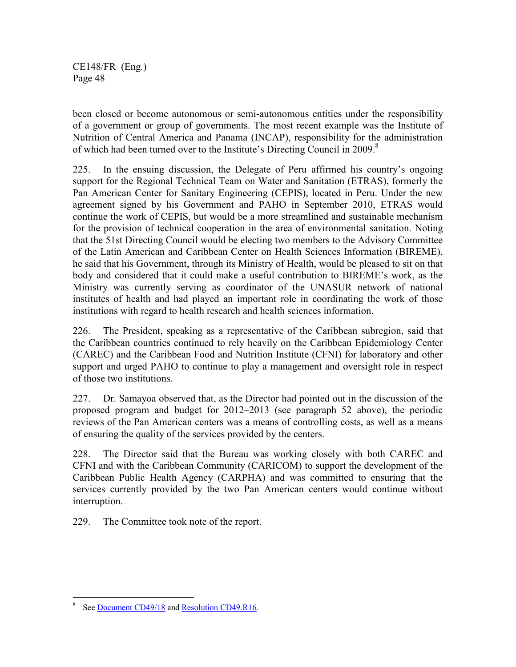been closed or become autonomous or semi-autonomous entities under the responsibility of a government or group of governments. The most recent example was the Institute of Nutrition of Central America and Panama (INCAP), responsibility for the administration of which had been turned over to the Institute's Directing Council in 2009.<sup>8</sup>

225. In the ensuing discussion, the Delegate of Peru affirmed his country's ongoing support for the Regional Technical Team on Water and Sanitation (ETRAS), formerly the Pan American Center for Sanitary Engineering (CEPIS), located in Peru. Under the new agreement signed by his Government and PAHO in September 2010, ETRAS would continue the work of CEPIS, but would be a more streamlined and sustainable mechanism for the provision of technical cooperation in the area of environmental sanitation. Noting that the 51st Directing Council would be electing two members to the Advisory Committee of the Latin American and Caribbean Center on Health Sciences Information (BIREME), he said that his Government, through its Ministry of Health, would be pleased to sit on that body and considered that it could make a useful contribution to BIREME's work, as the Ministry was currently serving as coordinator of the UNASUR network of national institutes of health and had played an important role in coordinating the work of those institutions with regard to health research and health sciences information.

226. The President, speaking as a representative of the Caribbean subregion, said that the Caribbean countries continued to rely heavily on the Caribbean Epidemiology Center (CAREC) and the Caribbean Food and Nutrition Institute (CFNI) for laboratory and other support and urged PAHO to continue to play a management and oversight role in respect of those two institutions.

227. Dr. Samayoa observed that, as the Director had pointed out in the discussion of the proposed program and budget for 2012–2013 (see paragraph 52 above), the periodic reviews of the Pan American centers was a means of controlling costs, as well as a means of ensuring the quality of the services provided by the centers.

228. The Director said that the Bureau was working closely with both CAREC and CFNI and with the Caribbean Community (CARICOM) to support the development of the Caribbean Public Health Agency (CARPHA) and was committed to ensuring that the services currently provided by the two Pan American centers would continue without interruption.

229. The Committee took note of the report.

 $\overline{a}$ 

<sup>8</sup> See Document CD49/18 and Resolution CD49.R16.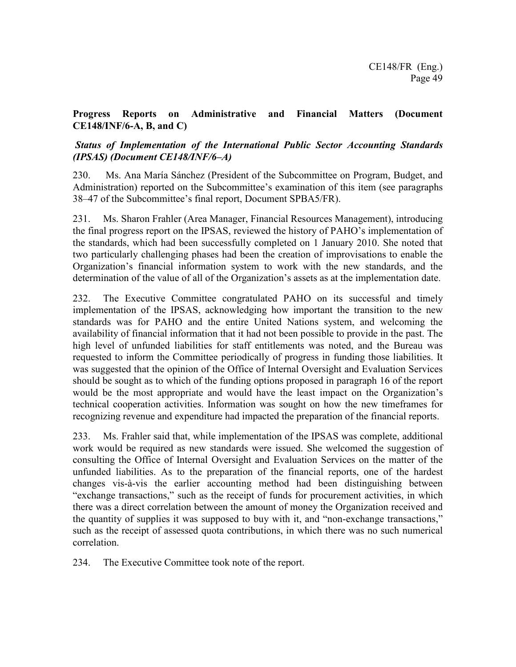## **Progress Reports on Administrative and Financial Matters (Document CE148/INF/6-A, B, and C)**

## *Status of Implementation of the International Public Sector Accounting Standards (IPSAS) (Document CE148/INF/6–A)*

230. Ms. Ana María Sánchez (President of the Subcommittee on Program, Budget, and Administration) reported on the Subcommittee's examination of this item (see paragraphs 38–47 of the Subcommittee's final report, Document SPBA5/FR).

231. Ms. Sharon Frahler (Area Manager, Financial Resources Management), introducing the final progress report on the IPSAS, reviewed the history of PAHO's implementation of the standards, which had been successfully completed on 1 January 2010. She noted that two particularly challenging phases had been the creation of improvisations to enable the Organization's financial information system to work with the new standards, and the determination of the value of all of the Organization's assets as at the implementation date.

232. The Executive Committee congratulated PAHO on its successful and timely implementation of the IPSAS, acknowledging how important the transition to the new standards was for PAHO and the entire United Nations system, and welcoming the availability of financial information that it had not been possible to provide in the past. The high level of unfunded liabilities for staff entitlements was noted, and the Bureau was requested to inform the Committee periodically of progress in funding those liabilities. It was suggested that the opinion of the Office of Internal Oversight and Evaluation Services should be sought as to which of the funding options proposed in paragraph 16 of the report would be the most appropriate and would have the least impact on the Organization's technical cooperation activities. Information was sought on how the new timeframes for recognizing revenue and expenditure had impacted the preparation of the financial reports.

233. Ms. Frahler said that, while implementation of the IPSAS was complete, additional work would be required as new standards were issued. She welcomed the suggestion of consulting the Office of Internal Oversight and Evaluation Services on the matter of the unfunded liabilities. As to the preparation of the financial reports, one of the hardest changes vis-à-vis the earlier accounting method had been distinguishing between "exchange transactions," such as the receipt of funds for procurement activities, in which there was a direct correlation between the amount of money the Organization received and the quantity of supplies it was supposed to buy with it, and "non-exchange transactions," such as the receipt of assessed quota contributions, in which there was no such numerical correlation.

234. The Executive Committee took note of the report.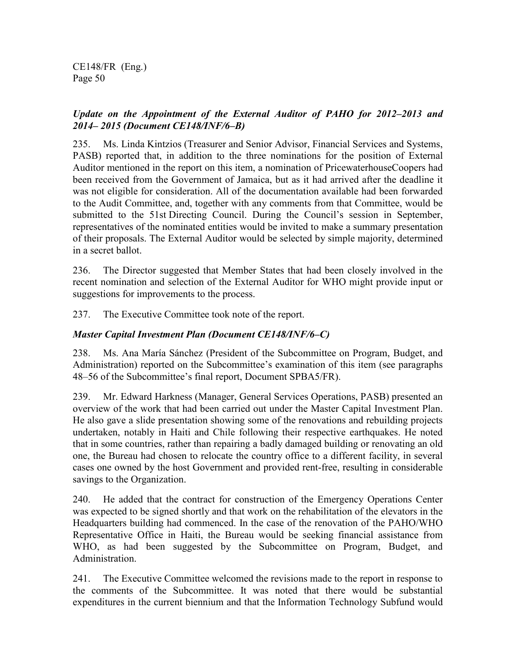## *Update on the Appointment of the External Auditor of PAHO for 2012–2013 and 2014– 2015 (Document CE148/INF/6–B)*

235. Ms. Linda Kintzios (Treasurer and Senior Advisor, Financial Services and Systems, PASB) reported that, in addition to the three nominations for the position of External Auditor mentioned in the report on this item, a nomination of PricewaterhouseCoopers had been received from the Government of Jamaica, but as it had arrived after the deadline it was not eligible for consideration. All of the documentation available had been forwarded to the Audit Committee, and, together with any comments from that Committee, would be submitted to the 51st Directing Council. During the Council's session in September, representatives of the nominated entities would be invited to make a summary presentation of their proposals. The External Auditor would be selected by simple majority, determined in a secret ballot.

236. The Director suggested that Member States that had been closely involved in the recent nomination and selection of the External Auditor for WHO might provide input or suggestions for improvements to the process.

237. The Executive Committee took note of the report.

## *Master Capital Investment Plan (Document CE148/INF/6–C)*

238. Ms. Ana María Sánchez (President of the Subcommittee on Program, Budget, and Administration) reported on the Subcommittee's examination of this item (see paragraphs 48–56 of the Subcommittee's final report, Document SPBA5/FR).

239. Mr. Edward Harkness (Manager, General Services Operations, PASB) presented an overview of the work that had been carried out under the Master Capital Investment Plan. He also gave a slide presentation showing some of the renovations and rebuilding projects undertaken, notably in Haiti and Chile following their respective earthquakes. He noted that in some countries, rather than repairing a badly damaged building or renovating an old one, the Bureau had chosen to relocate the country office to a different facility, in several cases one owned by the host Government and provided rent-free, resulting in considerable savings to the Organization.

240. He added that the contract for construction of the Emergency Operations Center was expected to be signed shortly and that work on the rehabilitation of the elevators in the Headquarters building had commenced. In the case of the renovation of the PAHO/WHO Representative Office in Haiti, the Bureau would be seeking financial assistance from WHO, as had been suggested by the Subcommittee on Program, Budget, and Administration.

241. The Executive Committee welcomed the revisions made to the report in response to the comments of the Subcommittee. It was noted that there would be substantial expenditures in the current biennium and that the Information Technology Subfund would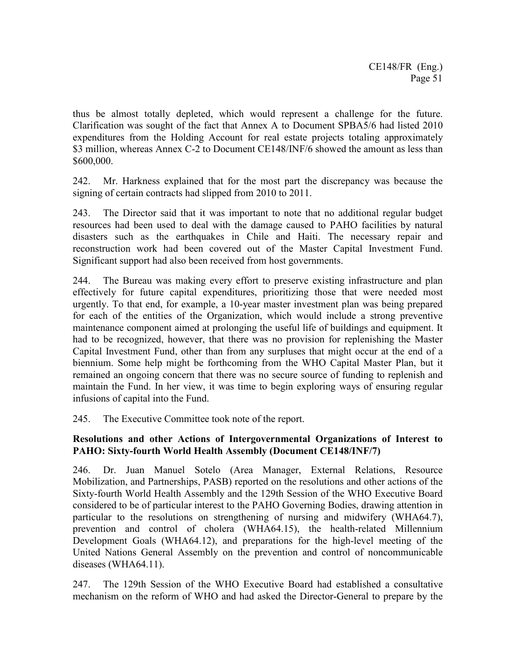thus be almost totally depleted, which would represent a challenge for the future. Clarification was sought of the fact that Annex A to Document SPBA5/6 had listed 2010 expenditures from the Holding Account for real estate projects totaling approximately \$3 million, whereas Annex C-2 to Document CE148/INF/6 showed the amount as less than \$600,000.

242. Mr. Harkness explained that for the most part the discrepancy was because the signing of certain contracts had slipped from 2010 to 2011.

243. The Director said that it was important to note that no additional regular budget resources had been used to deal with the damage caused to PAHO facilities by natural disasters such as the earthquakes in Chile and Haiti. The necessary repair and reconstruction work had been covered out of the Master Capital Investment Fund. Significant support had also been received from host governments.

244. The Bureau was making every effort to preserve existing infrastructure and plan effectively for future capital expenditures, prioritizing those that were needed most urgently. To that end, for example, a 10-year master investment plan was being prepared for each of the entities of the Organization, which would include a strong preventive maintenance component aimed at prolonging the useful life of buildings and equipment. It had to be recognized, however, that there was no provision for replenishing the Master Capital Investment Fund, other than from any surpluses that might occur at the end of a biennium. Some help might be forthcoming from the WHO Capital Master Plan, but it remained an ongoing concern that there was no secure source of funding to replenish and maintain the Fund. In her view, it was time to begin exploring ways of ensuring regular infusions of capital into the Fund.

245. The Executive Committee took note of the report.

## **Resolutions and other Actions of Intergovernmental Organizations of Interest to PAHO: Sixty-fourth World Health Assembly (Document CE148/INF/7)**

246. Dr. Juan Manuel Sotelo (Area Manager, External Relations, Resource Mobilization, and Partnerships, PASB) reported on the resolutions and other actions of the Sixty-fourth World Health Assembly and the 129th Session of the WHO Executive Board considered to be of particular interest to the PAHO Governing Bodies, drawing attention in particular to the resolutions on strengthening of nursing and midwifery (WHA64.7), prevention and control of cholera (WHA64.15), the health-related Millennium Development Goals (WHA64.12), and preparations for the high-level meeting of the United Nations General Assembly on the prevention and control of noncommunicable diseases (WHA64.11).

247. The 129th Session of the WHO Executive Board had established a consultative mechanism on the reform of WHO and had asked the Director-General to prepare by the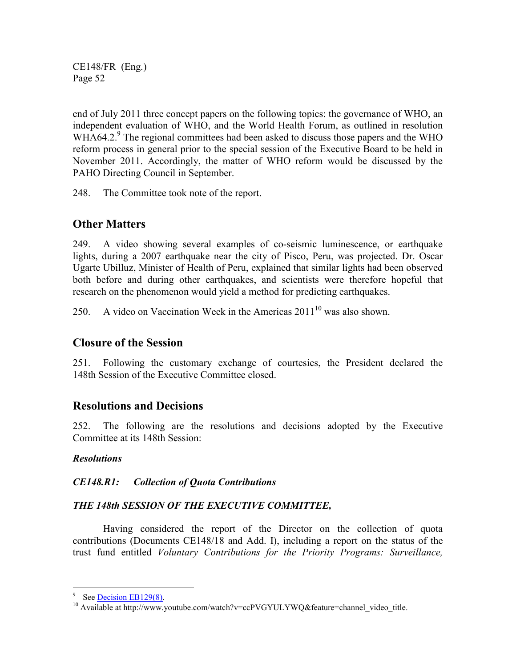end of July 2011 three concept papers on the following topics: the governance of WHO, an independent evaluation of WHO, and the World Health Forum, as outlined in resolution WHA64.2. $9$  The regional committees had been asked to discuss those papers and the WHO reform process in general prior to the special session of the Executive Board to be held in November 2011. Accordingly, the matter of WHO reform would be discussed by the PAHO Directing Council in September.

248. The Committee took note of the report.

# **Other Matters**

249. A video showing several examples of co-seismic luminescence, or earthquake lights, during a 2007 earthquake near the city of Pisco, Peru, was projected. Dr. Oscar Ugarte Ubilluz, Minister of Health of Peru, explained that similar lights had been observed both before and during other earthquakes, and scientists were therefore hopeful that research on the phenomenon would yield a method for predicting earthquakes.

250. A video on Vaccination Week in the Americas  $2011^{10}$  was also shown.

# **Closure of the Session**

251. Following the customary exchange of courtesies, the President declared the 148th Session of the Executive Committee closed.

# **Resolutions and Decisions**

252. The following are the resolutions and decisions adopted by the Executive Committee at its 148th Session:

## *Resolutions*

## *CE148.R1: Collection of Quota Contributions*

## *THE 148th SESSION OF THE EXECUTIVE COMMITTEE,*

 Having considered the report of the Director on the collection of quota contributions (Documents CE148/18 and Add. I), including a report on the status of the trust fund entitled *Voluntary Contributions for the Priority Programs: Surveillance,* 

 $\overline{a}$ 

<sup>9</sup> See Decision EB129(8).

<sup>&</sup>lt;sup>10</sup> Available at http://www.youtube.com/watch?v=ccPVGYULYWQ&feature=channel\_video\_title.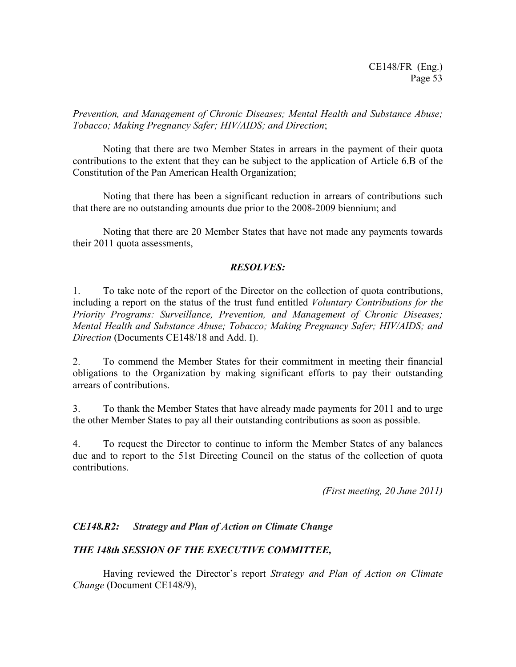*Prevention, and Management of Chronic Diseases; Mental Health and Substance Abuse; Tobacco; Making Pregnancy Safer; HIV/AIDS; and Direction*;

 Noting that there are two Member States in arrears in the payment of their quota contributions to the extent that they can be subject to the application of Article 6.B of the Constitution of the Pan American Health Organization;

 Noting that there has been a significant reduction in arrears of contributions such that there are no outstanding amounts due prior to the 2008-2009 biennium; and

 Noting that there are 20 Member States that have not made any payments towards their 2011 quota assessments,

## *RESOLVES:*

1. To take note of the report of the Director on the collection of quota contributions, including a report on the status of the trust fund entitled *Voluntary Contributions for the Priority Programs: Surveillance, Prevention, and Management of Chronic Diseases; Mental Health and Substance Abuse; Tobacco; Making Pregnancy Safer; HIV/AIDS; and Direction* (Documents CE148/18 and Add. I).

2. To commend the Member States for their commitment in meeting their financial obligations to the Organization by making significant efforts to pay their outstanding arrears of contributions.

3. To thank the Member States that have already made payments for 2011 and to urge the other Member States to pay all their outstanding contributions as soon as possible.

4. To request the Director to continue to inform the Member States of any balances due and to report to the 51st Directing Council on the status of the collection of quota contributions.

*(First meeting, 20 June 2011)* 

### *CE148.R2: Strategy and Plan of Action on Climate Change*

### *THE 148th SESSION OF THE EXECUTIVE COMMITTEE,*

 Having reviewed the Director's report *Strategy and Plan of Action on Climate Change* (Document CE148/9),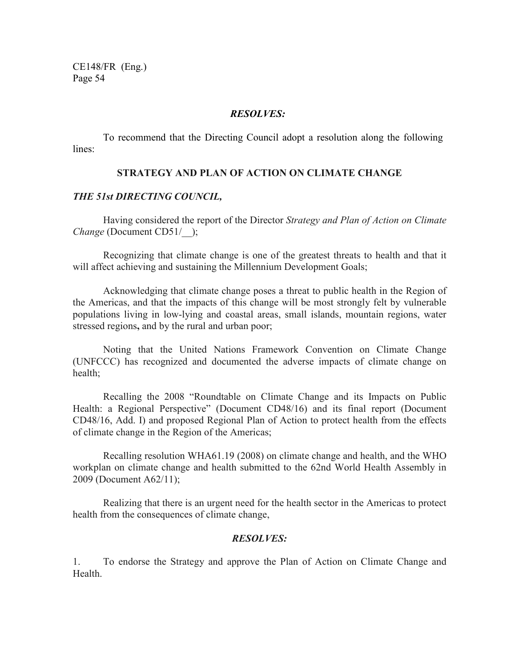#### *RESOLVES:*

 To recommend that the Directing Council adopt a resolution along the following lines:

### **STRATEGY AND PLAN OF ACTION ON CLIMATE CHANGE**

### *THE 51st DIRECTING COUNCIL,*

Having considered the report of the Director *Strategy and Plan of Action on Climate Change* (Document CD51/);

Recognizing that climate change is one of the greatest threats to health and that it will affect achieving and sustaining the Millennium Development Goals;

Acknowledging that climate change poses a threat to public health in the Region of the Americas, and that the impacts of this change will be most strongly felt by vulnerable populations living in low-lying and coastal areas, small islands, mountain regions, water stressed regions**,** and by the rural and urban poor;

Noting that the United Nations Framework Convention on Climate Change (UNFCCC) has recognized and documented the adverse impacts of climate change on health;

Recalling the 2008 "Roundtable on Climate Change and its Impacts on Public Health: a Regional Perspective" (Document CD48/16) and its final report (Document CD48/16, Add. I) and proposed Regional Plan of Action to protect health from the effects of climate change in the Region of the Americas;

Recalling resolution WHA61.19 (2008) on climate change and health, and the WHO workplan on climate change and health submitted to the 62nd World Health Assembly in 2009 (Document A62/11);

Realizing that there is an urgent need for the health sector in the Americas to protect health from the consequences of climate change,

### *RESOLVES:*

1. To endorse the Strategy and approve the Plan of Action on Climate Change and **Health**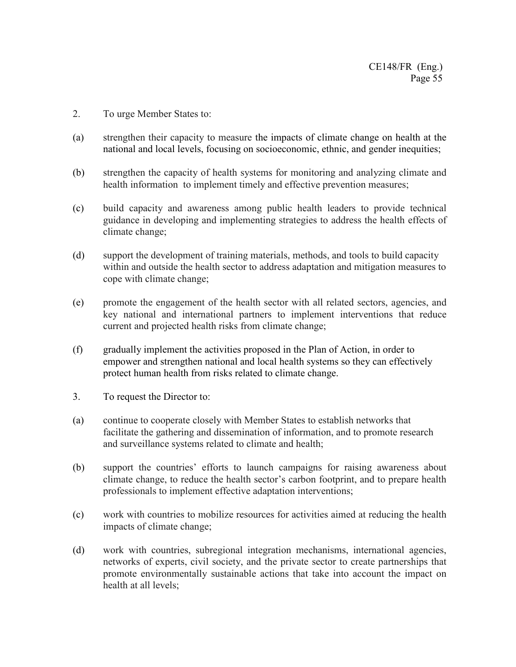- 2. To urge Member States to:
- (a) strengthen their capacity to measure the impacts of climate change on health at the national and local levels, focusing on socioeconomic, ethnic, and gender inequities;
- (b) strengthen the capacity of health systems for monitoring and analyzing climate and health information to implement timely and effective prevention measures;
- (c) build capacity and awareness among public health leaders to provide technical guidance in developing and implementing strategies to address the health effects of climate change;
- (d) support the development of training materials, methods, and tools to build capacity within and outside the health sector to address adaptation and mitigation measures to cope with climate change;
- (e) promote the engagement of the health sector with all related sectors, agencies, and key national and international partners to implement interventions that reduce current and projected health risks from climate change;
- (f) gradually implement the activities proposed in the Plan of Action, in order to empower and strengthen national and local health systems so they can effectively protect human health from risks related to climate change.
- 3. To request the Director to:
- (a) continue to cooperate closely with Member States to establish networks that facilitate the gathering and dissemination of information, and to promote research and surveillance systems related to climate and health;
- (b) support the countries' efforts to launch campaigns for raising awareness about climate change, to reduce the health sector's carbon footprint, and to prepare health professionals to implement effective adaptation interventions;
- (c) work with countries to mobilize resources for activities aimed at reducing the health impacts of climate change;
- (d) work with countries, subregional integration mechanisms, international agencies, networks of experts, civil society, and the private sector to create partnerships that promote environmentally sustainable actions that take into account the impact on health at all levels;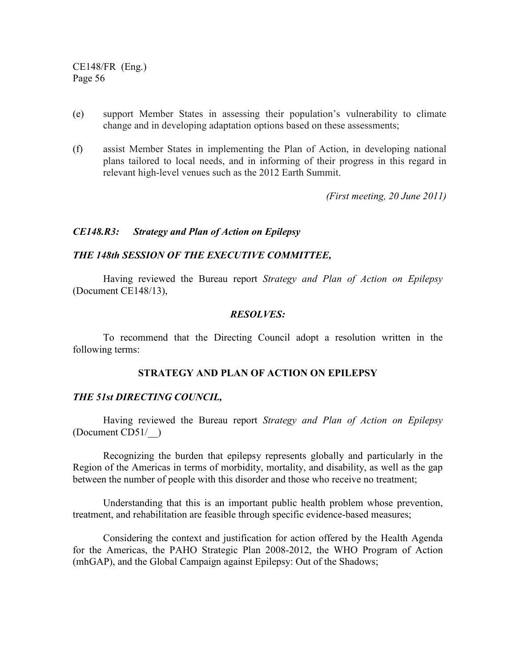- (e) support Member States in assessing their population's vulnerability to climate change and in developing adaptation options based on these assessments;
- (f) assist Member States in implementing the Plan of Action, in developing national plans tailored to local needs, and in informing of their progress in this regard in relevant high-level venues such as the 2012 Earth Summit.

*(First meeting, 20 June 2011)*

### *CE148.R3: Strategy and Plan of Action on Epilepsy*

#### *THE 148th SESSION OF THE EXECUTIVE COMMITTEE,*

Having reviewed the Bureau report *Strategy and Plan of Action on Epilepsy* (Document CE148/13),

#### *RESOLVES:*

To recommend that the Directing Council adopt a resolution written in the following terms:

## **STRATEGY AND PLAN OF ACTION ON EPILEPSY**

#### *THE 51st DIRECTING COUNCIL,*

 Having reviewed the Bureau report *Strategy and Plan of Action on Epilepsy* (Document CD51/\_\_)

 Recognizing the burden that epilepsy represents globally and particularly in the Region of the Americas in terms of morbidity, mortality, and disability, as well as the gap between the number of people with this disorder and those who receive no treatment;

 Understanding that this is an important public health problem whose prevention, treatment, and rehabilitation are feasible through specific evidence-based measures;

 Considering the context and justification for action offered by the Health Agenda for the Americas, the PAHO Strategic Plan 2008-2012, the WHO Program of Action (mhGAP), and the Global Campaign against Epilepsy: Out of the Shadows;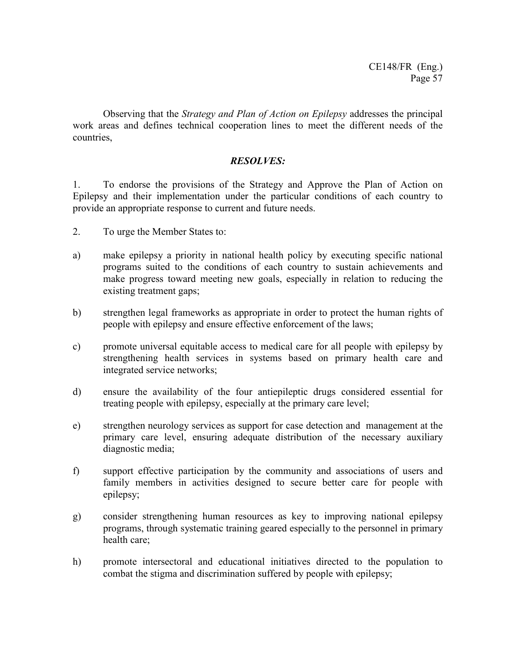Observing that the *Strategy and Plan of Action on Epilepsy* addresses the principal work areas and defines technical cooperation lines to meet the different needs of the countries,

## *RESOLVES:*

1. To endorse the provisions of the Strategy and Approve the Plan of Action on Epilepsy and their implementation under the particular conditions of each country to provide an appropriate response to current and future needs.

- 2. To urge the Member States to:
- a) make epilepsy a priority in national health policy by executing specific national programs suited to the conditions of each country to sustain achievements and make progress toward meeting new goals, especially in relation to reducing the existing treatment gaps;
- b) strengthen legal frameworks as appropriate in order to protect the human rights of people with epilepsy and ensure effective enforcement of the laws;
- c) promote universal equitable access to medical care for all people with epilepsy by strengthening health services in systems based on primary health care and integrated service networks;
- d) ensure the availability of the four antiepileptic drugs considered essential for treating people with epilepsy, especially at the primary care level;
- e) strengthen neurology services as support for case detection and management at the primary care level, ensuring adequate distribution of the necessary auxiliary diagnostic media;
- f) support effective participation by the community and associations of users and family members in activities designed to secure better care for people with epilepsy;
- g) consider strengthening human resources as key to improving national epilepsy programs, through systematic training geared especially to the personnel in primary health care;
- h) promote intersectoral and educational initiatives directed to the population to combat the stigma and discrimination suffered by people with epilepsy;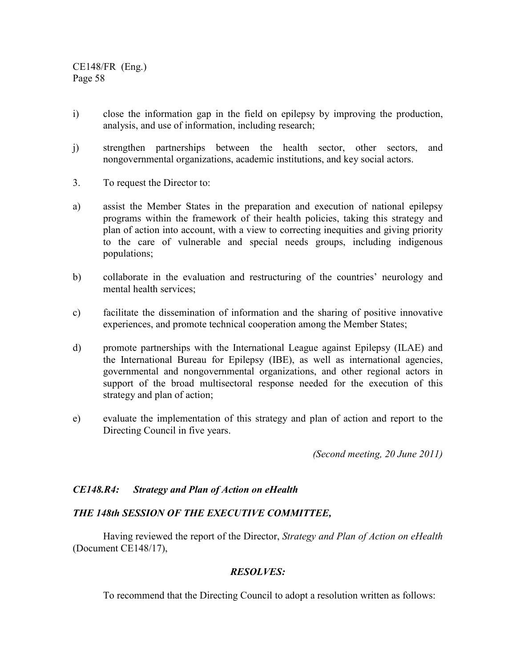- i) close the information gap in the field on epilepsy by improving the production, analysis, and use of information, including research;
- j) strengthen partnerships between the health sector, other sectors, and nongovernmental organizations, academic institutions, and key social actors.
- 3. To request the Director to:
- a) assist the Member States in the preparation and execution of national epilepsy programs within the framework of their health policies, taking this strategy and plan of action into account, with a view to correcting inequities and giving priority to the care of vulnerable and special needs groups, including indigenous populations;
- b) collaborate in the evaluation and restructuring of the countries' neurology and mental health services;
- c) facilitate the dissemination of information and the sharing of positive innovative experiences, and promote technical cooperation among the Member States;
- d) promote partnerships with the International League against Epilepsy (ILAE) and the International Bureau for Epilepsy (IBE), as well as international agencies, governmental and nongovernmental organizations, and other regional actors in support of the broad multisectoral response needed for the execution of this strategy and plan of action;
- e) evaluate the implementation of this strategy and plan of action and report to the Directing Council in five years.

*(Second meeting, 20 June 2011)*

### *CE148.R4: Strategy and Plan of Action on eHealth*

### *THE 148th SESSION OF THE EXECUTIVE COMMITTEE,*

 Having reviewed the report of the Director, *Strategy and Plan of Action on eHealth* (Document CE148/17),

### *RESOLVES:*

To recommend that the Directing Council to adopt a resolution written as follows: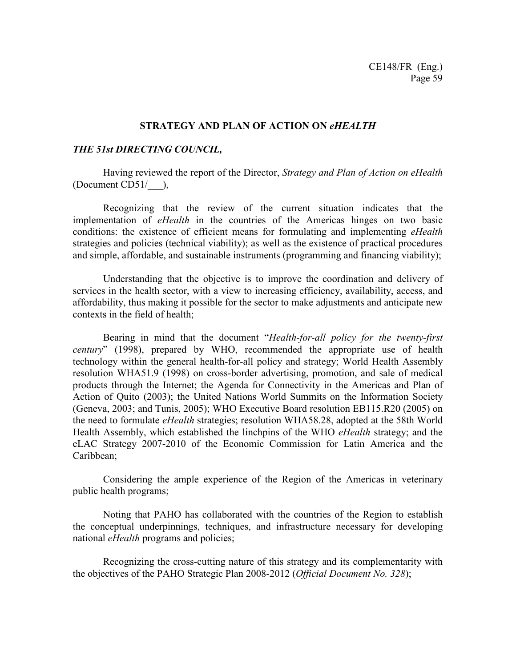### **STRATEGY AND PLAN OF ACTION ON** *eHEALTH*

### *THE 51st DIRECTING COUNCIL,*

 Having reviewed the report of the Director, *Strategy and Plan of Action on eHealth* (Document CD51/\_\_\_),

 Recognizing that the review of the current situation indicates that the implementation of *eHealth* in the countries of the Americas hinges on two basic conditions: the existence of efficient means for formulating and implementing *eHealth* strategies and policies (technical viability); as well as the existence of practical procedures and simple, affordable, and sustainable instruments (programming and financing viability);

 Understanding that the objective is to improve the coordination and delivery of services in the health sector, with a view to increasing efficiency, availability, access, and affordability, thus making it possible for the sector to make adjustments and anticipate new contexts in the field of health;

Bearing in mind that the document "*Health-for-all policy for the twenty-first century*" (1998), prepared by WHO, recommended the appropriate use of health technology within the general health-for-all policy and strategy; World Health Assembly resolution WHA51.9 (1998) on cross-border advertising, promotion, and sale of medical products through the Internet; the Agenda for Connectivity in the Americas and Plan of Action of Quito (2003); the United Nations World Summits on the Information Society (Geneva, 2003; and Tunis, 2005); WHO Executive Board resolution EB115.R20 (2005) on the need to formulate *eHealth* strategies; resolution WHA58.28, adopted at the 58th World Health Assembly, which established the linchpins of the WHO *eHealth* strategy; and the eLAC Strategy 2007-2010 of the Economic Commission for Latin America and the Caribbean;

 Considering the ample experience of the Region of the Americas in veterinary public health programs;

 Noting that PAHO has collaborated with the countries of the Region to establish the conceptual underpinnings, techniques, and infrastructure necessary for developing national *eHealth* programs and policies;

 Recognizing the cross-cutting nature of this strategy and its complementarity with the objectives of the PAHO Strategic Plan 2008-2012 (*Official Document No. 328*);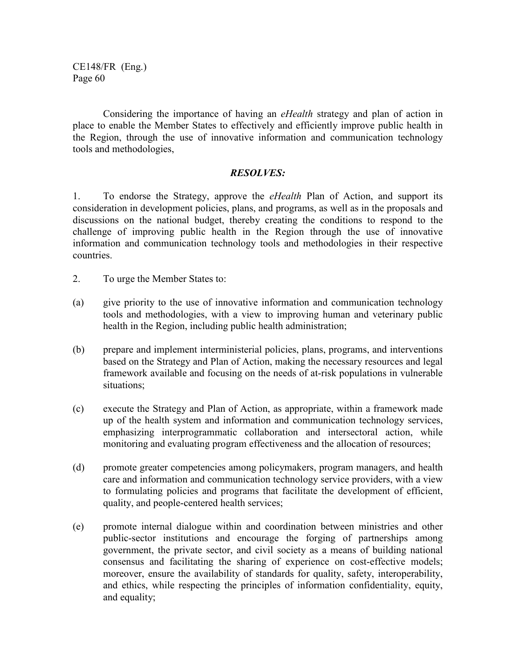Considering the importance of having an *eHealth* strategy and plan of action in place to enable the Member States to effectively and efficiently improve public health in the Region, through the use of innovative information and communication technology tools and methodologies,

### *RESOLVES:*

1. To endorse the Strategy, approve the *eHealth* Plan of Action, and support its consideration in development policies, plans, and programs, as well as in the proposals and discussions on the national budget, thereby creating the conditions to respond to the challenge of improving public health in the Region through the use of innovative information and communication technology tools and methodologies in their respective countries.

- 2. To urge the Member States to:
- (a) give priority to the use of innovative information and communication technology tools and methodologies, with a view to improving human and veterinary public health in the Region, including public health administration;
- (b) prepare and implement interministerial policies, plans, programs, and interventions based on the Strategy and Plan of Action, making the necessary resources and legal framework available and focusing on the needs of at-risk populations in vulnerable situations;
- (c) execute the Strategy and Plan of Action, as appropriate, within a framework made up of the health system and information and communication technology services, emphasizing interprogrammatic collaboration and intersectoral action, while monitoring and evaluating program effectiveness and the allocation of resources;
- (d) promote greater competencies among policymakers, program managers, and health care and information and communication technology service providers, with a view to formulating policies and programs that facilitate the development of efficient, quality, and people-centered health services;
- (e) promote internal dialogue within and coordination between ministries and other public-sector institutions and encourage the forging of partnerships among government, the private sector, and civil society as a means of building national consensus and facilitating the sharing of experience on cost-effective models; moreover, ensure the availability of standards for quality, safety, interoperability, and ethics, while respecting the principles of information confidentiality, equity, and equality;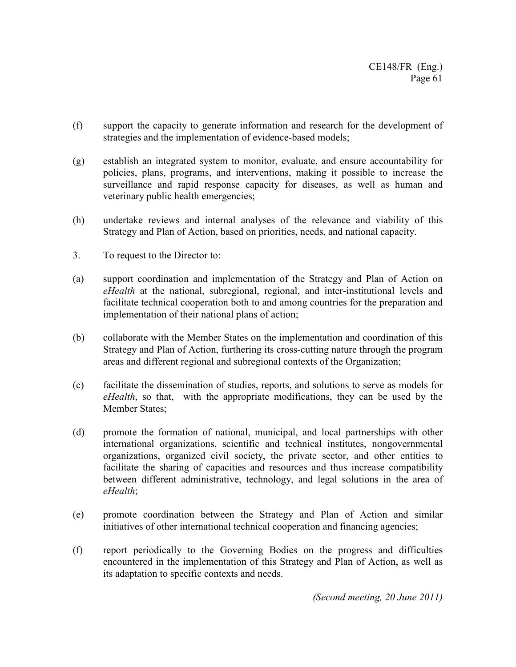- (f) support the capacity to generate information and research for the development of strategies and the implementation of evidence-based models;
- (g) establish an integrated system to monitor, evaluate, and ensure accountability for policies, plans, programs, and interventions, making it possible to increase the surveillance and rapid response capacity for diseases, as well as human and veterinary public health emergencies;
- (h) undertake reviews and internal analyses of the relevance and viability of this Strategy and Plan of Action, based on priorities, needs, and national capacity.
- 3. To request to the Director to:
- (a) support coordination and implementation of the Strategy and Plan of Action on *eHealth* at the national, subregional, regional, and inter-institutional levels and facilitate technical cooperation both to and among countries for the preparation and implementation of their national plans of action;
- (b) collaborate with the Member States on the implementation and coordination of this Strategy and Plan of Action, furthering its cross-cutting nature through the program areas and different regional and subregional contexts of the Organization;
- (c) facilitate the dissemination of studies, reports, and solutions to serve as models for *eHealth*, so that, with the appropriate modifications, they can be used by the Member States;
- (d) promote the formation of national, municipal, and local partnerships with other international organizations, scientific and technical institutes, nongovernmental organizations, organized civil society, the private sector, and other entities to facilitate the sharing of capacities and resources and thus increase compatibility between different administrative, technology, and legal solutions in the area of *eHealth*;
- (e) promote coordination between the Strategy and Plan of Action and similar initiatives of other international technical cooperation and financing agencies;
- (f) report periodically to the Governing Bodies on the progress and difficulties encountered in the implementation of this Strategy and Plan of Action, as well as its adaptation to specific contexts and needs.

*(Second meeting, 20 June 2011)*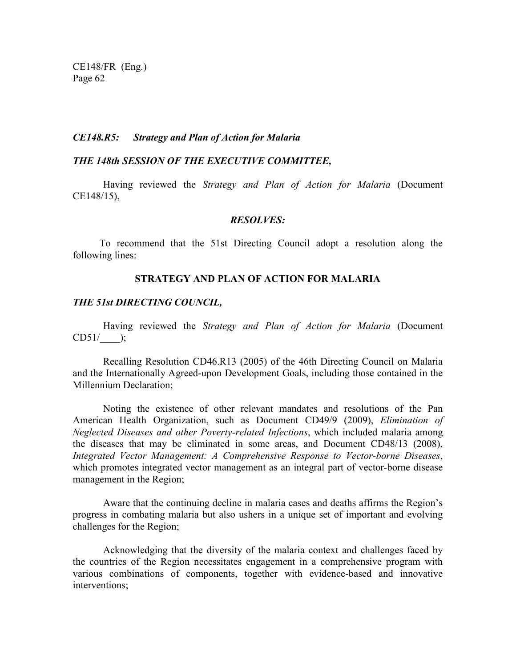#### *CE148.R5: Strategy and Plan of Action for Malaria*

#### *THE 148th SESSION OF THE EXECUTIVE COMMITTEE,*

Having reviewed the *Strategy and Plan of Action for Malaria* (Document CE148/15),

#### *RESOLVES:*

To recommend that the 51st Directing Council adopt a resolution along the following lines:

### **STRATEGY AND PLAN OF ACTION FOR MALARIA**

#### *THE 51st DIRECTING COUNCIL,*

Having reviewed the *Strategy and Plan of Action for Malaria* (Document  $CD51/$ .

Recalling Resolution CD46.R13 (2005) of the 46th Directing Council on Malaria and the Internationally Agreed-upon Development Goals, including those contained in the Millennium Declaration;

Noting the existence of other relevant mandates and resolutions of the Pan American Health Organization, such as Document CD49/9 (2009), *Elimination of Neglected Diseases and other Poverty-related Infections*, which included malaria among the diseases that may be eliminated in some areas, and Document CD48/13 (2008), *Integrated Vector Management: A Comprehensive Response to Vector-borne Diseases*, which promotes integrated vector management as an integral part of vector-borne disease management in the Region;

Aware that the continuing decline in malaria cases and deaths affirms the Region's progress in combating malaria but also ushers in a unique set of important and evolving challenges for the Region;

Acknowledging that the diversity of the malaria context and challenges faced by the countries of the Region necessitates engagement in a comprehensive program with various combinations of components, together with evidence-based and innovative interventions;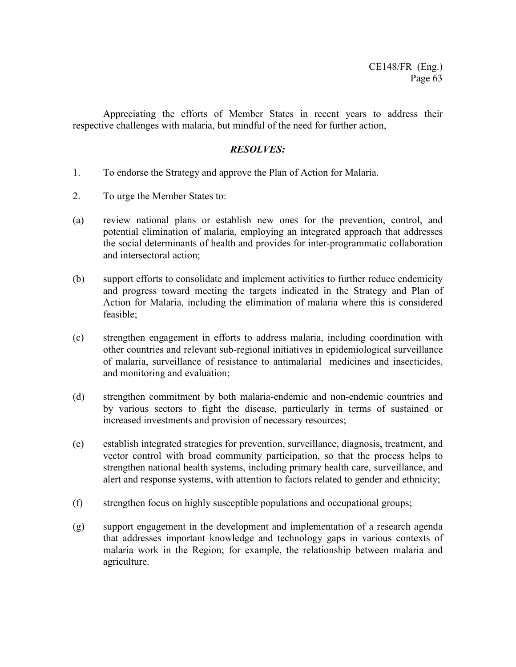Appreciating the efforts of Member States in recent years to address their respective challenges with malaria, but mindful of the need for further action,

## *RESOLVES:*

- 1. To endorse the Strategy and approve the Plan of Action for Malaria.
- 2. To urge the Member States to:
- (a) review national plans or establish new ones for the prevention, control, and potential elimination of malaria, employing an integrated approach that addresses the social determinants of health and provides for inter-programmatic collaboration and intersectoral action;
- (b) support efforts to consolidate and implement activities to further reduce endemicity and progress toward meeting the targets indicated in the Strategy and Plan of Action for Malaria, including the elimination of malaria where this is considered feasible;
- (c) strengthen engagement in efforts to address malaria, including coordination with other countries and relevant sub-regional initiatives in epidemiological surveillance of malaria, surveillance of resistance to antimalarial medicines and insecticides, and monitoring and evaluation;
- (d) strengthen commitment by both malaria-endemic and non-endemic countries and by various sectors to fight the disease, particularly in terms of sustained or increased investments and provision of necessary resources;
- (e) establish integrated strategies for prevention, surveillance, diagnosis, treatment, and vector control with broad community participation, so that the process helps to strengthen national health systems, including primary health care, surveillance, and alert and response systems, with attention to factors related to gender and ethnicity;
- (f) strengthen focus on highly susceptible populations and occupational groups;
- (g) support engagement in the development and implementation of a research agenda that addresses important knowledge and technology gaps in various contexts of malaria work in the Region; for example, the relationship between malaria and agriculture.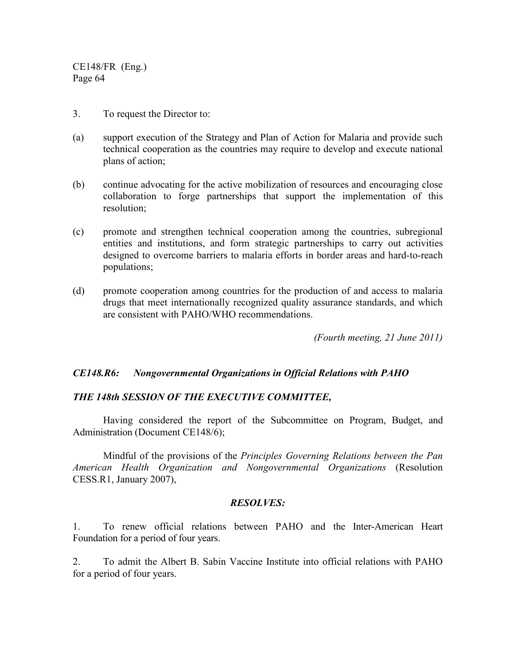- 3. To request the Director to:
- (a) support execution of the Strategy and Plan of Action for Malaria and provide such technical cooperation as the countries may require to develop and execute national plans of action;
- (b) continue advocating for the active mobilization of resources and encouraging close collaboration to forge partnerships that support the implementation of this resolution;
- (c) promote and strengthen technical cooperation among the countries, subregional entities and institutions, and form strategic partnerships to carry out activities designed to overcome barriers to malaria efforts in border areas and hard-to-reach populations;
- (d) promote cooperation among countries for the production of and access to malaria drugs that meet internationally recognized quality assurance standards, and which are consistent with PAHO/WHO recommendations.

*(Fourth meeting, 21 June 2011)*

### *CE148.R6: Nongovernmental Organizations in Official Relations with PAHO*

### *THE 148th SESSION OF THE EXECUTIVE COMMITTEE,*

Having considered the report of the Subcommittee on Program, Budget, and Administration (Document CE148/6);

 Mindful of the provisions of the *Principles Governing Relations between the Pan American Health Organization and Nongovernmental Organizations* (Resolution CESS.R1, January 2007),

### *RESOLVES:*

1. To renew official relations between PAHO and the Inter-American Heart Foundation for a period of four years.

2. To admit the Albert B. Sabin Vaccine Institute into official relations with PAHO for a period of four years.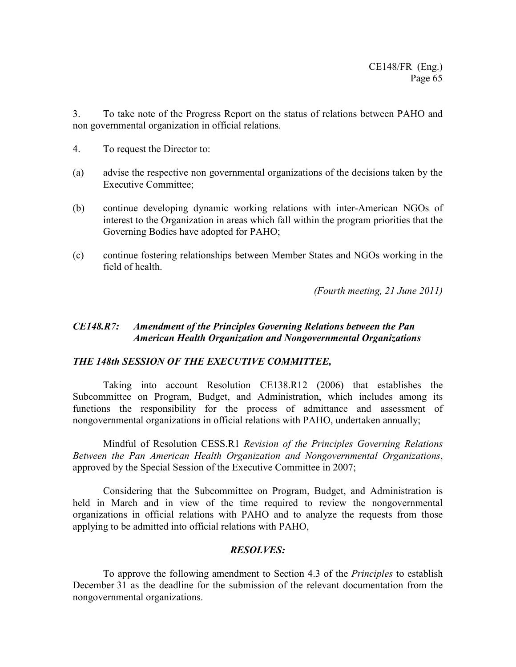3. To take note of the Progress Report on the status of relations between PAHO and non governmental organization in official relations.

- 4. To request the Director to:
- (a) advise the respective non governmental organizations of the decisions taken by the Executive Committee;
- (b) continue developing dynamic working relations with inter-American NGOs of interest to the Organization in areas which fall within the program priorities that the Governing Bodies have adopted for PAHO;
- (c) continue fostering relationships between Member States and NGOs working in the field of health.

*(Fourth meeting, 21 June 2011)*

## *CE148.R7: Amendment of the Principles Governing Relations between the Pan American Health Organization and Nongovernmental Organizations*

### *THE 148th SESSION OF THE EXECUTIVE COMMITTEE,*

 Taking into account Resolution CE138.R12 (2006) that establishes the Subcommittee on Program, Budget, and Administration, which includes among its functions the responsibility for the process of admittance and assessment of nongovernmental organizations in official relations with PAHO, undertaken annually;

 Mindful of Resolution CESS.R1 *Revision of the Principles Governing Relations Between the Pan American Health Organization and Nongovernmental Organizations*, approved by the Special Session of the Executive Committee in 2007;

Considering that the Subcommittee on Program, Budget, and Administration is held in March and in view of the time required to review the nongovernmental organizations in official relations with PAHO and to analyze the requests from those applying to be admitted into official relations with PAHO,

### *RESOLVES:*

 To approve the following amendment to Section 4.3 of the *Principles* to establish December 31 as the deadline for the submission of the relevant documentation from the nongovernmental organizations.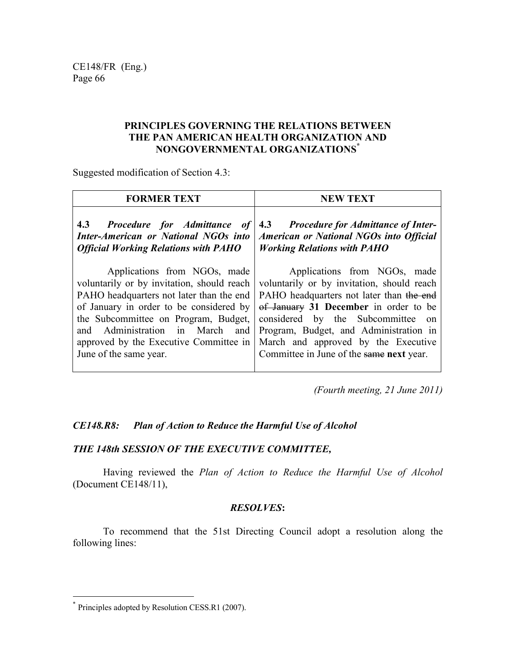## **PRINCIPLES GOVERNING THE RELATIONS BETWEEN THE PAN AMERICAN HEALTH ORGANIZATION AND NONGOVERNMENTAL ORGANIZATIONS\***

Suggested modification of Section 4.3:

| <b>FORMER TEXT</b>                          | <b>NEW TEXT</b>                                |
|---------------------------------------------|------------------------------------------------|
| 4.3 Procedure for Admittance of             | 4.3 Procedure for Admittance of Inter-         |
| <b>Inter-American or National NGOs into</b> | <b>American or National NGOs into Official</b> |
| <b>Official Working Relations with PAHO</b> | <b>Working Relations with PAHO</b>             |
| Applications from NGOs, made                | Applications from NGOs, made                   |
| voluntarily or by invitation, should reach  | voluntarily or by invitation, should reach     |
| PAHO headquarters not later than the end    | PAHO headquarters not later than the end       |
| of January in order to be considered by     | of January 31 December in order to be          |
| the Subcommittee on Program, Budget,        | considered by the Subcommittee                 |
| and Administration in March                 | $\alpha$                                       |
| and                                         | Program, Budget, and Administration in         |
| approved by the Executive Committee in      | March and approved by the Executive            |
| June of the same year.                      | Committee in June of the same next year.       |

*(Fourth meeting, 21 June 2011)*

# *CE148.R8: Plan of Action to Reduce the Harmful Use of Alcohol*

## *THE 148th SESSION OF THE EXECUTIVE COMMITTEE,*

 Having reviewed the *Plan of Action to Reduce the Harmful Use of Alcohol* (Document CE148/11),

## *RESOLVES***:**

 To recommend that the 51st Directing Council adopt a resolution along the following lines:

 $\overline{a}$ 

<sup>\*</sup> Principles adopted by Resolution CESS.R1 (2007).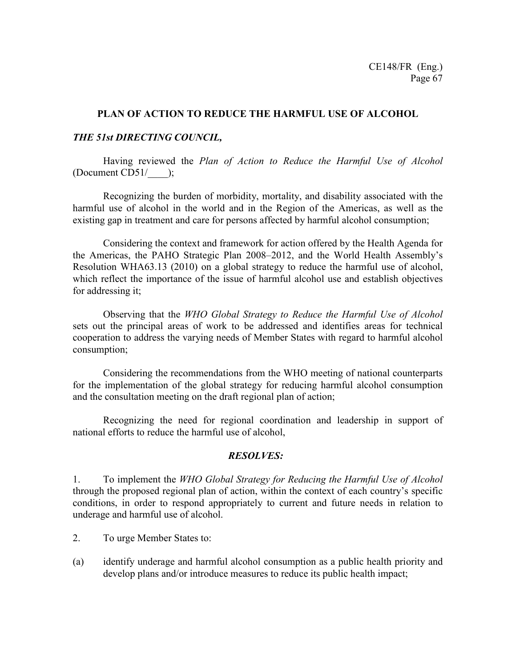### **PLAN OF ACTION TO REDUCE THE HARMFUL USE OF ALCOHOL**

### *THE 51st DIRECTING COUNCIL,*

 Having reviewed the *Plan of Action to Reduce the Harmful Use of Alcohol* (Document CD51/\_\_\_\_);

 Recognizing the burden of morbidity, mortality, and disability associated with the harmful use of alcohol in the world and in the Region of the Americas, as well as the existing gap in treatment and care for persons affected by harmful alcohol consumption;

 Considering the context and framework for action offered by the Health Agenda for the Americas, the PAHO Strategic Plan 2008–2012, and the World Health Assembly's Resolution WHA63.13 (2010) on a global strategy to reduce the harmful use of alcohol, which reflect the importance of the issue of harmful alcohol use and establish objectives for addressing it;

 Observing that the *WHO Global Strategy to Reduce the Harmful Use of Alcohol* sets out the principal areas of work to be addressed and identifies areas for technical cooperation to address the varying needs of Member States with regard to harmful alcohol consumption;

 Considering the recommendations from the WHO meeting of national counterparts for the implementation of the global strategy for reducing harmful alcohol consumption and the consultation meeting on the draft regional plan of action;

 Recognizing the need for regional coordination and leadership in support of national efforts to reduce the harmful use of alcohol,

### *RESOLVES:*

1. To implement the *WHO Global Strategy for Reducing the Harmful Use of Alcohol* through the proposed regional plan of action, within the context of each country's specific conditions, in order to respond appropriately to current and future needs in relation to underage and harmful use of alcohol.

- 2. To urge Member States to:
- (a) identify underage and harmful alcohol consumption as a public health priority and develop plans and/or introduce measures to reduce its public health impact;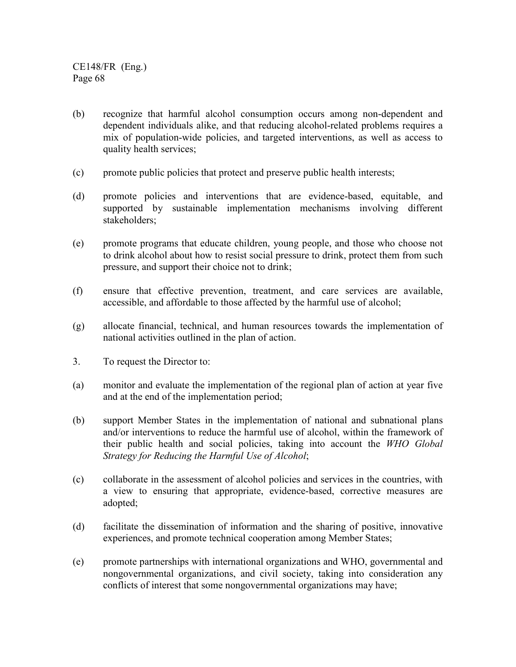- (b) recognize that harmful alcohol consumption occurs among non-dependent and dependent individuals alike, and that reducing alcohol-related problems requires a mix of population-wide policies, and targeted interventions, as well as access to quality health services;
- (c) promote public policies that protect and preserve public health interests;
- (d) promote policies and interventions that are evidence-based, equitable, and supported by sustainable implementation mechanisms involving different stakeholders;
- (e) promote programs that educate children, young people, and those who choose not to drink alcohol about how to resist social pressure to drink, protect them from such pressure, and support their choice not to drink;
- (f) ensure that effective prevention, treatment, and care services are available, accessible, and affordable to those affected by the harmful use of alcohol;
- (g) allocate financial, technical, and human resources towards the implementation of national activities outlined in the plan of action.
- 3. To request the Director to:
- (a) monitor and evaluate the implementation of the regional plan of action at year five and at the end of the implementation period;
- (b) support Member States in the implementation of national and subnational plans and/or interventions to reduce the harmful use of alcohol, within the framework of their public health and social policies, taking into account the *WHO Global Strategy for Reducing the Harmful Use of Alcohol*;
- (c) collaborate in the assessment of alcohol policies and services in the countries, with a view to ensuring that appropriate, evidence-based, corrective measures are adopted;
- (d) facilitate the dissemination of information and the sharing of positive, innovative experiences, and promote technical cooperation among Member States;
- (e) promote partnerships with international organizations and WHO, governmental and nongovernmental organizations, and civil society, taking into consideration any conflicts of interest that some nongovernmental organizations may have;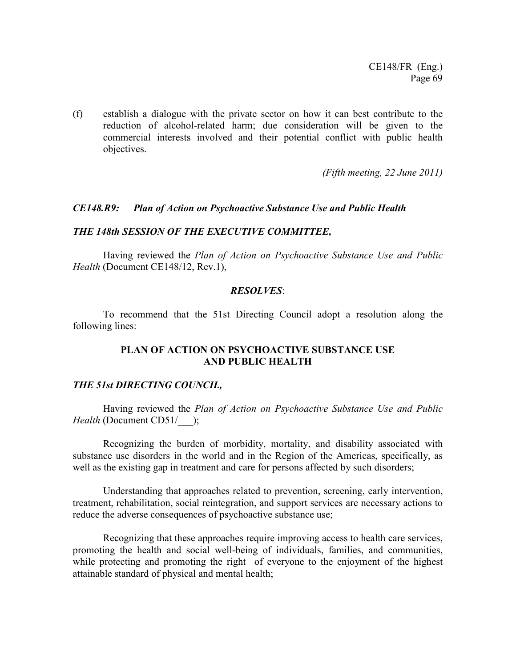(f) establish a dialogue with the private sector on how it can best contribute to the reduction of alcohol-related harm; due consideration will be given to the commercial interests involved and their potential conflict with public health objectives.

*(Fifth meeting, 22 June 2011)*

### *CE148.R9: Plan of Action on Psychoactive Substance Use and Public Health*

### *THE 148th SESSION OF THE EXECUTIVE COMMITTEE,*

Having reviewed the *Plan of Action on Psychoactive Substance Use and Public Health* (Document CE148/12, Rev.1),

### *RESOLVES*:

 To recommend that the 51st Directing Council adopt a resolution along the following lines:

### **PLAN OF ACTION ON PSYCHOACTIVE SUBSTANCE USE AND PUBLIC HEALTH**

### *THE 51st DIRECTING COUNCIL,*

 Having reviewed the *Plan of Action on Psychoactive Substance Use and Public Health* (Document CD51/ );

 Recognizing the burden of morbidity, mortality, and disability associated with substance use disorders in the world and in the Region of the Americas, specifically, as well as the existing gap in treatment and care for persons affected by such disorders;

Understanding that approaches related to prevention, screening, early intervention, treatment, rehabilitation, social reintegration, and support services are necessary actions to reduce the adverse consequences of psychoactive substance use;

 Recognizing that these approaches require improving access to health care services, promoting the health and social well-being of individuals, families, and communities, while protecting and promoting the right of everyone to the enjoyment of the highest attainable standard of physical and mental health;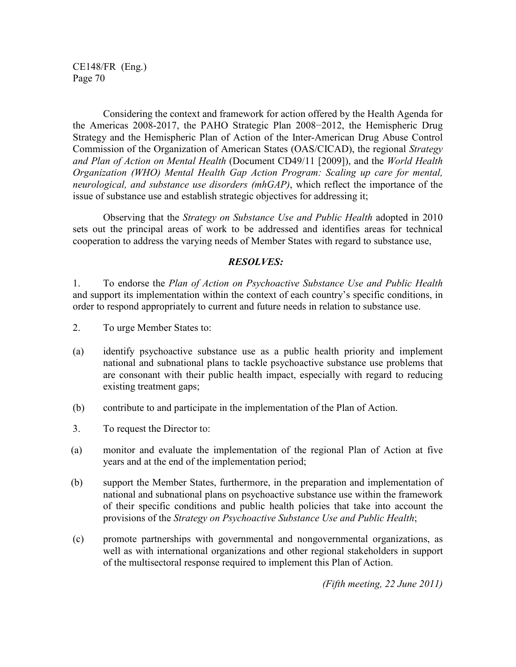Considering the context and framework for action offered by the Health Agenda for the Americas 2008-2017, the PAHO Strategic Plan 2008−2012, the Hemispheric Drug Strategy and the Hemispheric Plan of Action of the Inter-American Drug Abuse Control Commission of the Organization of American States (OAS/CICAD), the regional *Strategy and Plan of Action on Mental Health* (Document CD49/11 [2009]), and the *World Health Organization (WHO) Mental Health Gap Action Program: Scaling up care for mental, neurological, and substance use disorders (mhGAP)*, which reflect the importance of the issue of substance use and establish strategic objectives for addressing it;

 Observing that the *Strategy on Substance Use and Public Health* adopted in 2010 sets out the principal areas of work to be addressed and identifies areas for technical cooperation to address the varying needs of Member States with regard to substance use,

### *RESOLVES:*

1. To endorse the *Plan of Action on Psychoactive Substance Use and Public Health* and support its implementation within the context of each country's specific conditions, in order to respond appropriately to current and future needs in relation to substance use.

- 2. To urge Member States to:
- (a) identify psychoactive substance use as a public health priority and implement national and subnational plans to tackle psychoactive substance use problems that are consonant with their public health impact, especially with regard to reducing existing treatment gaps;
- (b) contribute to and participate in the implementation of the Plan of Action.
- 3. To request the Director to:
- (a) monitor and evaluate the implementation of the regional Plan of Action at five years and at the end of the implementation period;
- (b) support the Member States, furthermore, in the preparation and implementation of national and subnational plans on psychoactive substance use within the framework of their specific conditions and public health policies that take into account the provisions of the *Strategy on Psychoactive Substance Use and Public Health*;
- (c) promote partnerships with governmental and nongovernmental organizations, as well as with international organizations and other regional stakeholders in support of the multisectoral response required to implement this Plan of Action.

*(Fifth meeting, 22 June 2011)*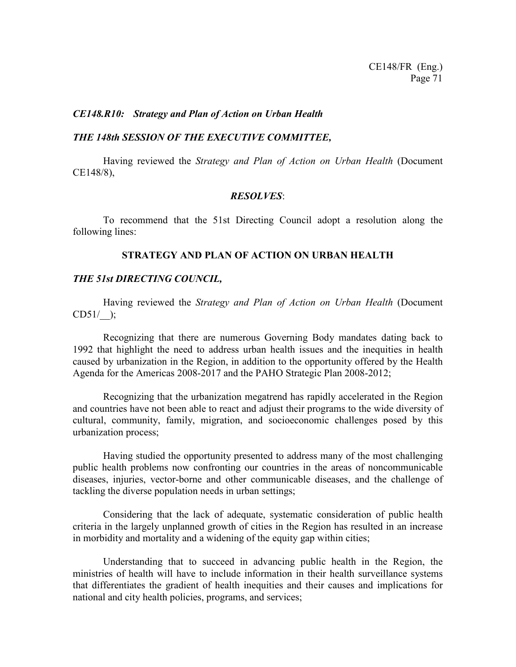#### *CE148.R10: Strategy and Plan of Action on Urban Health*

#### *THE 148th SESSION OF THE EXECUTIVE COMMITTEE,*

 Having reviewed the *Strategy and Plan of Action on Urban Health* (Document CE148/8),

#### *RESOLVES*:

 To recommend that the 51st Directing Council adopt a resolution along the following lines:

### **STRATEGY AND PLAN OF ACTION ON URBAN HEALTH**

### *THE 51st DIRECTING COUNCIL,*

Having reviewed the *Strategy and Plan of Action on Urban Health* (Document  $CD51/$  );

 Recognizing that there are numerous Governing Body mandates dating back to 1992 that highlight the need to address urban health issues and the inequities in health caused by urbanization in the Region, in addition to the opportunity offered by the Health Agenda for the Americas 2008-2017 and the PAHO Strategic Plan 2008-2012;

Recognizing that the urbanization megatrend has rapidly accelerated in the Region and countries have not been able to react and adjust their programs to the wide diversity of cultural, community, family, migration, and socioeconomic challenges posed by this urbanization process;

Having studied the opportunity presented to address many of the most challenging public health problems now confronting our countries in the areas of noncommunicable diseases, injuries, vector-borne and other communicable diseases, and the challenge of tackling the diverse population needs in urban settings;

Considering that the lack of adequate, systematic consideration of public health criteria in the largely unplanned growth of cities in the Region has resulted in an increase in morbidity and mortality and a widening of the equity gap within cities;

Understanding that to succeed in advancing public health in the Region, the ministries of health will have to include information in their health surveillance systems that differentiates the gradient of health inequities and their causes and implications for national and city health policies, programs, and services;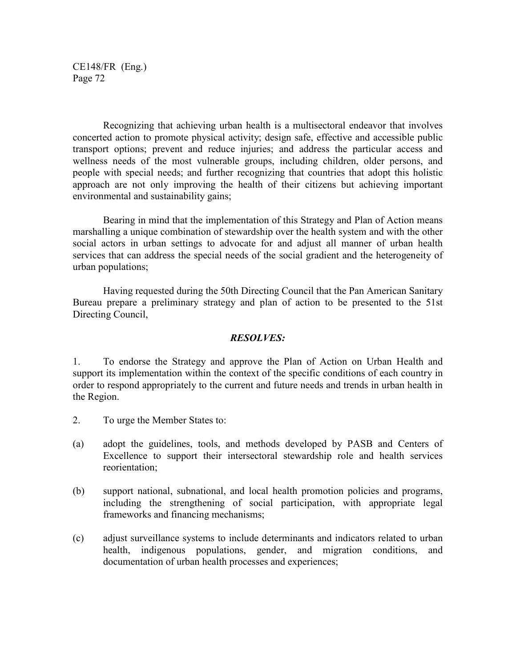Recognizing that achieving urban health is a multisectoral endeavor that involves concerted action to promote physical activity; design safe, effective and accessible public transport options; prevent and reduce injuries; and address the particular access and wellness needs of the most vulnerable groups, including children, older persons, and people with special needs; and further recognizing that countries that adopt this holistic approach are not only improving the health of their citizens but achieving important environmental and sustainability gains;

Bearing in mind that the implementation of this Strategy and Plan of Action means marshalling a unique combination of stewardship over the health system and with the other social actors in urban settings to advocate for and adjust all manner of urban health services that can address the special needs of the social gradient and the heterogeneity of urban populations;

Having requested during the 50th Directing Council that the Pan American Sanitary Bureau prepare a preliminary strategy and plan of action to be presented to the 51st Directing Council,

### *RESOLVES:*

1. To endorse the Strategy and approve the Plan of Action on Urban Health and support its implementation within the context of the specific conditions of each country in order to respond appropriately to the current and future needs and trends in urban health in the Region.

- 2. To urge the Member States to:
- (a) adopt the guidelines, tools, and methods developed by PASB and Centers of Excellence to support their intersectoral stewardship role and health services reorientation;
- (b) support national, subnational, and local health promotion policies and programs, including the strengthening of social participation, with appropriate legal frameworks and financing mechanisms;
- (c) adjust surveillance systems to include determinants and indicators related to urban health, indigenous populations, gender, and migration conditions, and documentation of urban health processes and experiences;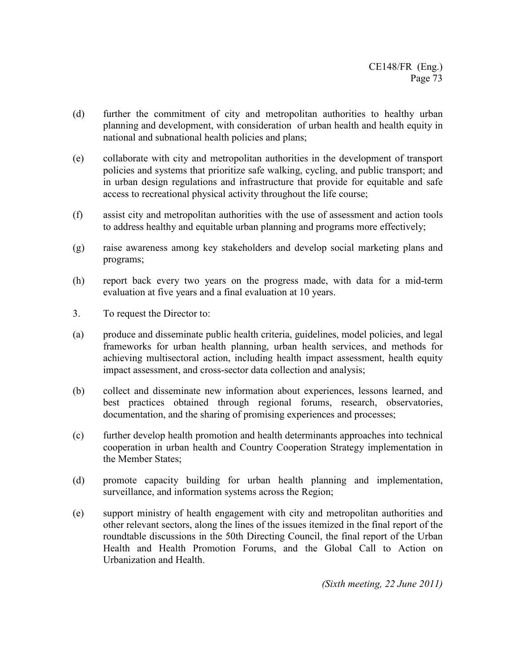- (d) further the commitment of city and metropolitan authorities to healthy urban planning and development, with consideration of urban health and health equity in national and subnational health policies and plans;
- (e) collaborate with city and metropolitan authorities in the development of transport policies and systems that prioritize safe walking, cycling, and public transport; and in urban design regulations and infrastructure that provide for equitable and safe access to recreational physical activity throughout the life course;
- (f) assist city and metropolitan authorities with the use of assessment and action tools to address healthy and equitable urban planning and programs more effectively;
- (g) raise awareness among key stakeholders and develop social marketing plans and programs;
- (h) report back every two years on the progress made, with data for a mid-term evaluation at five years and a final evaluation at 10 years.
- 3. To request the Director to:
- (a) produce and disseminate public health criteria, guidelines, model policies, and legal frameworks for urban health planning, urban health services, and methods for achieving multisectoral action, including health impact assessment, health equity impact assessment, and cross-sector data collection and analysis;
- (b) collect and disseminate new information about experiences, lessons learned, and best practices obtained through regional forums, research, observatories, documentation, and the sharing of promising experiences and processes;
- (c) further develop health promotion and health determinants approaches into technical cooperation in urban health and Country Cooperation Strategy implementation in the Member States;
- (d) promote capacity building for urban health planning and implementation, surveillance, and information systems across the Region;
- (e) support ministry of health engagement with city and metropolitan authorities and other relevant sectors, along the lines of the issues itemized in the final report of the roundtable discussions in the 50th Directing Council, the final report of the Urban Health and Health Promotion Forums, and the Global Call to Action on Urbanization and Health.

*(Sixth meeting, 22 June 2011)*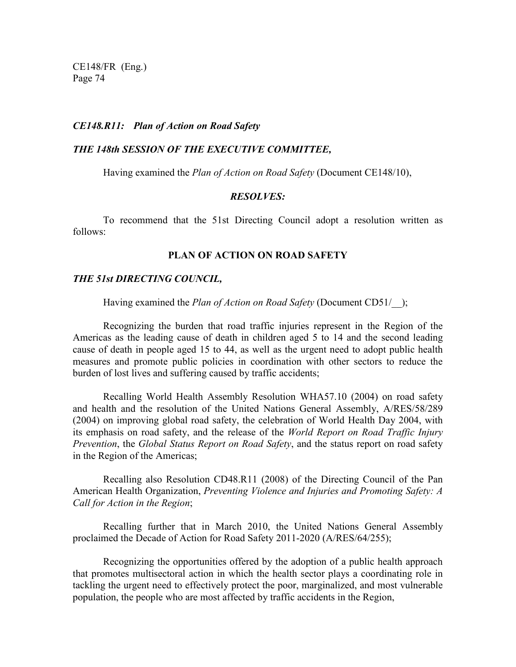### *CE148.R11: Plan of Action on Road Safety*

#### *THE 148th SESSION OF THE EXECUTIVE COMMITTEE,*

Having examined the *Plan of Action on Road Safety* (Document CE148/10),

#### *RESOLVES:*

To recommend that the 51st Directing Council adopt a resolution written as follows:

#### **PLAN OF ACTION ON ROAD SAFETY**

#### *THE 51st DIRECTING COUNCIL,*

Having examined the *Plan of Action on Road Safety* (Document CD51/\_\_);

Recognizing the burden that road traffic injuries represent in the Region of the Americas as the leading cause of death in children aged 5 to 14 and the second leading cause of death in people aged 15 to 44, as well as the urgent need to adopt public health measures and promote public policies in coordination with other sectors to reduce the burden of lost lives and suffering caused by traffic accidents;

 Recalling World Health Assembly Resolution WHA57.10 (2004) on road safety and health and the resolution of the United Nations General Assembly, A/RES/58/289 (2004) on improving global road safety, the celebration of World Health Day 2004, with its emphasis on road safety, and the release of the *World Report on Road Traffic Injury Prevention*, the *Global Status Report on Road Safety*, and the status report on road safety in the Region of the Americas;

Recalling also Resolution CD48.R11 (2008) of the Directing Council of the Pan American Health Organization, *Preventing Violence and Injuries and Promoting Safety: A Call for Action in the Region*;

 Recalling further that in March 2010, the United Nations General Assembly proclaimed the Decade of Action for Road Safety 2011-2020 (A/RES/64/255);

 Recognizing the opportunities offered by the adoption of a public health approach that promotes multisectoral action in which the health sector plays a coordinating role in tackling the urgent need to effectively protect the poor, marginalized, and most vulnerable population, the people who are most affected by traffic accidents in the Region,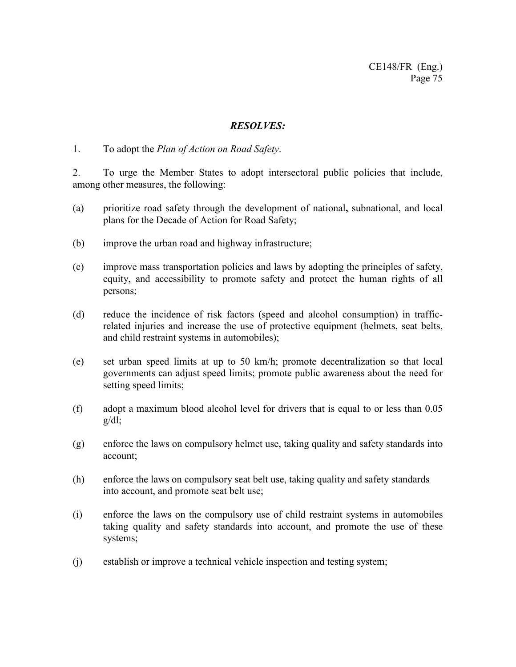## *RESOLVES:*

1. To adopt the *Plan of Action on Road Safety*.

2. To urge the Member States to adopt intersectoral public policies that include, among other measures, the following:

- (a) prioritize road safety through the development of national**,** subnational, and local plans for the Decade of Action for Road Safety;
- (b) improve the urban road and highway infrastructure;
- (c) improve mass transportation policies and laws by adopting the principles of safety, equity, and accessibility to promote safety and protect the human rights of all persons;
- (d) reduce the incidence of risk factors (speed and alcohol consumption) in trafficrelated injuries and increase the use of protective equipment (helmets, seat belts, and child restraint systems in automobiles);
- (e) set urban speed limits at up to 50 km/h; promote decentralization so that local governments can adjust speed limits; promote public awareness about the need for setting speed limits;
- (f) adopt a maximum blood alcohol level for drivers that is equal to or less than 0.05  $g/dl$ ;
- (g) enforce the laws on compulsory helmet use, taking quality and safety standards into account;
- (h) enforce the laws on compulsory seat belt use, taking quality and safety standards into account, and promote seat belt use;
- (i) enforce the laws on the compulsory use of child restraint systems in automobiles taking quality and safety standards into account, and promote the use of these systems;
- (j) establish or improve a technical vehicle inspection and testing system;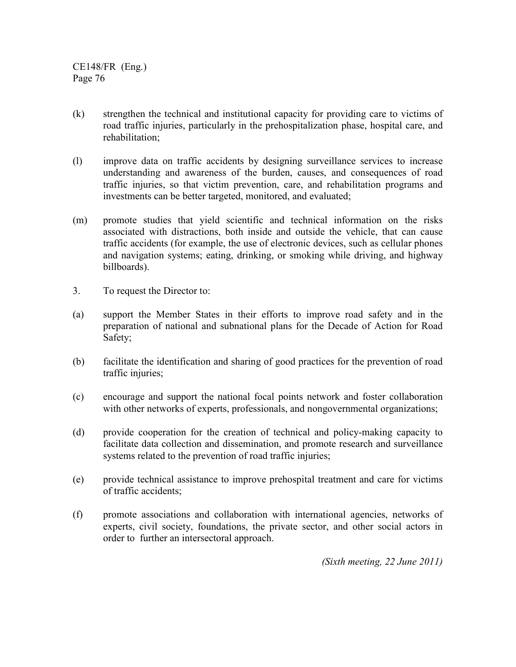- (k) strengthen the technical and institutional capacity for providing care to victims of road traffic injuries, particularly in the prehospitalization phase, hospital care, and rehabilitation;
- (l) improve data on traffic accidents by designing surveillance services to increase understanding and awareness of the burden, causes, and consequences of road traffic injuries, so that victim prevention, care, and rehabilitation programs and investments can be better targeted, monitored, and evaluated;
- (m) promote studies that yield scientific and technical information on the risks associated with distractions, both inside and outside the vehicle, that can cause traffic accidents (for example, the use of electronic devices, such as cellular phones and navigation systems; eating, drinking, or smoking while driving, and highway billboards).
- 3. To request the Director to:
- (a) support the Member States in their efforts to improve road safety and in the preparation of national and subnational plans for the Decade of Action for Road Safety;
- (b) facilitate the identification and sharing of good practices for the prevention of road traffic injuries;
- (c) encourage and support the national focal points network and foster collaboration with other networks of experts, professionals, and nongovernmental organizations;
- (d) provide cooperation for the creation of technical and policy-making capacity to facilitate data collection and dissemination, and promote research and surveillance systems related to the prevention of road traffic injuries;
- (e) provide technical assistance to improve prehospital treatment and care for victims of traffic accidents;
- (f) promote associations and collaboration with international agencies, networks of experts, civil society, foundations, the private sector, and other social actors in order to further an intersectoral approach.

*(Sixth meeting, 22 June 2011)*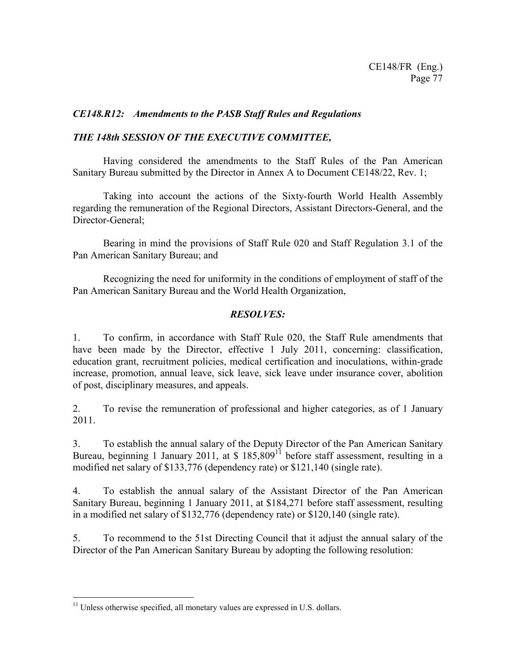## *CE148.R12: Amendments to the PASB Staff Rules and Regulations*

## *THE 148th SESSION OF THE EXECUTIVE COMMITTEE,*

Having considered the amendments to the Staff Rules of the Pan American Sanitary Bureau submitted by the Director in Annex A to Document CE148/22, Rev. 1;

Taking into account the actions of the Sixty-fourth World Health Assembly regarding the remuneration of the Regional Directors, Assistant Directors-General, and the Director-General;

Bearing in mind the provisions of Staff Rule 020 and Staff Regulation 3.1 of the Pan American Sanitary Bureau; and

Recognizing the need for uniformity in the conditions of employment of staff of the Pan American Sanitary Bureau and the World Health Organization,

## *RESOLVES:*

1. To confirm, in accordance with Staff Rule 020, the Staff Rule amendments that have been made by the Director, effective 1 July 2011, concerning: classification, education grant, recruitment policies, medical certification and inoculations, within-grade increase, promotion, annual leave, sick leave, sick leave under insurance cover, abolition of post, disciplinary measures, and appeals.

2. To revise the remuneration of professional and higher categories, as of 1 January 2011.

3. To establish the annual salary of the Deputy Director of the Pan American Sanitary Bureau, beginning 1 January 2011, at  $$185,809$ <sup>11</sup> before staff assessment, resulting in a modified net salary of \$133,776 (dependency rate) or \$121,140 (single rate).

4. To establish the annual salary of the Assistant Director of the Pan American Sanitary Bureau, beginning 1 January 2011, at \$184,271 before staff assessment, resulting in a modified net salary of \$132,776 (dependency rate) or \$120,140 (single rate).

5. To recommend to the 51st Directing Council that it adjust the annual salary of the Director of the Pan American Sanitary Bureau by adopting the following resolution:

 $\overline{a}$ 

 $11$  Unless otherwise specified, all monetary values are expressed in U.S. dollars.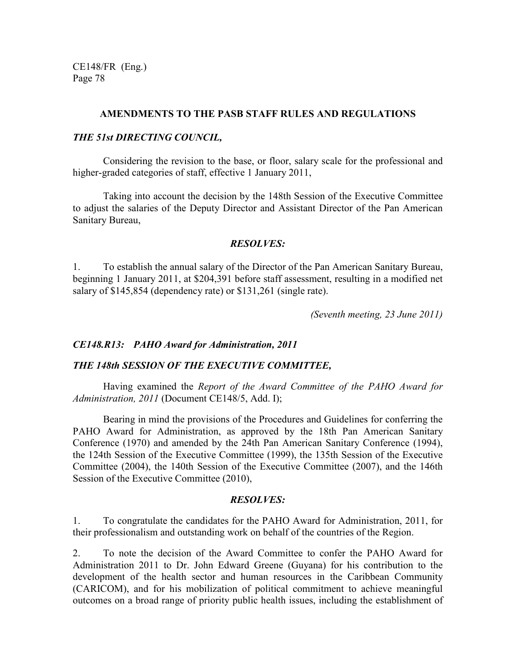## **AMENDMENTS TO THE PASB STAFF RULES AND REGULATIONS**

## *THE 51st DIRECTING COUNCIL,*

Considering the revision to the base, or floor, salary scale for the professional and higher-graded categories of staff, effective 1 January 2011,

Taking into account the decision by the 148th Session of the Executive Committee to adjust the salaries of the Deputy Director and Assistant Director of the Pan American Sanitary Bureau,

### *RESOLVES:*

1. To establish the annual salary of the Director of the Pan American Sanitary Bureau, beginning 1 January 2011, at \$204,391 before staff assessment, resulting in a modified net salary of \$145,854 (dependency rate) or \$131,261 (single rate).

*(Seventh meeting, 23 June 2011)*

### *CE148.R13: PAHO Award for Administration, 2011*

### *THE 148th SESSION OF THE EXECUTIVE COMMITTEE,*

 Having examined the *Report of the Award Committee of the PAHO Award for Administration, 2011* (Document CE148/5, Add. I);

 Bearing in mind the provisions of the Procedures and Guidelines for conferring the PAHO Award for Administration, as approved by the 18th Pan American Sanitary Conference (1970) and amended by the 24th Pan American Sanitary Conference (1994), the 124th Session of the Executive Committee (1999), the 135th Session of the Executive Committee (2004), the 140th Session of the Executive Committee (2007), and the 146th Session of the Executive Committee (2010),

#### *RESOLVES:*

1. To congratulate the candidates for the PAHO Award for Administration, 2011, for their professionalism and outstanding work on behalf of the countries of the Region.

2. To note the decision of the Award Committee to confer the PAHO Award for Administration 2011 to Dr. John Edward Greene (Guyana) for his contribution to the development of the health sector and human resources in the Caribbean Community (CARICOM), and for his mobilization of political commitment to achieve meaningful outcomes on a broad range of priority public health issues, including the establishment of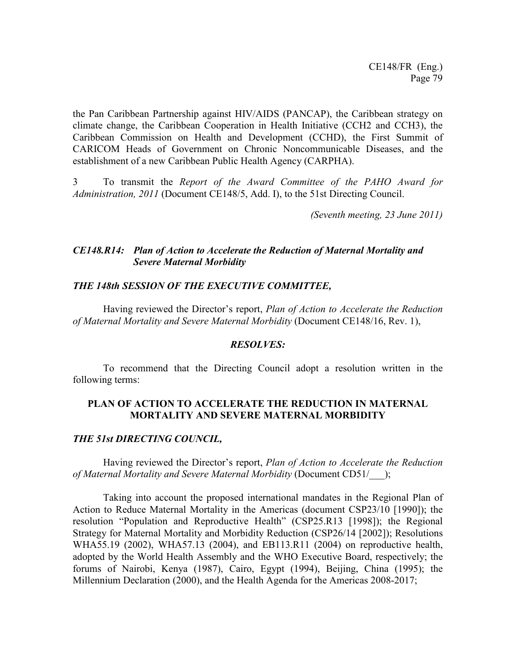the Pan Caribbean Partnership against HIV/AIDS (PANCAP), the Caribbean strategy on climate change, the Caribbean Cooperation in Health Initiative (CCH2 and CCH3), the Caribbean Commission on Health and Development (CCHD), the First Summit of CARICOM Heads of Government on Chronic Noncommunicable Diseases, and the establishment of a new Caribbean Public Health Agency (CARPHA).

3 To transmit the *Report of the Award Committee of the PAHO Award for Administration, 2011* (Document CE148/5, Add. I), to the 51st Directing Council.

*(Seventh meeting, 23 June 2011)*

## *CE148.R14: Plan of Action to Accelerate the Reduction of Maternal Mortality and Severe Maternal Morbidity*

## *THE 148th SESSION OF THE EXECUTIVE COMMITTEE,*

Having reviewed the Director's report, *Plan of Action to Accelerate the Reduction of Maternal Mortality and Severe Maternal Morbidity* (Document CE148/16, Rev. 1),

### *RESOLVES:*

To recommend that the Directing Council adopt a resolution written in the following terms:

## **PLAN OF ACTION TO ACCELERATE THE REDUCTION IN MATERNAL MORTALITY AND SEVERE MATERNAL MORBIDITY**

### *THE 51st DIRECTING COUNCIL,*

Having reviewed the Director's report, *Plan of Action to Accelerate the Reduction of Maternal Mortality and Severe Maternal Morbidity* (Document CD51/\_\_\_);

Taking into account the proposed international mandates in the Regional Plan of Action to Reduce Maternal Mortality in the Americas (document CSP23/10 [1990]); the resolution "Population and Reproductive Health" (CSP25.R13 [1998]); the Regional Strategy for Maternal Mortality and Morbidity Reduction (CSP26/14 [2002]); Resolutions WHA55.19 (2002), WHA57.13 (2004), and EB113.R11 (2004) on reproductive health, adopted by the World Health Assembly and the WHO Executive Board, respectively; the forums of Nairobi, Kenya (1987), Cairo, Egypt (1994), Beijing, China (1995); the Millennium Declaration (2000), and the Health Agenda for the Americas 2008-2017;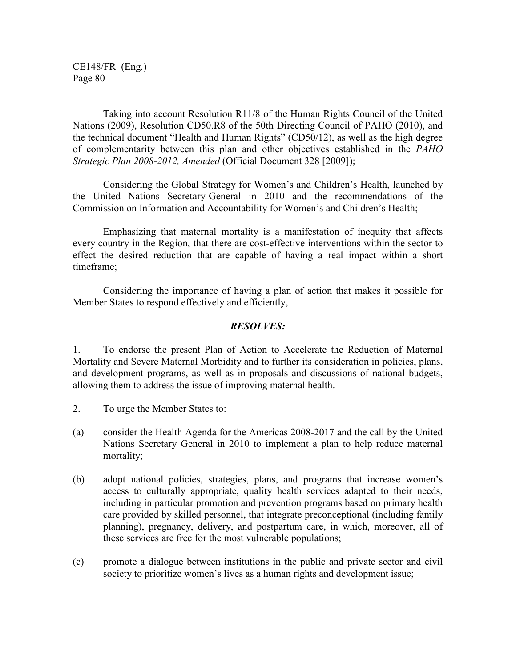Taking into account Resolution R11/8 of the Human Rights Council of the United Nations (2009), Resolution CD50.R8 of the 50th Directing Council of PAHO (2010), and the technical document "Health and Human Rights" (CD50/12), as well as the high degree of complementarity between this plan and other objectives established in the *PAHO Strategic Plan 2008-2012, Amended* (Official Document 328 [2009]);

Considering the Global Strategy for Women's and Children's Health, launched by the United Nations Secretary-General in 2010 and the recommendations of the Commission on Information and Accountability for Women's and Children's Health;

Emphasizing that maternal mortality is a manifestation of inequity that affects every country in the Region, that there are cost-effective interventions within the sector to effect the desired reduction that are capable of having a real impact within a short timeframe;

Considering the importance of having a plan of action that makes it possible for Member States to respond effectively and efficiently,

## *RESOLVES:*

1. To endorse the present Plan of Action to Accelerate the Reduction of Maternal Mortality and Severe Maternal Morbidity and to further its consideration in policies, plans, and development programs, as well as in proposals and discussions of national budgets, allowing them to address the issue of improving maternal health.

- 2. To urge the Member States to:
- (a) consider the Health Agenda for the Americas 2008-2017 and the call by the United Nations Secretary General in 2010 to implement a plan to help reduce maternal mortality;
- (b) adopt national policies, strategies, plans, and programs that increase women's access to culturally appropriate, quality health services adapted to their needs, including in particular promotion and prevention programs based on primary health care provided by skilled personnel, that integrate preconceptional (including family planning), pregnancy, delivery, and postpartum care, in which, moreover, all of these services are free for the most vulnerable populations;
- (c) promote a dialogue between institutions in the public and private sector and civil society to prioritize women's lives as a human rights and development issue;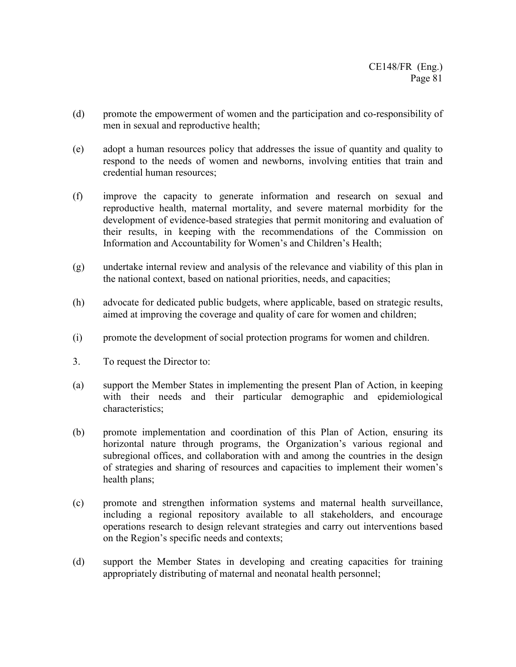- (d) promote the empowerment of women and the participation and co-responsibility of men in sexual and reproductive health;
- (e) adopt a human resources policy that addresses the issue of quantity and quality to respond to the needs of women and newborns, involving entities that train and credential human resources;
- (f) improve the capacity to generate information and research on sexual and reproductive health, maternal mortality, and severe maternal morbidity for the development of evidence-based strategies that permit monitoring and evaluation of their results, in keeping with the recommendations of the Commission on Information and Accountability for Women's and Children's Health;
- (g) undertake internal review and analysis of the relevance and viability of this plan in the national context, based on national priorities, needs, and capacities;
- (h) advocate for dedicated public budgets, where applicable, based on strategic results, aimed at improving the coverage and quality of care for women and children;
- (i) promote the development of social protection programs for women and children.
- 3. To request the Director to:
- (a) support the Member States in implementing the present Plan of Action, in keeping with their needs and their particular demographic and epidemiological characteristics;
- (b) promote implementation and coordination of this Plan of Action, ensuring its horizontal nature through programs, the Organization's various regional and subregional offices, and collaboration with and among the countries in the design of strategies and sharing of resources and capacities to implement their women's health plans;
- (c) promote and strengthen information systems and maternal health surveillance, including a regional repository available to all stakeholders, and encourage operations research to design relevant strategies and carry out interventions based on the Region's specific needs and contexts;
- (d) support the Member States in developing and creating capacities for training appropriately distributing of maternal and neonatal health personnel;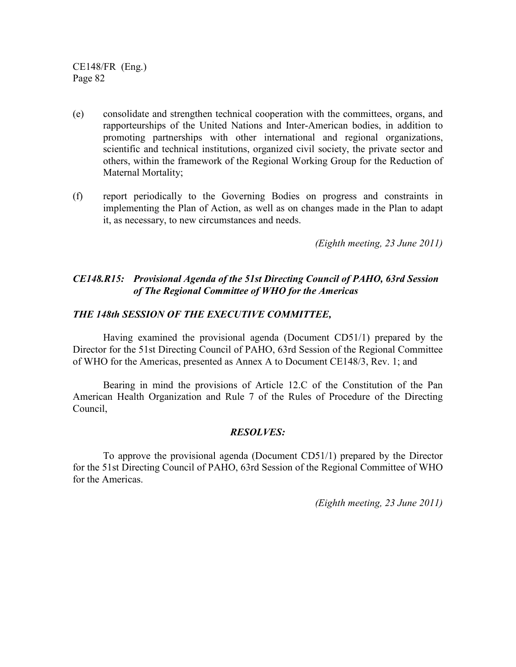- (e) consolidate and strengthen technical cooperation with the committees, organs, and rapporteurships of the United Nations and Inter-American bodies, in addition to promoting partnerships with other international and regional organizations, scientific and technical institutions, organized civil society, the private sector and others, within the framework of the Regional Working Group for the Reduction of Maternal Mortality;
- (f) report periodically to the Governing Bodies on progress and constraints in implementing the Plan of Action, as well as on changes made in the Plan to adapt it, as necessary, to new circumstances and needs.

*(Eighth meeting, 23 June 2011)*

## *CE148.R15: Provisional Agenda of the 51st Directing Council of PAHO, 63rd Session of The Regional Committee of WHO for the Americas*

## *THE 148th SESSION OF THE EXECUTIVE COMMITTEE,*

Having examined the provisional agenda (Document CD51/1) prepared by the Director for the 51st Directing Council of PAHO, 63rd Session of the Regional Committee of WHO for the Americas, presented as Annex A to Document CE148/3, Rev. 1; and

Bearing in mind the provisions of Article 12.C of the Constitution of the Pan American Health Organization and Rule 7 of the Rules of Procedure of the Directing Council,

## *RESOLVES:*

 To approve the provisional agenda (Document CD51/1) prepared by the Director for the 51st Directing Council of PAHO, 63rd Session of the Regional Committee of WHO for the Americas.

*(Eighth meeting, 23 June 2011)*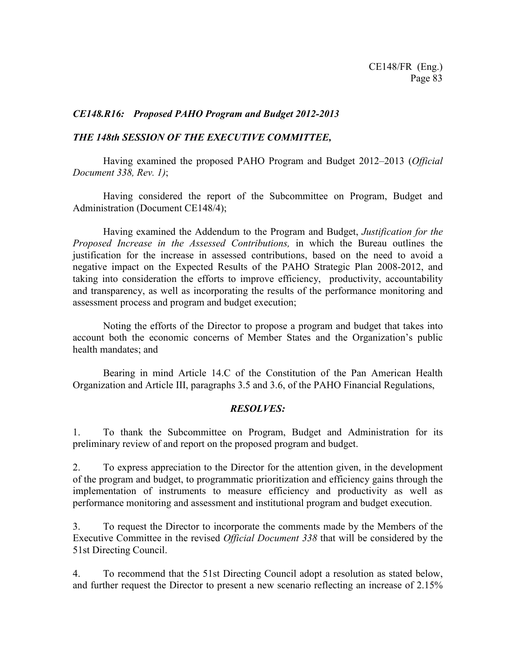## *CE148.R16: Proposed PAHO Program and Budget 2012-2013*

## *THE 148th SESSION OF THE EXECUTIVE COMMITTEE,*

 Having examined the proposed PAHO Program and Budget 2012–2013 (*Official Document 338, Rev. 1)*;

 Having considered the report of the Subcommittee on Program, Budget and Administration (Document CE148/4);

 Having examined the Addendum to the Program and Budget, *Justification for the Proposed Increase in the Assessed Contributions,* in which the Bureau outlines the justification for the increase in assessed contributions, based on the need to avoid a negative impact on the Expected Results of the PAHO Strategic Plan 2008-2012, and taking into consideration the efforts to improve efficiency, productivity, accountability and transparency, as well as incorporating the results of the performance monitoring and assessment process and program and budget execution;

 Noting the efforts of the Director to propose a program and budget that takes into account both the economic concerns of Member States and the Organization's public health mandates; and

 Bearing in mind Article 14.C of the Constitution of the Pan American Health Organization and Article III, paragraphs 3.5 and 3.6, of the PAHO Financial Regulations,

## *RESOLVES:*

1. To thank the Subcommittee on Program, Budget and Administration for its preliminary review of and report on the proposed program and budget.

2. To express appreciation to the Director for the attention given, in the development of the program and budget, to programmatic prioritization and efficiency gains through the implementation of instruments to measure efficiency and productivity as well as performance monitoring and assessment and institutional program and budget execution.

3. To request the Director to incorporate the comments made by the Members of the Executive Committee in the revised *Official Document 338* that will be considered by the 51st Directing Council.

4. To recommend that the 51st Directing Council adopt a resolution as stated below, and further request the Director to present a new scenario reflecting an increase of 2.15%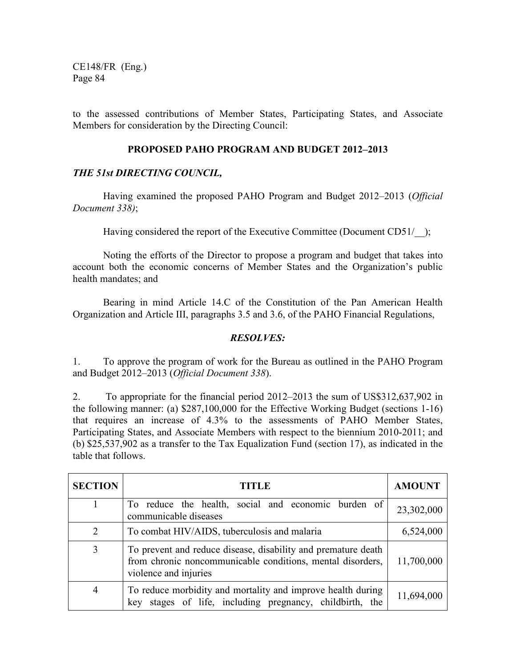to the assessed contributions of Member States, Participating States, and Associate Members for consideration by the Directing Council:

## **PROPOSED PAHO PROGRAM AND BUDGET 2012–2013**

## *THE 51st DIRECTING COUNCIL,*

 Having examined the proposed PAHO Program and Budget 2012–2013 (*Official Document 338)*;

Having considered the report of the Executive Committee (Document CD51/ );

 Noting the efforts of the Director to propose a program and budget that takes into account both the economic concerns of Member States and the Organization's public health mandates; and

 Bearing in mind Article 14.C of the Constitution of the Pan American Health Organization and Article III, paragraphs 3.5 and 3.6, of the PAHO Financial Regulations,

## *RESOLVES:*

1. To approve the program of work for the Bureau as outlined in the PAHO Program and Budget 2012–2013 (*Official Document 338*).

2. To appropriate for the financial period 2012–2013 the sum of US\$312,637,902 in the following manner: (a) \$287,100,000 for the Effective Working Budget (sections 1-16) that requires an increase of 4.3% to the assessments of PAHO Member States, Participating States, and Associate Members with respect to the biennium 2010-2011; and (b) \$25,537,902 as a transfer to the Tax Equalization Fund (section 17), as indicated in the table that follows.

| <b>SECTION</b> | TITLE                                                                                                                                                | <b>AMOUNT</b> |
|----------------|------------------------------------------------------------------------------------------------------------------------------------------------------|---------------|
|                | To reduce the health, social and economic burden of<br>communicable diseases                                                                         | 23,302,000    |
| 2              | To combat HIV/AIDS, tuberculosis and malaria                                                                                                         | 6,524,000     |
| 3              | To prevent and reduce disease, disability and premature death<br>from chronic noncommunicable conditions, mental disorders,<br>violence and injuries | 11,700,000    |
| 4              | To reduce morbidity and mortality and improve health during<br>stages of life, including pregnancy, childbirth, the<br>key                           | 11,694,000    |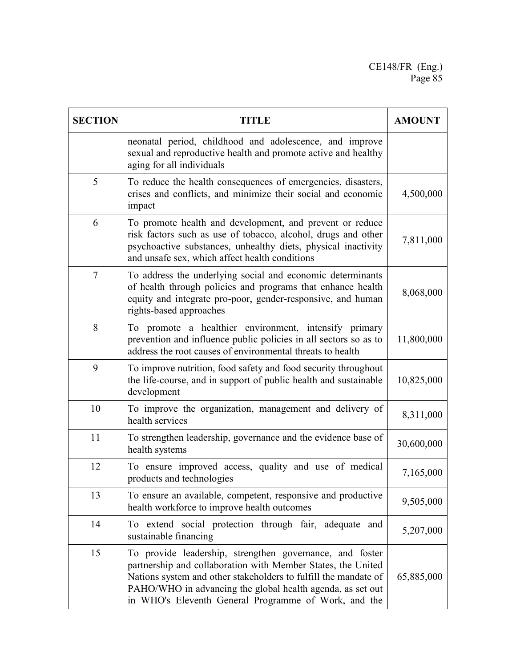| <b>SECTION</b> | <b>TITLE</b>                                                                                                                                                                                                                                                                                                      | <b>AMOUNT</b> |
|----------------|-------------------------------------------------------------------------------------------------------------------------------------------------------------------------------------------------------------------------------------------------------------------------------------------------------------------|---------------|
|                | neonatal period, childhood and adolescence, and improve<br>sexual and reproductive health and promote active and healthy<br>aging for all individuals                                                                                                                                                             |               |
| 5              | To reduce the health consequences of emergencies, disasters,<br>crises and conflicts, and minimize their social and economic<br>impact                                                                                                                                                                            | 4,500,000     |
| 6              | To promote health and development, and prevent or reduce<br>risk factors such as use of tobacco, alcohol, drugs and other<br>psychoactive substances, unhealthy diets, physical inactivity<br>and unsafe sex, which affect health conditions                                                                      | 7,811,000     |
| $\overline{7}$ | To address the underlying social and economic determinants<br>of health through policies and programs that enhance health<br>equity and integrate pro-poor, gender-responsive, and human<br>rights-based approaches                                                                                               | 8,068,000     |
| 8              | To promote a healthier environment, intensify primary<br>prevention and influence public policies in all sectors so as to<br>address the root causes of environmental threats to health                                                                                                                           | 11,800,000    |
| 9              | To improve nutrition, food safety and food security throughout<br>the life-course, and in support of public health and sustainable<br>development                                                                                                                                                                 | 10,825,000    |
| 10             | To improve the organization, management and delivery of<br>health services                                                                                                                                                                                                                                        | 8,311,000     |
| 11             | To strengthen leadership, governance and the evidence base of<br>health systems                                                                                                                                                                                                                                   | 30,600,000    |
| 12             | To ensure improved access, quality and use of medical<br>products and technologies                                                                                                                                                                                                                                | 7,165,000     |
| 13             | To ensure an available, competent, responsive and productive<br>health workforce to improve health outcomes                                                                                                                                                                                                       | 9,505,000     |
| 14             | To extend social protection through fair, adequate and<br>sustainable financing                                                                                                                                                                                                                                   | 5,207,000     |
| 15             | To provide leadership, strengthen governance, and foster<br>partnership and collaboration with Member States, the United<br>Nations system and other stakeholders to fulfill the mandate of<br>PAHO/WHO in advancing the global health agenda, as set out<br>in WHO's Eleventh General Programme of Work, and the | 65,885,000    |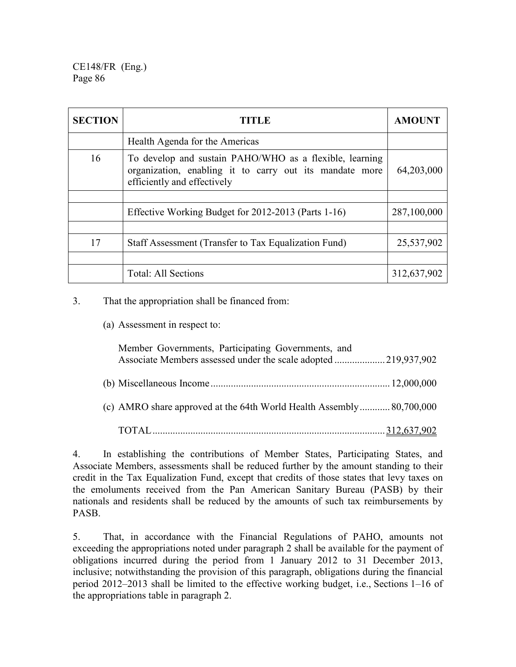| <b>SECTION</b> | TITLE                                                                                                                                             | <b>AMOUNT</b> |
|----------------|---------------------------------------------------------------------------------------------------------------------------------------------------|---------------|
|                | Health Agenda for the Americas                                                                                                                    |               |
| 16             | To develop and sustain PAHO/WHO as a flexible, learning<br>organization, enabling it to carry out its mandate more<br>efficiently and effectively | 64,203,000    |
|                |                                                                                                                                                   |               |
|                | Effective Working Budget for 2012-2013 (Parts 1-16)                                                                                               | 287,100,000   |
|                |                                                                                                                                                   |               |
| 17             | Staff Assessment (Transfer to Tax Equalization Fund)                                                                                              | 25,537,902    |
|                |                                                                                                                                                   |               |
|                | <b>Total: All Sections</b>                                                                                                                        | 312,637,902   |

3. That the appropriation shall be financed from:

(a) Assessment in respect to:

| Member Governments, Participating Governments, and                   |  |
|----------------------------------------------------------------------|--|
|                                                                      |  |
| (c) AMRO share approved at the 64th World Health Assembly 80,700,000 |  |
|                                                                      |  |

4. In establishing the contributions of Member States, Participating States, and Associate Members, assessments shall be reduced further by the amount standing to their credit in the Tax Equalization Fund, except that credits of those states that levy taxes on the emoluments received from the Pan American Sanitary Bureau (PASB) by their nationals and residents shall be reduced by the amounts of such tax reimbursements by PASB.

5. That, in accordance with the Financial Regulations of PAHO, amounts not exceeding the appropriations noted under paragraph 2 shall be available for the payment of obligations incurred during the period from 1 January 2012 to 31 December 2013, inclusive; notwithstanding the provision of this paragraph, obligations during the financial period 2012–2013 shall be limited to the effective working budget, i.e., Sections 1–16 of the appropriations table in paragraph 2.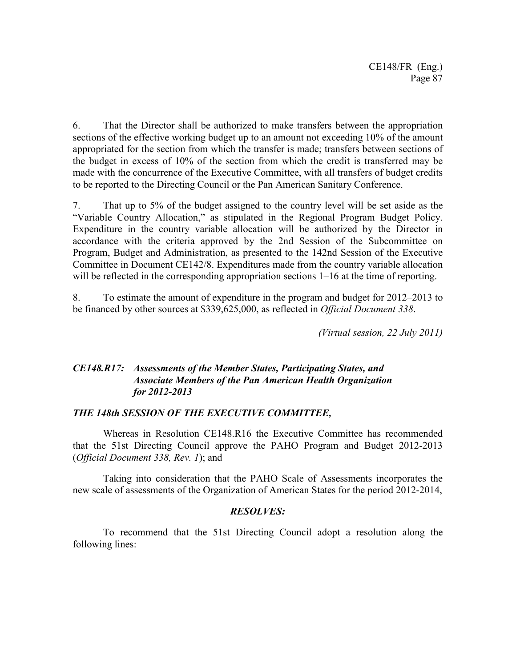6. That the Director shall be authorized to make transfers between the appropriation sections of the effective working budget up to an amount not exceeding 10% of the amount appropriated for the section from which the transfer is made; transfers between sections of the budget in excess of 10% of the section from which the credit is transferred may be made with the concurrence of the Executive Committee, with all transfers of budget credits to be reported to the Directing Council or the Pan American Sanitary Conference.

7. That up to 5% of the budget assigned to the country level will be set aside as the "Variable Country Allocation," as stipulated in the Regional Program Budget Policy. Expenditure in the country variable allocation will be authorized by the Director in accordance with the criteria approved by the 2nd Session of the Subcommittee on Program, Budget and Administration, as presented to the 142nd Session of the Executive Committee in Document CE142/8. Expenditures made from the country variable allocation will be reflected in the corresponding appropriation sections  $1-16$  at the time of reporting.

8. To estimate the amount of expenditure in the program and budget for 2012–2013 to be financed by other sources at \$339,625,000, as reflected in *Official Document 338*.

*(Virtual session, 22 July 2011)*

## *CE148.R17: Assessments of the Member States, Participating States, and Associate Members of the Pan American Health Organization for 2012-2013*

## *THE 148th SESSION OF THE EXECUTIVE COMMITTEE,*

 Whereas in Resolution CE148.R16 the Executive Committee has recommended that the 51st Directing Council approve the PAHO Program and Budget 2012-2013 (*Official Document 338, Rev. 1*); and

 Taking into consideration that the PAHO Scale of Assessments incorporates the new scale of assessments of the Organization of American States for the period 2012-2014,

## *RESOLVES:*

 To recommend that the 51st Directing Council adopt a resolution along the following lines: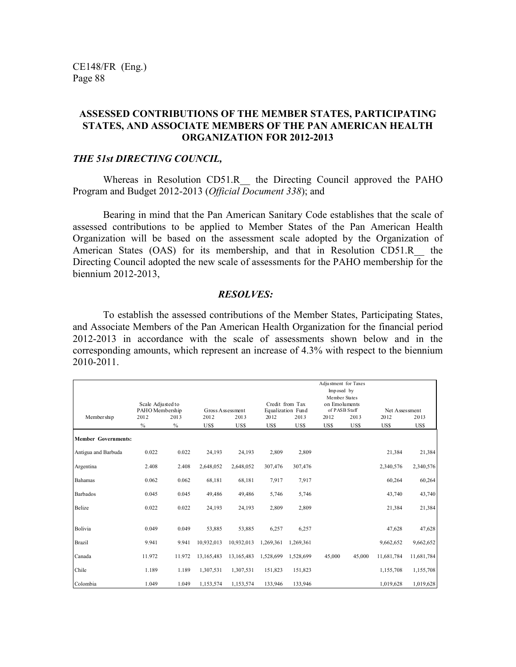## **ASSESSED CONTRIBUTIONS OF THE MEMBER STATES, PARTICIPATING STATES, AND ASSOCIATE MEMBERS OF THE PAN AMERICAN HEALTH ORGANIZATION FOR 2012-2013**

#### *THE 51st DIRECTING COUNCIL,*

Whereas in Resolution CD51.R the Directing Council approved the PAHO Program and Budget 2012-2013 (*Official Document 338*); and

Bearing in mind that the Pan American Sanitary Code establishes that the scale of assessed contributions to be applied to Member States of the Pan American Health Organization will be based on the assessment scale adopted by the Organization of American States (OAS) for its membership, and that in Resolution CD51.R the Directing Council adopted the new scale of assessments for the PAHO membership for the biennium 2012-2013,

#### *RESOLVES:*

To establish the assessed contributions of the Member States, Participating States, and Associate Members of the Pan American Health Organization for the financial period 2012-2013 in accordance with the scale of assessments shown below and in the corresponding amounts, which represent an increase of 4.3% with respect to the biennium 2010-2011.

|                            |                                      |        |                  |            |           |                                      | Adjustment for Taxes<br>Imposed by<br>Member States |        |                |            |
|----------------------------|--------------------------------------|--------|------------------|------------|-----------|--------------------------------------|-----------------------------------------------------|--------|----------------|------------|
|                            | Scale Adjusted to<br>PAHO Membership |        | Gross Assessment |            |           | Credit from Tax<br>Equalization Fund | on Emoluments<br>of PASB Staff                      |        | Net Assessment |            |
| Member ship                | 2012                                 | 2013   | 2012             | 2013       | 2012      | 2013                                 | 2012                                                | 2013   | 2012           | 2013       |
|                            | $\%$                                 | $\%$   | US\$             | US\$       | US\$      | US\$                                 | US\$                                                | US\$   | US\$           | US\$       |
| <b>Member Governments:</b> |                                      |        |                  |            |           |                                      |                                                     |        |                |            |
| Antigua and Barbuda        | 0.022                                | 0.022  | 24,193           | 24,193     | 2,809     | 2,809                                |                                                     |        | 21,384         | 21,384     |
| Argentina                  | 2.408                                | 2.408  | 2,648,052        | 2,648,052  | 307,476   | 307,476                              |                                                     |        | 2,340,576      | 2,340,576  |
| <b>Bahamas</b>             | 0.062                                | 0.062  | 68,181           | 68,181     | 7,917     | 7,917                                |                                                     |        | 60,264         | 60,264     |
| <b>Barbados</b>            | 0.045                                | 0.045  | 49,486           | 49,486     | 5,746     | 5,746                                |                                                     |        | 43,740         | 43,740     |
| Belize                     | 0.022                                | 0.022  | 24,193           | 24,193     | 2,809     | 2,809                                |                                                     |        | 21,384         | 21,384     |
|                            |                                      |        |                  |            |           |                                      |                                                     |        |                |            |
| Bolivia                    | 0.049                                | 0.049  | 53,885           | 53,885     | 6,257     | 6,257                                |                                                     |        | 47,628         | 47,628     |
| <b>Brazil</b>              | 9.941                                | 9.941  | 10,932,013       | 10,932,013 | 1,269,361 | 1,269,361                            |                                                     |        | 9,662,652      | 9,662,652  |
| Canada                     | 11.972                               | 11.972 | 13,165,483       | 13,165,483 | 1,528,699 | 1,528,699                            | 45,000                                              | 45,000 | 11,681,784     | 11,681,784 |
| Chile                      | 1.189                                | 1.189  | 1,307,531        | 1,307,531  | 151,823   | 151,823                              |                                                     |        | 1,155,708      | 1,155,708  |
| Colombia                   | 1.049                                | 1.049  | 1,153,574        | 1,153,574  | 133,946   | 133,946                              |                                                     |        | 1,019,628      | 1,019,628  |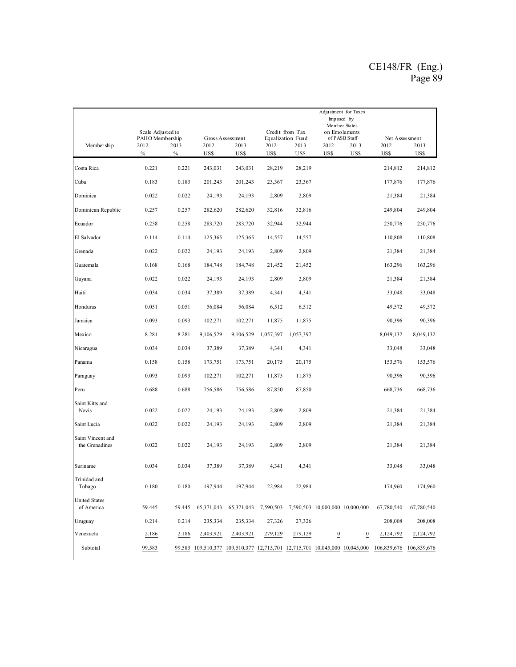|                                     | Scale Adjusted to<br>PAHO Membership |              |                                                                            | Gross Assessment |              | Credit from Tax<br>Equalization Fund | Imposed by                                | Adjustment for Taxes<br>Member States<br>on Emoluments<br>of PASB Staff | Net Assessment |              |
|-------------------------------------|--------------------------------------|--------------|----------------------------------------------------------------------------|------------------|--------------|--------------------------------------|-------------------------------------------|-------------------------------------------------------------------------|----------------|--------------|
| Member ship                         | 2012<br>$\%$                         | 2013<br>$\%$ | 2012<br>US\$                                                               | 2013<br>US\$     | 2012<br>US\$ | 2013<br>US\$                         | 2012<br>US\$                              | 2013<br>US\$                                                            | 2012<br>US\$   | 2013<br>US\$ |
| Costa Rica                          | 0.221                                | 0.221        | 243,031                                                                    | 243,031          | 28,219       | 28,219                               |                                           |                                                                         | 214,812        | 214,812      |
| Cuba                                | 0.183                                | 0.183        | 201,243                                                                    | 201,243          | 23,367       | 23,367                               |                                           |                                                                         | 177,876        | 177,876      |
| Dominica                            | 0.022                                | 0.022        | 24,193                                                                     | 24,193           | 2,809        | 2,809                                |                                           |                                                                         | 21,384         | 21,384       |
| Dominican Republic                  | 0.257                                | 0.257        | 282,620                                                                    | 282,620          | 32,816       | 32,816                               |                                           |                                                                         | 249,804        | 249,804      |
| Ecuador                             | 0.258                                | 0.258        | 283,720                                                                    | 283,720          | 32,944       | 32,944                               |                                           |                                                                         | 250,776        | 250,776      |
| El Salvador                         | 0.114                                | 0.114        | 125,365                                                                    | 125,365          | 14,557       | 14,557                               |                                           |                                                                         | 110,808        | 110,808      |
| Grenada                             | 0.022                                | 0.022        | 24,193                                                                     | 24,193           | 2,809        | 2,809                                |                                           |                                                                         | 21,384         | 21,384       |
| Guatemala                           | 0.168                                | 0.168        | 184,748                                                                    | 184,748          | 21,452       | 21,452                               |                                           |                                                                         | 163,296        | 163,296      |
| Guyana                              | 0.022                                | 0.022        | 24,193                                                                     | 24,193           | 2,809        | 2,809                                |                                           |                                                                         | 21,384         | 21,384       |
| Haiti                               | 0.034                                | 0.034        | 37,389                                                                     | 37,389           | 4,341        | 4,341                                |                                           |                                                                         | 33,048         | 33,048       |
| Honduras                            | 0.051                                | 0.051        | 56,084                                                                     | 56,084           | 6,512        | 6,512                                |                                           |                                                                         | 49,572         | 49,572       |
| Jamaica                             | 0.093                                | 0.093        | 102,271                                                                    | 102,271          | 11,875       | 11,875                               |                                           |                                                                         | 90,396         | 90,396       |
| Mexico                              | 8.281                                | 8.281        | 9,106,529                                                                  | 9,106,529        | 1,057,397    | 1,057,397                            |                                           |                                                                         | 8,049,132      | 8,049,132    |
| Nicaragua                           | 0.034                                | 0.034        | 37,389                                                                     | 37,389           | 4,341        | 4,341                                |                                           |                                                                         | 33,048         | 33,048       |
| Panama                              | 0.158                                | 0.158        | 173,751                                                                    | 173,751          | 20,175       | 20,175                               |                                           |                                                                         | 153,576        | 153,576      |
| Paraguay                            | 0.093                                | 0.093        | 102,271                                                                    | 102,271          | 11,875       | 11,875                               |                                           |                                                                         | 90,396         | 90,396       |
| Peru                                | 0.688                                | 0.688        | 756,586                                                                    | 756,586          | 87,850       | 87,850                               |                                           |                                                                         | 668,736        | 668,736      |
| Saint Kitts and<br>Nevis            | 0.022                                | 0.022        | 24,193                                                                     | 24,193           | 2,809        | 2,809                                |                                           |                                                                         | 21,384         | 21,384       |
| Saint Lucia                         | 0.022                                | 0.022        | 24,193                                                                     | 24,193           | 2,809        | 2,809                                |                                           |                                                                         | 21,384         | 21,384       |
| Saint Vincent and<br>the Grenadines | 0.022                                | 0.022        | 24,193                                                                     | 24,193           | 2,809        | 2,809                                |                                           |                                                                         | 21,384         | 21,384       |
| Suriname                            | 0.034                                | 0.034        | 37,389                                                                     | 37,389           | 4,341        | 4,341                                |                                           |                                                                         | 33,048         | 33,048       |
| Trinidad and<br>Tobago              | 0.180                                | 0.180        | 197,944                                                                    | 197,944          | 22,984       | 22,984                               |                                           |                                                                         | 174,960        | 174,960      |
| <b>United States</b><br>of America  | 59.445                               | 59.445       | 65, 371, 043                                                               | 65,371,043       |              |                                      | 7,590,503 7,590,503 10,000,000 10,000,000 |                                                                         | 67,780,540     | 67,780,540   |
| Uruguay                             | 0.214                                | 0.214        | 235,334                                                                    | 235,334          | 27,326       | 27,326                               |                                           |                                                                         | 208,008        | 208,008      |
| Venezuela                           | 2.186                                | 2.186        | 2,403,921                                                                  | 2,403,921        | 279,129      | 279,129                              | $\overline{0}$                            | $\boldsymbol{0}$                                                        | 2,124,792      | 2,124,792    |
| Subtotal                            | 99.583                               |              | 99.583 109,510,377 109,510,377 12,715,701 12,715,701 10,045,000 10,045,000 |                  |              |                                      |                                           |                                                                         | 106,839,676    | 106,839,676  |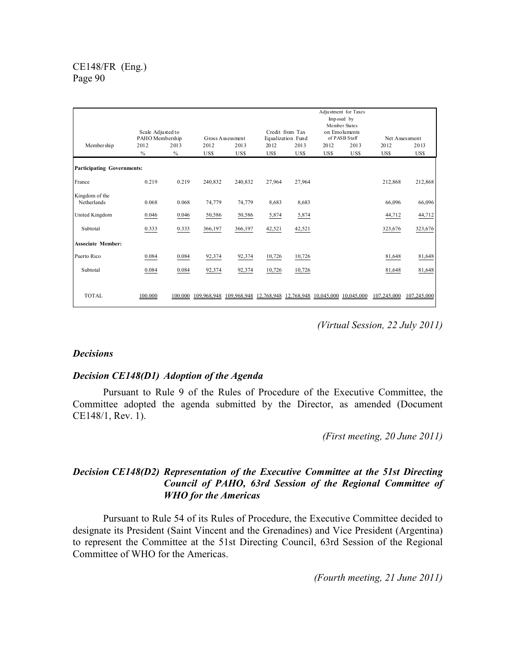|                                   | Scale Adjusted to<br>PAHO Membership |         |         | Gross Assessment                                                    |            | Credit from Tax<br>Equalization Fund |      | Adjustment for Taxes<br>Imposed by<br>Member States<br>on Emoluments<br>of PASB Staff |             | Net Assessment |
|-----------------------------------|--------------------------------------|---------|---------|---------------------------------------------------------------------|------------|--------------------------------------|------|---------------------------------------------------------------------------------------|-------------|----------------|
| Member ship                       | 2012                                 | 2013    | 2012    | 2013                                                                | 2012       | 2013                                 | 2012 | 2013                                                                                  | 2012        | 2013           |
|                                   | $\%$                                 | $\%$    | US\$    | US\$                                                                | <b>USS</b> | US\$                                 | US\$ | US\$                                                                                  | US\$        | US\$           |
| <b>Participating Governments:</b> |                                      |         |         |                                                                     |            |                                      |      |                                                                                       |             |                |
| France                            | 0.219                                | 0.219   | 240,832 | 240,832                                                             | 27,964     | 27,964                               |      |                                                                                       | 212,868     | 212,868        |
| Kingdom of the                    |                                      |         |         |                                                                     |            |                                      |      |                                                                                       |             |                |
| Netherlands                       | 0.068                                | 0.068   | 74,779  | 74,779                                                              | 8,683      | 8,683                                |      |                                                                                       | 66,096      | 66,096         |
| United Kingdom                    | 0.046                                | 0.046   | 50,586  | 50,586                                                              | 5,874      | 5,874                                |      |                                                                                       | 44,712      | 44,712         |
| Subtotal                          | 0.333                                | 0.333   | 366,197 | 366,197                                                             | 42,521     | 42,521                               |      |                                                                                       | 323,676     | 323,676        |
| <b>Associate Member:</b>          |                                      |         |         |                                                                     |            |                                      |      |                                                                                       |             |                |
| Puerto Rico                       | 0.084                                | 0.084   | 92,374  | 92,374                                                              | 10,726     | 10,726                               |      |                                                                                       | 81,648      | 81,648         |
| Subtotal                          | 0.084                                | 0.084   | 92,374  | 92,374                                                              | 10,726     | 10,726                               |      |                                                                                       | 81,648      | 81,648         |
|                                   |                                      |         |         |                                                                     |            |                                      |      |                                                                                       |             |                |
| <b>TOTAL</b>                      | 100.000                              | 100.000 |         | 109,968,948 109,968,948 12,768,948 12,768,948 10,045,000 10,045,000 |            |                                      |      |                                                                                       | 107,245,000 | 107,245,000    |

*(Virtual Session, 22 July 2011)*

## *Decisions*

## *Decision CE148(D1) Adoption of the Agenda*

 Pursuant to Rule 9 of the Rules of Procedure of the Executive Committee, the Committee adopted the agenda submitted by the Director, as amended (Document CE148/1, Rev. 1).

*(First meeting, 20 June 2011)* 

## *Decision CE148(D2) Representation of the Executive Committee at the 51st Directing Council of PAHO, 63rd Session of the Regional Committee of WHO for the Americas*

 Pursuant to Rule 54 of its Rules of Procedure, the Executive Committee decided to designate its President (Saint Vincent and the Grenadines) and Vice President (Argentina) to represent the Committee at the 51st Directing Council, 63rd Session of the Regional Committee of WHO for the Americas.

*(Fourth meeting, 21 June 2011)*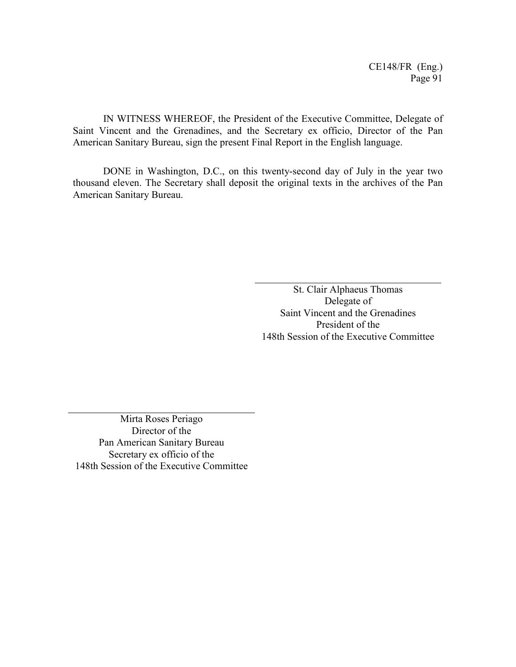IN WITNESS WHEREOF, the President of the Executive Committee, Delegate of Saint Vincent and the Grenadines, and the Secretary ex officio, Director of the Pan American Sanitary Bureau, sign the present Final Report in the English language.

DONE in Washington, D.C., on this twenty-second day of July in the year two thousand eleven. The Secretary shall deposit the original texts in the archives of the Pan American Sanitary Bureau.

> St. Clair Alphaeus Thomas Delegate of Saint Vincent and the Grenadines President of the 148th Session of the Executive Committee

Mirta Roses Periago Director of the Pan American Sanitary Bureau Secretary ex officio of the 148th Session of the Executive Committee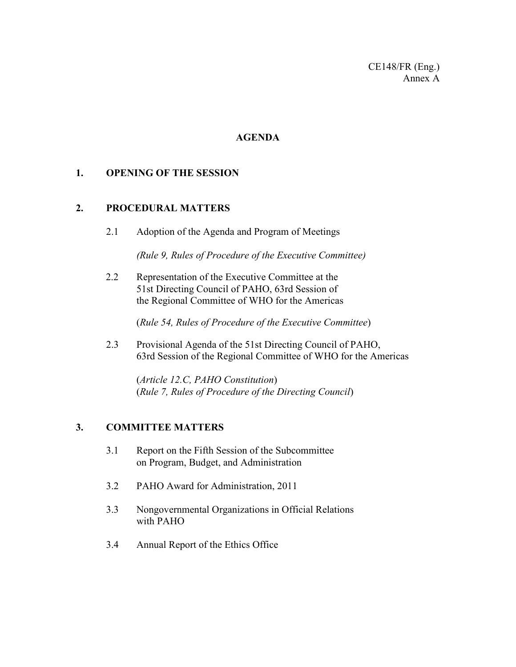CE148/FR (Eng.) Annex A

## **AGENDA**

## **1. OPENING OF THE SESSION**

## **2. PROCEDURAL MATTERS**

2.1 Adoption of the Agenda and Program of Meetings

 *(Rule 9, Rules of Procedure of the Executive Committee)* 

2.2 Representation of the Executive Committee at the 51st Directing Council of PAHO, 63rd Session of the Regional Committee of WHO for the Americas

(*Rule 54, Rules of Procedure of the Executive Committee*)

2.3 Provisional Agenda of the 51st Directing Council of PAHO, 63rd Session of the Regional Committee of WHO for the Americas

(*Article 12.C, PAHO Constitution*) (*Rule 7, Rules of Procedure of the Directing Council*)

## **3. COMMITTEE MATTERS**

- 3.1 Report on the Fifth Session of the Subcommittee on Program, Budget, and Administration
- 3.2 PAHO Award for Administration, 2011
- 3.3 Nongovernmental Organizations in Official Relations with PAHO
- 3.4 Annual Report of the Ethics Office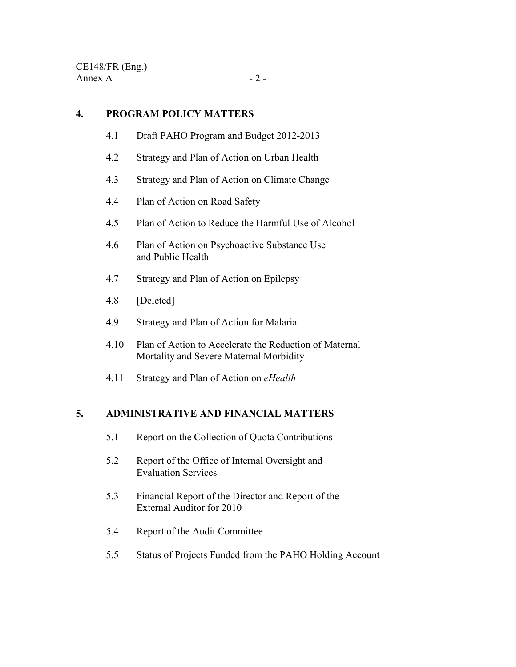## **4. PROGRAM POLICY MATTERS**

- 4.1 Draft PAHO Program and Budget 2012-2013
- 4.2 Strategy and Plan of Action on Urban Health
- 4.3 Strategy and Plan of Action on Climate Change
- 4.4 Plan of Action on Road Safety
- 4.5 Plan of Action to Reduce the Harmful Use of Alcohol
- 4.6 Plan of Action on Psychoactive Substance Use and Public Health
- 4.7 Strategy and Plan of Action on Epilepsy
- 4.8 [Deleted]
- 4.9 Strategy and Plan of Action for Malaria
- 4.10 Plan of Action to Accelerate the Reduction of Maternal Mortality and Severe Maternal Morbidity
- 4.11 Strategy and Plan of Action on *eHealth*

## **5. ADMINISTRATIVE AND FINANCIAL MATTERS**

- 5.1 Report on the Collection of Quota Contributions
- 5.2 Report of the Office of Internal Oversight and Evaluation Services
- 5.3 Financial Report of the Director and Report of the External Auditor for 2010
- 5.4 Report of the Audit Committee
- 5.5 Status of Projects Funded from the PAHO Holding Account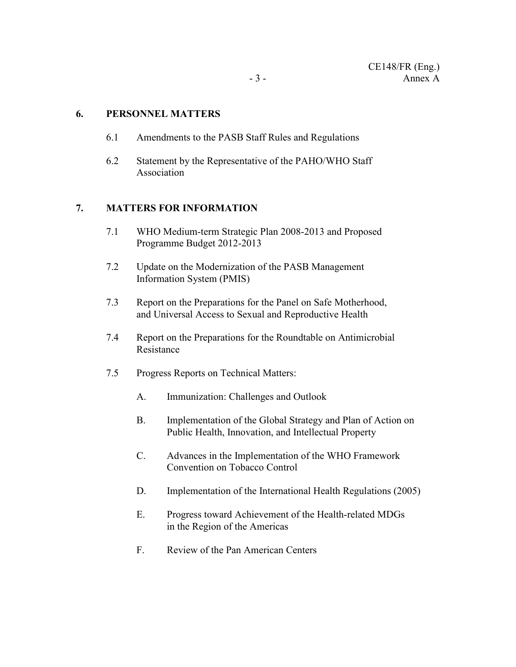## **6. PERSONNEL MATTERS**

- 6.1 Amendments to the PASB Staff Rules and Regulations
- 6.2 Statement by the Representative of the PAHO/WHO Staff Association

## **7. MATTERS FOR INFORMATION**

- 7.1 WHO Medium-term Strategic Plan 2008-2013 and Proposed Programme Budget 2012-2013
- 7.2 Update on the Modernization of the PASB Management Information System (PMIS)
- 7.3 Report on the Preparations for the Panel on Safe Motherhood, and Universal Access to Sexual and Reproductive Health
- 7.4 Report on the Preparations for the Roundtable on Antimicrobial Resistance
- 7.5 Progress Reports on Technical Matters:
	- A. Immunization: Challenges and Outlook
	- B. Implementation of the Global Strategy and Plan of Action on Public Health, Innovation, and Intellectual Property
	- C. Advances in the Implementation of the WHO Framework Convention on Tobacco Control
	- D. Implementation of the International Health Regulations (2005)
	- E. Progress toward Achievement of the Health-related MDGs in the Region of the Americas
	- F. Review of the Pan American Centers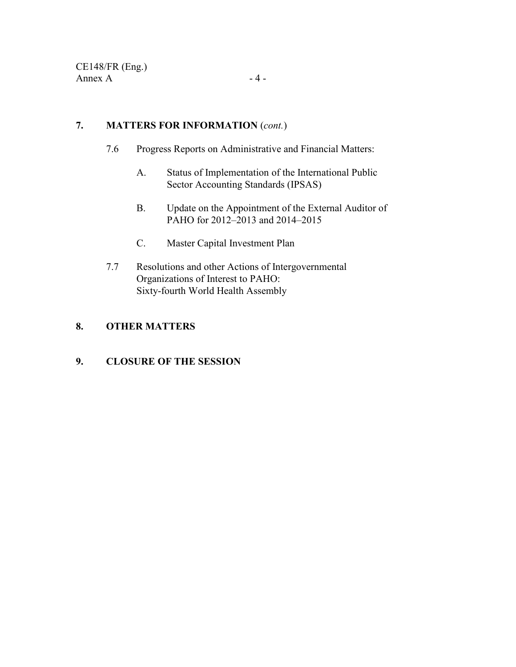## **7. MATTERS FOR INFORMATION** (*cont.*)

- 7.6 Progress Reports on Administrative and Financial Matters:
	- A. Status of Implementation of the International Public Sector Accounting Standards (IPSAS)
	- B. Update on the Appointment of the External Auditor of PAHO for 2012–2013 and 2014–2015
	- C. Master Capital Investment Plan
- 7.7 Resolutions and other Actions of Intergovernmental Organizations of Interest to PAHO: Sixty-fourth World Health Assembly

## **8. OTHER MATTERS**

## **9. CLOSURE OF THE SESSION**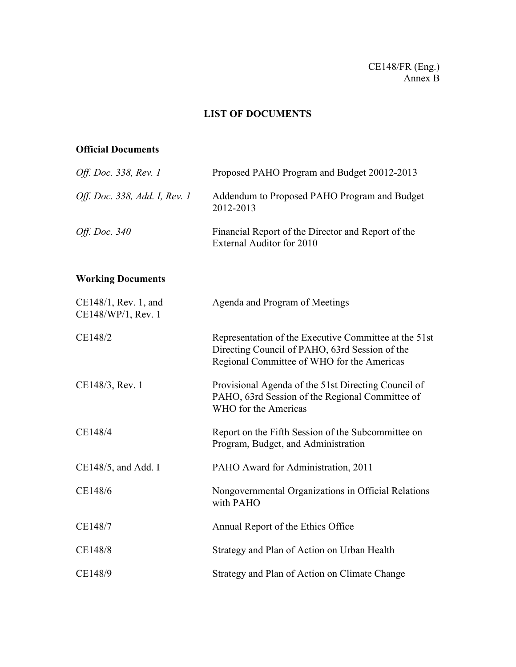## CE148/FR (Eng.) Annex B

## **LIST OF DOCUMENTS**

## **Official Documents**

| Off. Doc. 338, Rev. 1         | Proposed PAHO Program and Budget 20012-2013                                     |
|-------------------------------|---------------------------------------------------------------------------------|
| Off. Doc. 338, Add. I, Rev. 1 | Addendum to Proposed PAHO Program and Budget<br>2012-2013                       |
| <i>Off. Doc. 340</i>          | Financial Report of the Director and Report of the<br>External Auditor for 2010 |

# **Working Documents**

| CE148/1, Rev. 1, and<br>CE148/WP/1, Rev. 1 | Agenda and Program of Meetings                                                                                                                        |
|--------------------------------------------|-------------------------------------------------------------------------------------------------------------------------------------------------------|
| CE148/2                                    | Representation of the Executive Committee at the 51st<br>Directing Council of PAHO, 63rd Session of the<br>Regional Committee of WHO for the Americas |
| CE148/3, Rev. 1                            | Provisional Agenda of the 51st Directing Council of<br>PAHO, 63rd Session of the Regional Committee of<br>WHO for the Americas                        |
| CE148/4                                    | Report on the Fifth Session of the Subcommittee on<br>Program, Budget, and Administration                                                             |
| $CE148/5$ , and Add. I                     | PAHO Award for Administration, 2011                                                                                                                   |
| CE148/6                                    | Nongovernmental Organizations in Official Relations<br>with PAHO                                                                                      |
| CE148/7                                    | Annual Report of the Ethics Office                                                                                                                    |
| CE148/8                                    | Strategy and Plan of Action on Urban Health                                                                                                           |
| CE148/9                                    | Strategy and Plan of Action on Climate Change                                                                                                         |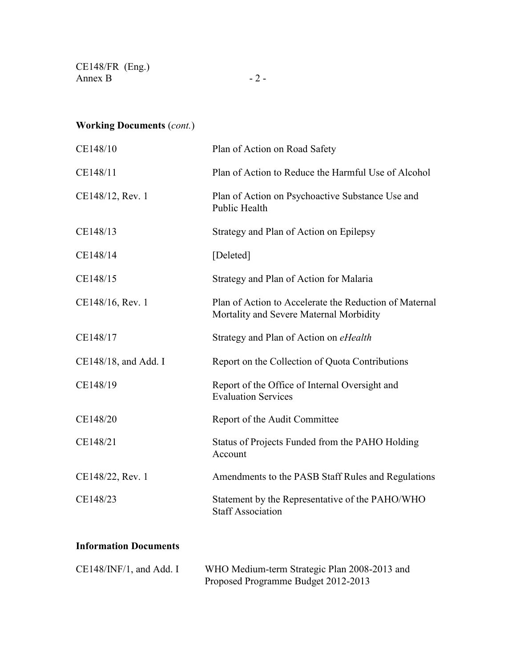CE148/FR (Eng.) Annex B  $-2$  -

# **Working Documents** (*cont.*)

| CE148/10             | Plan of Action on Road Safety                                                                     |
|----------------------|---------------------------------------------------------------------------------------------------|
| CE148/11             | Plan of Action to Reduce the Harmful Use of Alcohol                                               |
| CE148/12, Rev. 1     | Plan of Action on Psychoactive Substance Use and<br><b>Public Health</b>                          |
| CE148/13             | Strategy and Plan of Action on Epilepsy                                                           |
| CE148/14             | [Deleted]                                                                                         |
| CE148/15             | Strategy and Plan of Action for Malaria                                                           |
| CE148/16, Rev. 1     | Plan of Action to Accelerate the Reduction of Maternal<br>Mortality and Severe Maternal Morbidity |
| CE148/17             | Strategy and Plan of Action on eHealth                                                            |
| CE148/18, and Add. I | Report on the Collection of Quota Contributions                                                   |
| CE148/19             | Report of the Office of Internal Oversight and<br><b>Evaluation Services</b>                      |
| CE148/20             | Report of the Audit Committee                                                                     |
| CE148/21             | Status of Projects Funded from the PAHO Holding<br>Account                                        |
| CE148/22, Rev. 1     | Amendments to the PASB Staff Rules and Regulations                                                |
| CE148/23             | Statement by the Representative of the PAHO/WHO<br><b>Staff Association</b>                       |
|                      |                                                                                                   |

## **Information Documents**

| $CE148/INF/1$ , and Add. I | WHO Medium-term Strategic Plan 2008-2013 and |
|----------------------------|----------------------------------------------|
|                            | Proposed Programme Budget 2012-2013          |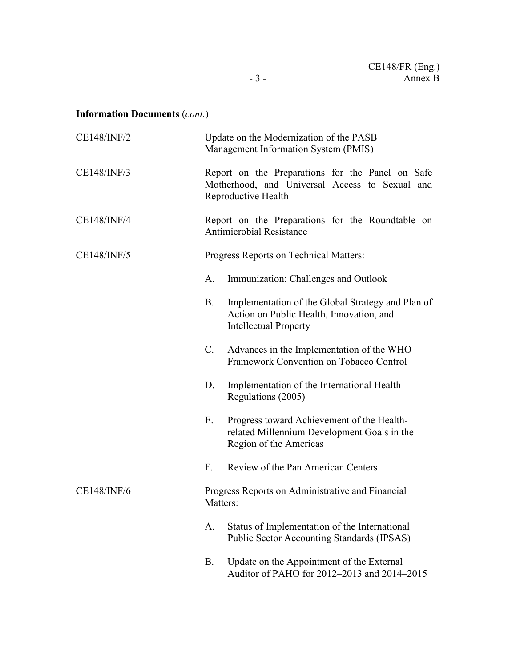# **Information Documents** (*cont.*)

| CE148/INF/2                                                  | Update on the Modernization of the PASB<br>Management Information System (PMIS)                                                     |  |  |  |
|--------------------------------------------------------------|-------------------------------------------------------------------------------------------------------------------------------------|--|--|--|
| CE148/INF/3                                                  | Report on the Preparations for the Panel on Safe<br>Motherhood, and Universal Access to Sexual and<br>Reproductive Health           |  |  |  |
| CE148/INF/4                                                  | Report on the Preparations for the Roundtable on<br><b>Antimicrobial Resistance</b>                                                 |  |  |  |
| <b>CE148/INF/5</b><br>Progress Reports on Technical Matters: |                                                                                                                                     |  |  |  |
|                                                              | Immunization: Challenges and Outlook<br>A.                                                                                          |  |  |  |
|                                                              | Implementation of the Global Strategy and Plan of<br>B.<br>Action on Public Health, Innovation, and<br><b>Intellectual Property</b> |  |  |  |
|                                                              | C.<br>Advances in the Implementation of the WHO<br>Framework Convention on Tobacco Control                                          |  |  |  |
|                                                              | Implementation of the International Health<br>D.<br>Regulations (2005)                                                              |  |  |  |
|                                                              | Ε.<br>Progress toward Achievement of the Health-<br>related Millennium Development Goals in the<br>Region of the Americas           |  |  |  |
|                                                              | Review of the Pan American Centers<br>F.                                                                                            |  |  |  |
| <b>CE148/INF/6</b>                                           | Progress Reports on Administrative and Financial<br>Matters:                                                                        |  |  |  |
|                                                              | Status of Implementation of the International<br>A.<br><b>Public Sector Accounting Standards (IPSAS)</b>                            |  |  |  |
|                                                              | Update on the Appointment of the External<br><b>B.</b><br>Auditor of PAHO for 2012-2013 and 2014-2015                               |  |  |  |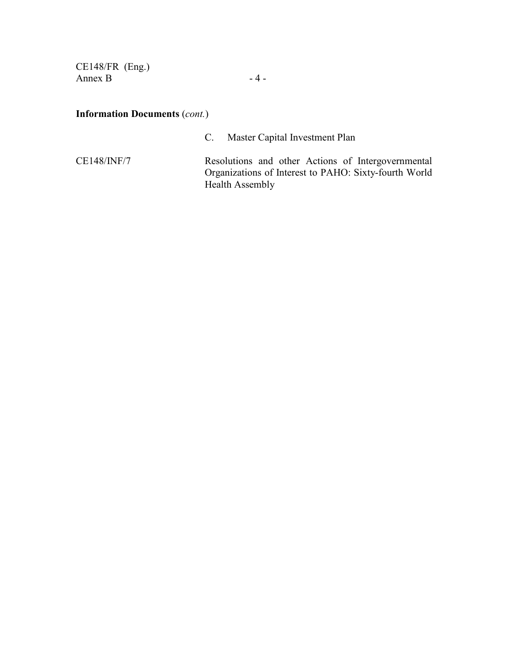CE148/FR (Eng.) Annex B  $-4-$ 

## **Information Documents** (*cont.*)

C. Master Capital Investment Plan

CE148/INF/7 Resolutions and other Actions of Intergovernmental Organizations of Interest to PAHO: Sixty-fourth World Health Assembly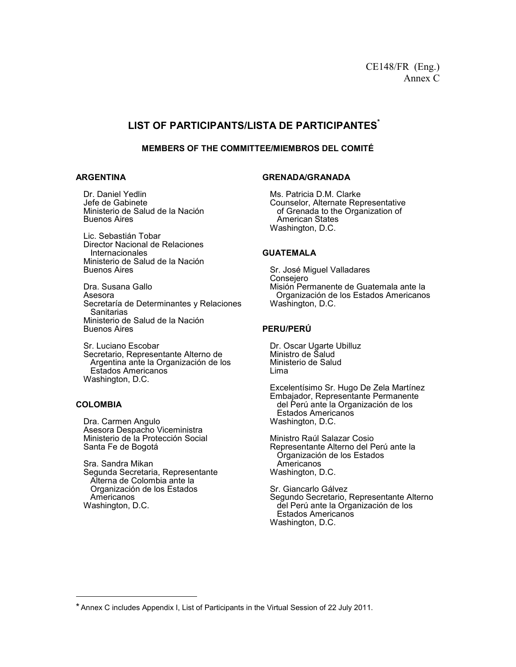## **LIST OF PARTICIPANTS/LISTA DE PARTICIPANTES\***

#### **MEMBERS OF THE COMMITTEE/MIEMBROS DEL COMITÉ**

#### **ARGENTINA**

Dr. Daniel Yedlin Jefe de Gabinete Ministerio de Salud de la Nación Buenos Aires

 Lic. Sebastián Tobar Director Nacional de Relaciones Internacionales Ministerio de Salud de la Nación Buenos Aires

 Dra. Susana Gallo Asesora Secretaría de Determinantes y Relaciones **Sanitarias**  Ministerio de Salud de la Nación Buenos Aires

 Sr. Luciano Escobar Secretario, Representante Alterno de Argentina ante la Organización de los Estados Americanos Washington, D.C.

#### **COLOMBIA**

 $\overline{a}$ 

Dra. Carmen Angulo Asesora Despacho Viceministra Ministerio de la Protección Social Santa Fe de Bogotá

Sra. Sandra Mikan Segunda Secretaria, Representante Alterna de Colombia ante la Organización de los Estados Americanos Washington, D.C.

#### **GRENADA/GRANADA**

Ms. Patricia D.M. Clarke Counselor, Alternate Representative of Grenada to the Organization of American States Washington, D.C.

#### **GUATEMALA**

 Sr. José Miguel Valladares Consejero Misión Permanente de Guatemala ante la Organización de los Estados Americanos Washington, D.C.

#### **PERU/PERÚ**

Dr. Oscar Ugarte Ubilluz Ministro de Salud Ministerio de Salud Lima

Excelentísimo Sr. Hugo De Zela Martínez Embajador, Representante Permanente del Perú ante la Organización de los Estados Americanos Washington, D.C.

Ministro Raúl Salazar Cosio Representante Alterno del Perú ante la Organización de los Estados Americanos Washington, D.C.

Sr. Giancarlo Gálvez Segundo Secretario, Representante Alterno del Perú ante la Organización de los Estados Americanos Washington, D.C.

<sup>\*</sup> Annex C includes Appendix I, List of Participants in the Virtual Session of 22 July 2011.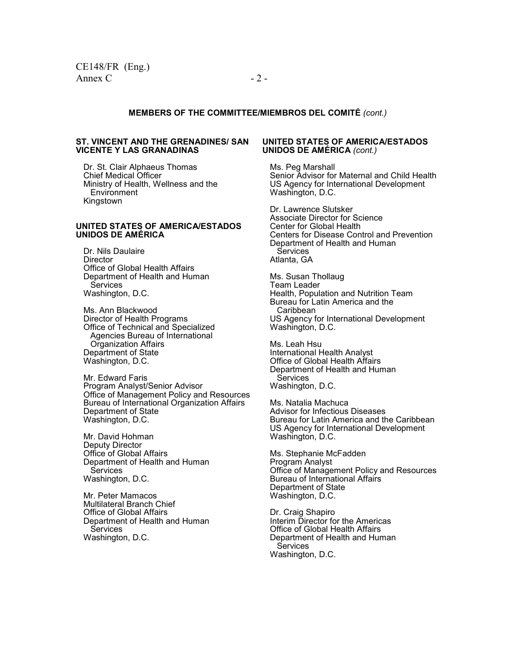#### **MEMBERS OF THE COMMITTEE/MIEMBROS DEL COMITÉ** *(cont.)*

#### **ST. VINCENT AND THE GRENADINES/ SAN VICENTE Y LAS GRANADINAS**

Dr. St. Clair Alphaeus Thomas Chief Medical Officer Ministry of Health, Wellness and the **Environment** Kingstown

#### **UNITED STATES OF AMERICA/ESTADOS UNIDOS DE AMÉRICA**

 Dr. Nils Daulaire **Director**  Office of Global Health Affairs Department of Health and Human **Services** Washington, D.C.

 Ms. Ann Blackwood Director of Health Programs Office of Technical and Specialized Agencies Bureau of International Organization Affairs Department of State Washington, D.C.

 Mr. Edward Faris Program Analyst/Senior Advisor Office of Management Policy and Resources Bureau of International Organization Affairs Department of State Washington, D.C.

Mr. David Hohman Deputy Director Office of Global Affairs Department of Health and Human Services Washington, D.C.

Mr. Peter Mamacos Multilateral Branch Chief Office of Global Affairs Department of Health and Human Services Washington, D.C.

#### **UNITED STATES OF AMERICA/ESTADOS UNIDOS DE AMÉRICA** *(cont.)*

 Ms. Peg Marshall Senior Advisor for Maternal and Child Health US Agency for International Development Washington, D.C.

Dr. Lawrence Slutsker Associate Director for Science Center for Global Health Centers for Disease Control and Prevention Department of Health and Human **Services** Atlanta, GA

Ms. Susan Thollaug Team Leader Health, Population and Nutrition Team Bureau for Latin America and the Caribbean US Agency for International Development Washington, D.C.

 Ms. Leah Hsu International Health Analyst Office of Global Health Affairs Department of Health and Human **Services** Washington, D.C.

 Ms. Natalia Machuca Advisor for Infectious Diseases Bureau for Latin America and the Caribbean US Agency for International Development Washington, D.C.

 Ms. Stephanie McFadden Program Analyst Office of Management Policy and Resources Bureau of International Affairs Department of State Washington, D.C.

 Dr. Craig Shapiro Interim Director for the Americas Office of Global Health Affairs Department of Health and Human **Services** Washington, D.C.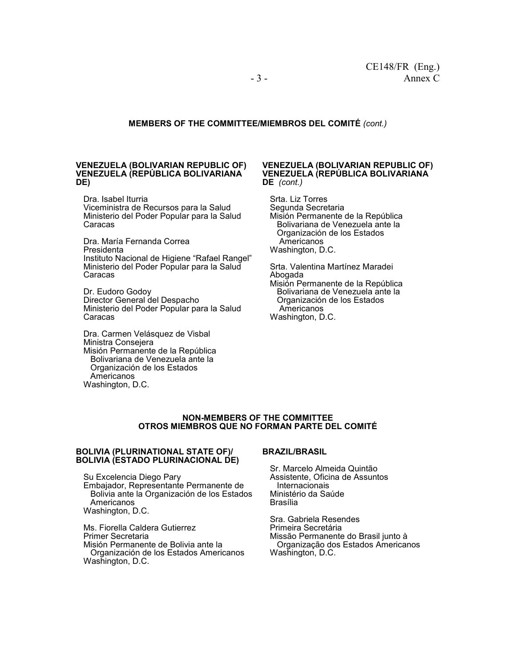#### **MEMBERS OF THE COMMITTEE/MIEMBROS DEL COMITÉ** *(cont.)*

#### **VENEZUELA (BOLIVARIAN REPUBLIC OF) VENEZUELA (REPÚBLICA BOLIVARIANA DE)**

Dra. Isabel Iturria Viceministra de Recursos para la Salud Ministerio del Poder Popular para la Salud Caracas

Dra. María Fernanda Correa Presidenta Instituto Nacional de Higiene "Rafael Rangel" Ministerio del Poder Popular para la Salud Caracas

Dr. Eudoro Godoy Director General del Despacho Ministerio del Poder Popular para la Salud Caracas

Dra. Carmen Velásquez de Visbal Ministra Consejera Misión Permanente de la República Bolivariana de Venezuela ante la Organización de los Estados Americanos Washington, D.C.

#### **VENEZUELA (BOLIVARIAN REPUBLIC OF) VENEZUELA (REPÚBLICA BOLIVARIANA DE** *(cont.)*

Srta. Liz Torres Segunda Secretaria Misión Permanente de la República Bolivariana de Venezuela ante la Organización de los Estados Americanos Washington, D.C.

Srta. Valentina Martínez Maradei Abogada

Misión Permanente de la República Bolivariana de Venezuela ante la Organización de los Estados Americanos Washington, D.C.

#### **NON-MEMBERS OF THE COMMITTEE OTROS MIEMBROS QUE NO FORMAN PARTE DEL COMITÉ**

#### **BOLIVIA (PLURINATIONAL STATE OF)/ BOLIVIA (ESTADO PLURINACIONAL DE)**

Su Excelencia Diego Pary

Embajador, Representante Permanente de Bolivia ante la Organización de los Estados Americanos Washington, D.C.

Ms. Fiorella Caldera Gutierrez Primer Secretaria Misión Permanente de Bolivia ante la Organización de los Estados Americanos Washington, D.C.

#### **BRAZIL/BRASIL**

Sr. Marcelo Almeida Quintão Assistente, Oficina de Assuntos Internacionais Ministério da Saúde Brasília

 Sra. Gabriela Resendes Primeira Secretária Missão Permanente do Brasil junto à Organização dos Estados Americanos Washington, D.C.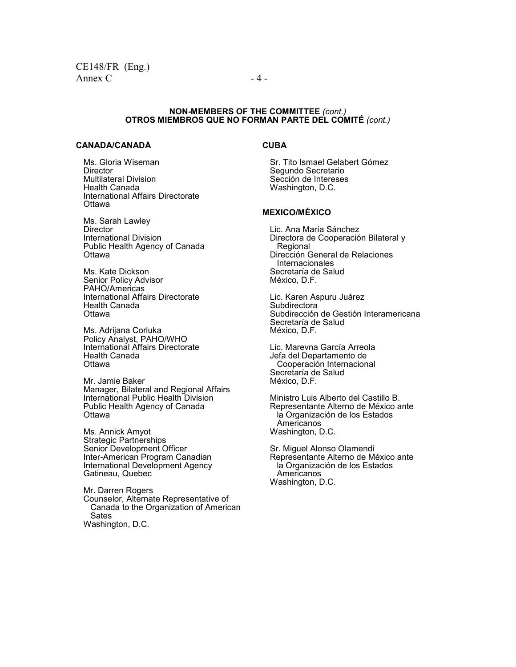#### **NON-MEMBERS OF THE COMMITTEE** *(cont.)*  **OTROS MIEMBROS QUE NO FORMAN PARTE DEL COMITÉ** *(cont.)*

#### **CANADA/CANADÁ**

Ms. Gloria Wiseman **Director** Multilateral Division Health Canada International Affairs Directorate **Ottawa** 

Ms. Sarah Lawley **Director** International Division Public Health Agency of Canada **Ottawa** 

Ms. Kate Dickson Senior Policy Advisor PAHO/Americas International Affairs Directorate Health Canada **Ottawa** 

Ms. Adrijana Corluka Policy Analyst, PAHO/WHO International Affairs Directorate Health Canada **Ottawa** 

Mr. Jamie Baker Manager, Bilateral and Regional Affairs International Public Health Division Public Health Agency of Canada **Ottawa** 

Ms. Annick Amyot Strategic Partnerships Senior Development Officer Inter-American Program Canadian International Development Agency Gatineau, Quebec

Mr. Darren Rogers Counselor, Alternate Representative of Canada to the Organization of American Sates Washington, D.C.

### **CUBA**

Sr. Tito Ismael Gelabert Gómez Segundo Secretario Sección de Intereses Washington, D.C.

#### **MEXICO/MÉXICO**

 Lic. Ana María Sánchez Directora de Cooperación Bilateral y Regional Dirección General de Relaciones **Internacionales**  Secretaría de Salud México, D.F.

 Lic. Karen Aspuru Juárez **Subdirectora**  Subdirección de Gestión Interamericana Secretaría de Salud México, D.F.

 Lic. Marevna García Arreola Jefa del Departamento de Cooperación Internacional Secretaría de Salud México, D.F.

 Ministro Luis Alberto del Castillo B. Representante Alterno de México ante la Organización de los Estados Americanos Washington, D.C.

 Sr. Miguel Alonso Olamendi Representante Alterno de México ante la Organización de los Estados Americanos Washington, D.C.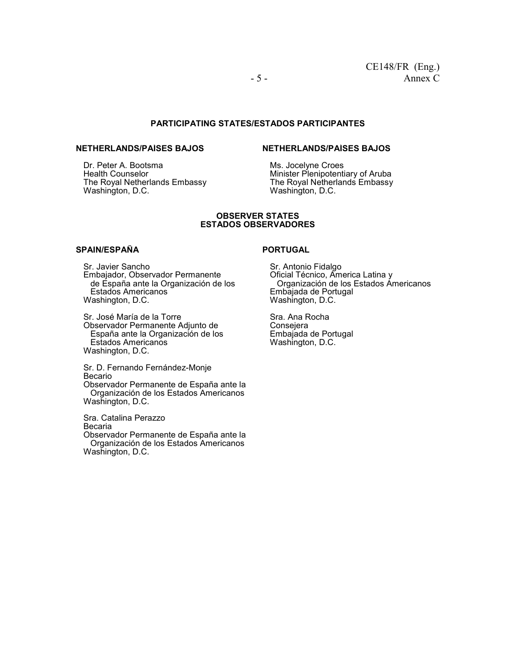#### **PARTICIPATING STATES/ESTADOS PARTICIPANTES**

#### **NETHERLANDS/PAÍSES BAJOS**

Dr. Peter A. Bootsma Health Counselor The Royal Netherlands Embassy Washington, D.C.

### **NETHERLANDS/PAÍSES BAJOS**

Ms. Jocelyne Croes Minister Plenipotentiary of Aruba The Royal Netherlands Embassy Washington, D.C.

#### **OBSERVER STATES ESTADOS OBSERVADORES**

#### **SPAIN/ESPAÑA**

Sr. Javier Sancho Embajador, Observador Permanente de España ante la Organización de los Estados Americanos Washington, D.C.

Sr. José María de la Torre Observador Permanente Adjunto de España ante la Organización de los Estados Americanos Washington, D.C.

Sr. D. Fernando Fernández-Monje Becario Observador Permanente de España ante la Organización de los Estados Americanos Washington, D.C.

Sra. Catalina Perazzo Becaria Observador Permanente de España ante la Organización de los Estados Americanos Washington, D.C.

#### **PORTUGAL**

Sr. Antonio Fidalgo Oficial Técnico, America Latina y Organización de los Estados Americanos Embajada de Portugal Washington, D.C.

Sra. Ana Rocha Consejera Embajada de Portugal Washington, D.C.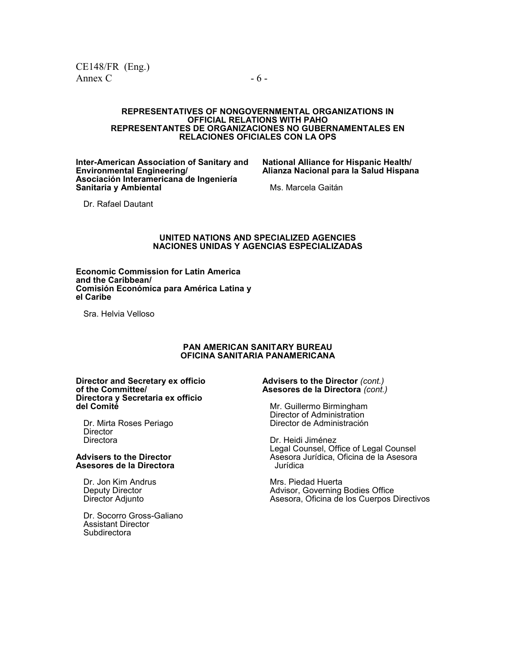#### **REPRESENTATIVES OF NONGOVERNMENTAL ORGANIZATIONS IN OFFICIAL RELATIONS WITH PAHO REPRESENTANTES DE ORGANIZACIONES NO GUBERNAMENTALES EN RELACIONES OFICIALES CON LA OPS**

**Inter-American Association of Sanitary and Environmental Engineering/ Asociación Interamericana de Ingeniería Sanitaria y Ambiental** 

**National Alliance for Hispanic Health/ Alianza Nacional para la Salud Hispana**

Ms. Marcela Gaitán

Dr. Rafael Dautant

#### **UNITED NATIONS AND SPECIALIZED AGENCIES NACIONES UNIDAS Y AGENCIAS ESPECIALIZADAS**

**Economic Commission for Latin America and the Caribbean/ Comisión Económica para América Latina y el Caribe** 

Sra. Helvia Velloso

#### **PAN AMERICAN SANITARY BUREAU OFICINA SANITARIA PANAMERICANA**

**Director and Secretary ex officio of the Committee/ Directora y Secretaria ex officio del Comité** 

 Dr. Mirta Roses Periago **Director Directora** 

**Advisers to the Director Asesores de la Directora** 

 Dr. Jon Kim Andrus Deputy Director Director Adjunto

 Dr. Socorro Gross-Galiano Assistant Director **Subdirectora** 

#### **Advisers to the Director** *(cont.)* **Asesores de la Directora** *(cont.)*

 Mr. Guillermo Birmingham Director of Administration Director de Administración

 Dr. Heidi Jiménez Legal Counsel, Office of Legal Counsel Asesora Jurídica, Oficina de la Asesora Jurídica

 Mrs. Piedad Huerta Advisor, Governing Bodies Office Asesora, Oficina de los Cuerpos Directivos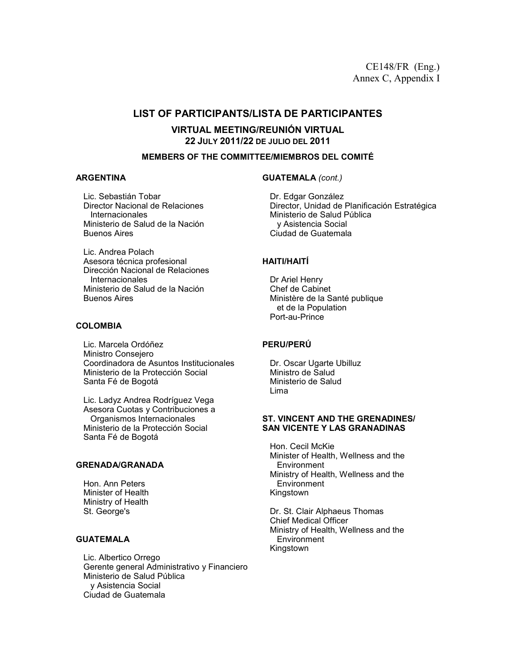## **LIST OF PARTICIPANTS/LISTA DE PARTICIPANTES**

**VIRTUAL MEETING/REUNIÓN VIRTUAL 22 JULY 2011/22 DE JULIO DEL 2011** 

#### **MEMBERS OF THE COMMITTEE/MIEMBROS DEL COMITÉ**

#### **ARGENTINA**

 Lic. Sebastián Tobar Director Nacional de Relaciones **Internacionales**  Ministerio de Salud de la Nación Buenos Aires

 Lic. Andrea Polach Asesora técnica profesional Dirección Nacional de Relaciones Internacionales Ministerio de Salud de la Nación Buenos Aires

#### **COLOMBIA**

Lic. Marcela Ordóñez Ministro Consejero Coordinadora de Asuntos Institucionales Ministerio de la Protección Social Santa Fé de Bogotá

Lic. Ladyz Andrea Rodríguez Vega Asesora Cuotas y Contribuciones a Organismos Internacionales Ministerio de la Protección Social Santa Fé de Bogotá

#### **GRENADA/GRANADA**

Hon. Ann Peters Minister of Health Ministry of Health St. George's

#### **GUATEMALA**

Lic. Albertico Orrego Gerente general Administrativo y Financiero Ministerio de Salud Pública y Asistencia Social Ciudad de Guatemala

**GUATEMALA** *(cont.)*

Dr. Edgar González Director, Unidad de Planificación Estratégica Ministerio de Salud Pública y Asistencia Social Ciudad de Guatemala

#### **HAITI/HAITÍ**

Dr Ariel Henry Chef de Cabinet Ministère de la Santé publique et de la Population Port-au-Prince

#### **PERU/PERÚ**

Dr. Oscar Ugarte Ubilluz Ministro de Salud Ministerio de Salud Lima

#### **ST. VINCENT AND THE GRENADINES/ SAN VICENTE Y LAS GRANADINAS**

Hon. Cecil McKie Minister of Health, Wellness and the **Environment** Ministry of Health, Wellness and the **Environment** Kingstown

Dr. St. Clair Alphaeus Thomas Chief Medical Officer Ministry of Health, Wellness and the **Environment** Kingstown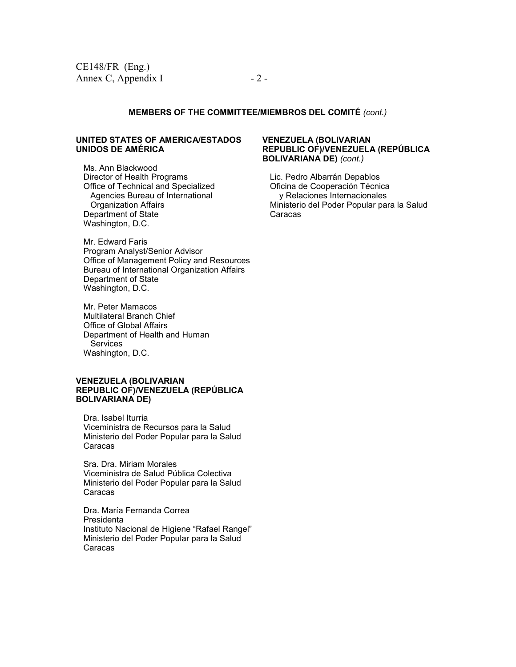#### **MEMBERS OF THE COMMITTEE/MIEMBROS DEL COMITÉ** *(cont.)*

#### **UNITED STATES OF AMERICA/ESTADOS UNIDOS DE AMÉRICA**

 Ms. Ann Blackwood Director of Health Programs Office of Technical and Specialized Agencies Bureau of International Organization Affairs Department of State Washington, D.C.

 Mr. Edward Faris Program Analyst/Senior Advisor Office of Management Policy and Resources Bureau of International Organization Affairs Department of State Washington, D.C.

Mr. Peter Mamacos Multilateral Branch Chief Office of Global Affairs Department of Health and Human **Services** Washington, D.C.

#### **VENEZUELA (BOLIVARIAN REPUBLIC OF)/VENEZUELA (REPÚBLICA BOLIVARIANA DE)**

Dra. Isabel Iturria Viceministra de Recursos para la Salud Ministerio del Poder Popular para la Salud Caracas

Sra. Dra. Miriam Morales Viceministra de Salud Pública Colectiva Ministerio del Poder Popular para la Salud Caracas

Dra. María Fernanda Correa Presidenta Instituto Nacional de Higiene "Rafael Rangel" Ministerio del Poder Popular para la Salud Caracas

#### **VENEZUELA (BOLIVARIAN REPUBLIC OF)/VENEZUELA (REPÚBLICA BOLIVARIANA DE)** *(cont.)*

Lic. Pedro Albarrán Depablos Oficina de Cooperación Técnica y Relaciones Internacionales Ministerio del Poder Popular para la Salud Caracas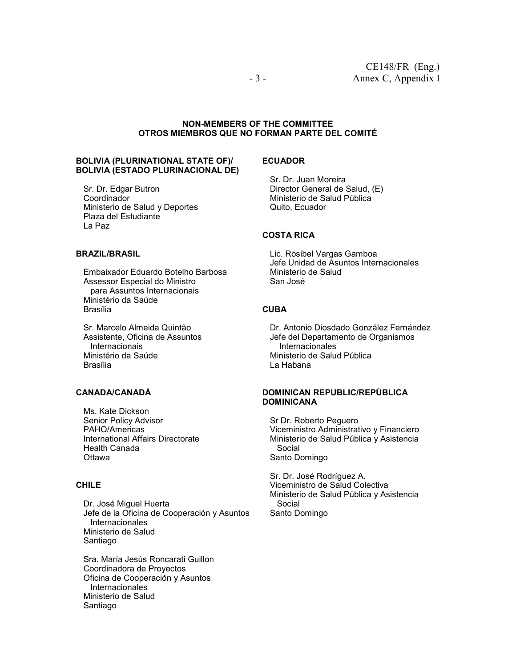#### **NON-MEMBERS OF THE COMMITTEE OTROS MIEMBROS QUE NO FORMAN PARTE DEL COMITÉ**

#### **BOLIVIA (PLURINATIONAL STATE OF)/ BOLIVIA (ESTADO PLURINACIONAL DE)**

Sr. Dr. Edgar Butron Coordinador Ministerio de Salud y Deportes Plaza del Estudiante La Paz

#### **BRAZIL/BRASIL**

Embaixador Eduardo Botelho Barbosa Assessor Especial do Ministro para Assuntos Internacionais Ministério da Saúde Brasília

Sr. Marcelo Almeida Quintão Assistente, Oficina de Assuntos **Internacionais** Ministério da Saúde Brasília

### **CANADA/CANADÁ**

Ms. Kate Dickson Senior Policy Advisor PAHO/Americas International Affairs Directorate Health Canada **Ottawa** 

### **CHILE**

Dr. José Miguel Huerta Jefe de la Oficina de Cooperación y Asuntos Internacionales Ministerio de Salud Santiago

Sra. María Jesús Roncarati Guillon Coordinadora de Proyectos Oficina de Cooperación y Asuntos Internacionales Ministerio de Salud Santiago

#### **ECUADOR**

Sr. Dr. Juan Moreira Director General de Salud, (E) Ministerio de Salud Pública Quito, Ecuador

#### **COSTA RICA**

Lic. Rosibel Vargas Gamboa Jefe Unidad de Asuntos Internacionales Ministerio de Salud San José

#### **CUBA**

Dr. Antonio Diosdado González Fernández Jefe del Departamento de Organismos Internacionales Ministerio de Salud Pública La Habana

#### **DOMINICAN REPUBLIC/REPÚBLICA DOMINICANA**

Sr Dr. Roberto Peguero Viceministro Administrativo y Financiero Ministerio de Salud Pública y Asistencia Social Santo Domingo

Sr. Dr. José Rodríguez A. Viceministro de Salud Colectiva Ministerio de Salud Pública y Asistencia Social Santo Domingo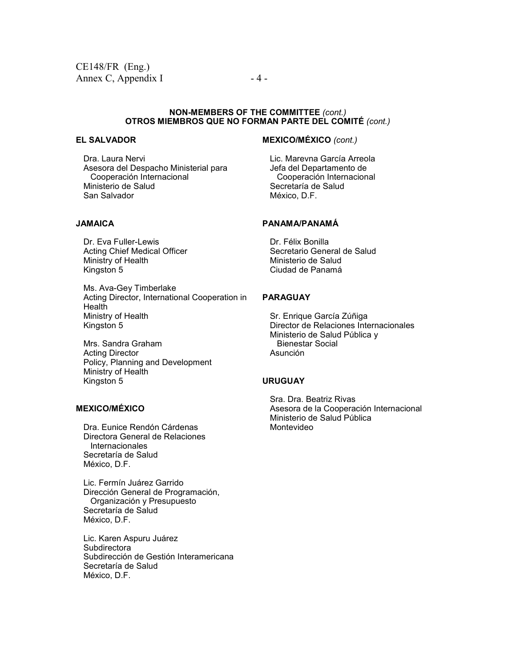#### **NON-MEMBERS OF THE COMMITTEE** *(cont.)* **OTROS MIEMBROS QUE NO FORMAN PARTE DEL COMITÉ** *(cont.)*

#### **EL SALVADOR**

Dra. Laura Nervi Asesora del Despacho Ministerial para Cooperación Internacional Ministerio de Salud San Salvador

#### **JAMAICA**

 Dr. Eva Fuller-Lewis Acting Chief Medical Officer Ministry of Health Kingston 5

 Ms. Ava-Gey Timberlake Acting Director, International Cooperation in **Health**  Ministry of Health Kingston 5

 Mrs. Sandra Graham Acting Director Policy, Planning and Development Ministry of Health Kingston 5

## **MEXICO/MÉXICO**

 Dra. Eunice Rendón Cárdenas Directora General de Relaciones Internacionales Secretaría de Salud México, D.F.

Lic. Fermín Juárez Garrido Dirección General de Programación, Organización y Presupuesto Secretaría de Salud México, D.F.

 Lic. Karen Aspuru Juárez **Subdirectora**  Subdirección de Gestión Interamericana Secretaría de Salud México, D.F.

## **MEXICO/MÉXICO** *(cont.)*

 Lic. Marevna García Arreola Jefa del Departamento de Cooperación Internacional Secretaría de Salud México, D.F.

#### **PANAMA/PANAMÁ**

 Dr. Félix Bonilla Secretario General de Salud Ministerio de Salud Ciudad de Panamá

#### **PARAGUAY**

 Sr. Enrique García Zúñiga Director de Relaciones Internacionales Ministerio de Salud Pública y Bienestar Social Asunción

#### **URUGUAY**

 Sra. Dra. Beatriz Rivas Asesora de la Cooperación Internacional Ministerio de Salud Pública Montevideo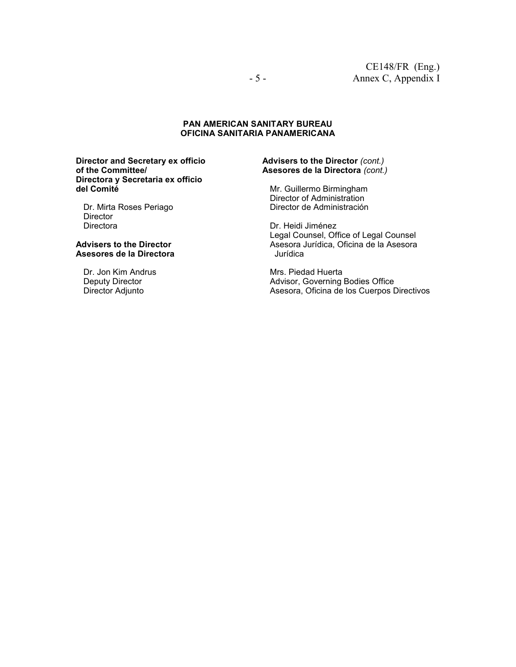#### **PAN AMERICAN SANITARY BUREAU OFICINA SANITARIA PANAMERICANA**

**Director and Secretary ex officio of the Committee/ Directora y Secretaria ex officio del Comité** 

 Dr. Mirta Roses Periago **Director** Directora

#### **Advisers to the Director Asesores de la Directora**

 Dr. Jon Kim Andrus Deputy Director Director Adjunto

#### **Advisers to the Director** *(cont.)* **Asesores de la Directora** *(cont.)*

 Mr. Guillermo Birmingham Director of Administration Director de Administración

 Dr. Heidi Jiménez Legal Counsel, Office of Legal Counsel Asesora Jurídica, Oficina de la Asesora Jurídica

 Mrs. Piedad Huerta Advisor, Governing Bodies Office Asesora, Oficina de los Cuerpos Directivos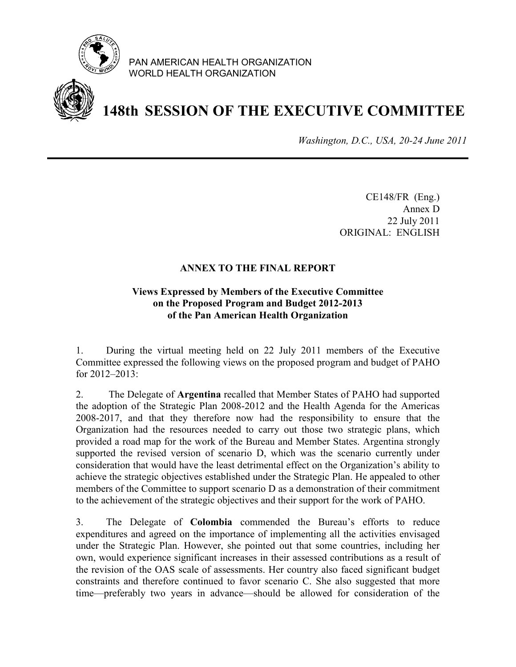

PAN AMERICAN HEALTH ORGANIZATION WORLD HEALTH ORGANIZATION



# **148th SESSION OF THE EXECUTIVE COMMITTEE**

*Washington, D.C., USA, 20-24 June 2011*

CE148/FR (Eng.) Annex D 22 July 2011 ORIGINAL: ENGLISH

## **ANNEX TO THE FINAL REPORT**

# **Views Expressed by Members of the Executive Committee on the Proposed Program and Budget 2012-2013 of the Pan American Health Organization**

1. During the virtual meeting held on 22 July 2011 members of the Executive Committee expressed the following views on the proposed program and budget of PAHO for 2012–2013:

2. The Delegate of **Argentina** recalled that Member States of PAHO had supported the adoption of the Strategic Plan 2008-2012 and the Health Agenda for the Americas 2008-2017, and that they therefore now had the responsibility to ensure that the Organization had the resources needed to carry out those two strategic plans, which provided a road map for the work of the Bureau and Member States. Argentina strongly supported the revised version of scenario D, which was the scenario currently under consideration that would have the least detrimental effect on the Organization's ability to achieve the strategic objectives established under the Strategic Plan. He appealed to other members of the Committee to support scenario D as a demonstration of their commitment to the achievement of the strategic objectives and their support for the work of PAHO.

3. The Delegate of **Colombia** commended the Bureau's efforts to reduce expenditures and agreed on the importance of implementing all the activities envisaged under the Strategic Plan. However, she pointed out that some countries, including her own, would experience significant increases in their assessed contributions as a result of the revision of the OAS scale of assessments. Her country also faced significant budget constraints and therefore continued to favor scenario C. She also suggested that more time—preferably two years in advance—should be allowed for consideration of the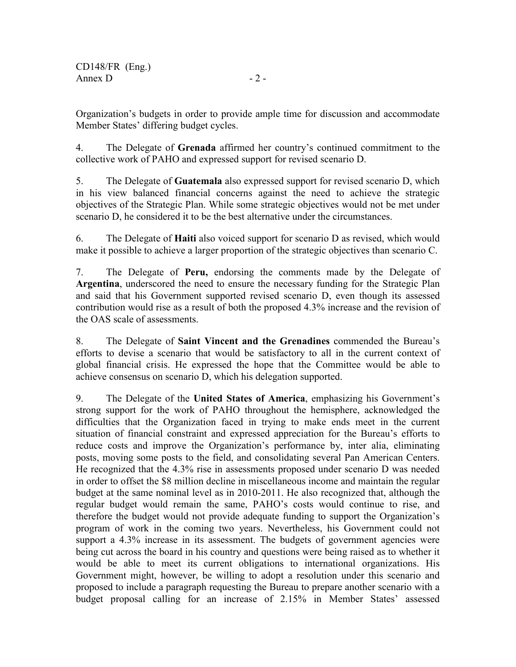Organization's budgets in order to provide ample time for discussion and accommodate Member States' differing budget cycles.

4. The Delegate of **Grenada** affirmed her country's continued commitment to the collective work of PAHO and expressed support for revised scenario D.

5. The Delegate of **Guatemala** also expressed support for revised scenario D, which in his view balanced financial concerns against the need to achieve the strategic objectives of the Strategic Plan. While some strategic objectives would not be met under scenario D, he considered it to be the best alternative under the circumstances.

6. The Delegate of **Haiti** also voiced support for scenario D as revised, which would make it possible to achieve a larger proportion of the strategic objectives than scenario C.

7. The Delegate of **Peru,** endorsing the comments made by the Delegate of **Argentina**, underscored the need to ensure the necessary funding for the Strategic Plan and said that his Government supported revised scenario D, even though its assessed contribution would rise as a result of both the proposed 4.3% increase and the revision of the OAS scale of assessments.

8. The Delegate of **Saint Vincent and the Grenadines** commended the Bureau's efforts to devise a scenario that would be satisfactory to all in the current context of global financial crisis. He expressed the hope that the Committee would be able to achieve consensus on scenario D, which his delegation supported.

9. The Delegate of the **United States of America**, emphasizing his Government's strong support for the work of PAHO throughout the hemisphere, acknowledged the difficulties that the Organization faced in trying to make ends meet in the current situation of financial constraint and expressed appreciation for the Bureau's efforts to reduce costs and improve the Organization's performance by, inter alia, eliminating posts, moving some posts to the field, and consolidating several Pan American Centers. He recognized that the 4.3% rise in assessments proposed under scenario D was needed in order to offset the \$8 million decline in miscellaneous income and maintain the regular budget at the same nominal level as in 2010-2011. He also recognized that, although the regular budget would remain the same, PAHO's costs would continue to rise, and therefore the budget would not provide adequate funding to support the Organization's program of work in the coming two years. Nevertheless, his Government could not support a 4.3% increase in its assessment. The budgets of government agencies were being cut across the board in his country and questions were being raised as to whether it would be able to meet its current obligations to international organizations. His Government might, however, be willing to adopt a resolution under this scenario and proposed to include a paragraph requesting the Bureau to prepare another scenario with a budget proposal calling for an increase of 2.15% in Member States' assessed